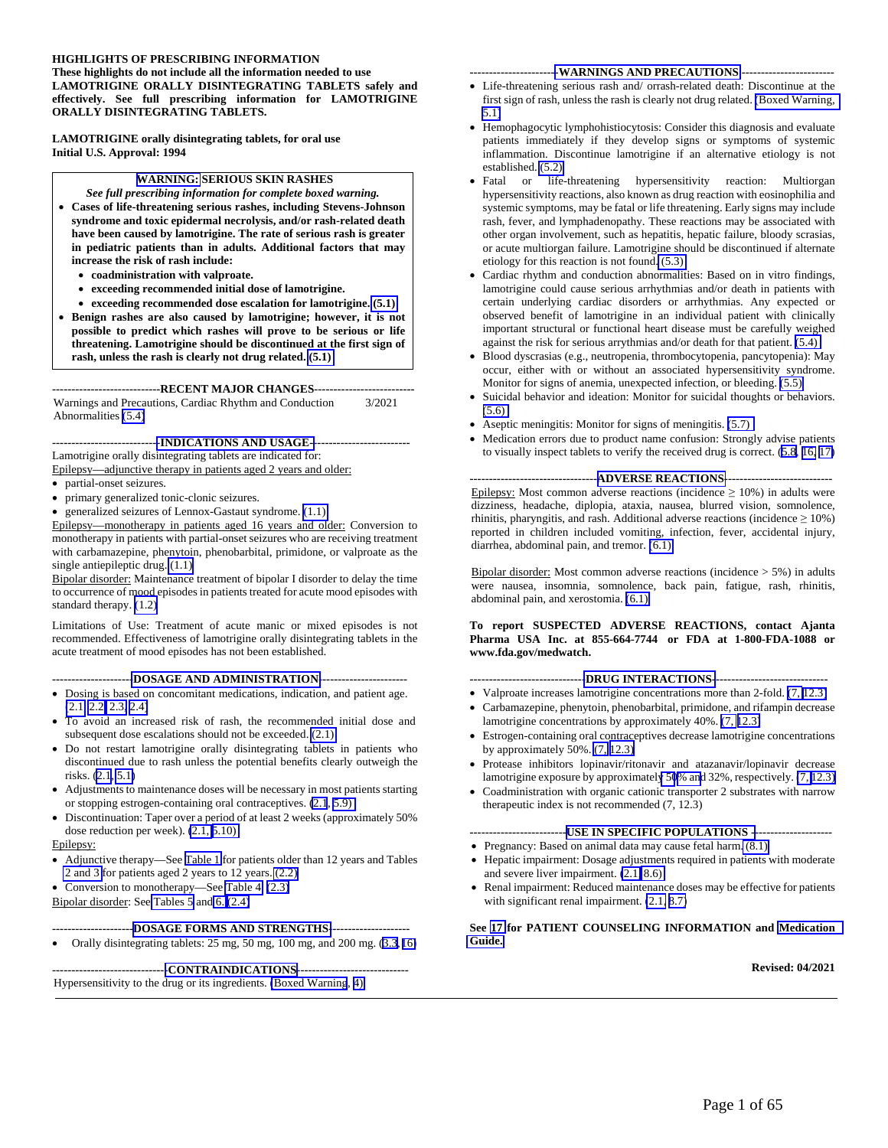#### **HIGHLIGHTS OF PRESCRIBING INFORMATION These highlights do not include all the information needed to use LAMOTRIGINE ORALLY DISINTEGRATING TABLETS safely and effectively. See full prescribing information for LAMOTRIGINE ORALLY DISINTEGRATING TABLETS.**

**LAMOTRIGINE orally disintegrating tablets, for oral use Initial U.S. Approval: 1994** 

### **[WARNING:](#page-2-0) SERIOUS SKIN RASHES**

- *See full prescribing information for complete boxed warning.*  **Cases of life-threatening serious rashes, including Stevens-Johnson syndrome and toxic epidermal necrolysis, and/or rash-related death have been caused by lamotrigine. The rate of serious rash is greater in pediatric patients than in adults. Additional factors that may increase the risk of rash include:** 
	- **coadministration with valproate.**
	- **exceeding recommended initial dose of lamotrigine.**
	- **exceeding recommended dose escalation for lamotrigine. [\(5.1\)](#page-13-0)**
- **Benign rashes are also caused by lamotrigine; however, it is not possible to predict which rashes will prove to be serious or life threatening. Lamotrigine should be discontinued at the first sign of rash, unless the rash is clearly not drug related. [\(5.1\)](#page-13-0)**

**----------------------------RECENT MAJOR CHANGES--------------------------**

Warnings and Precautions, Cardiac Rhythm and Conduction Abnormalities [\(5.4\)](#page-15-1) 3/2021

**---------------------------[-INDICATIONS AND USAGE--](#page-2-0)------------------------**

Lamotrigine orally disintegrating tablets are indicated for:

Epilepsy—adjunctive therapy in patients aged 2 years and older:

- partial-onset seizures.
- primary generalized tonic-clonic seizures.
- generalized seizures of Lennox-Gastaut syndrome. [\(1.1\)](#page-2-0)

Epilepsy—monotherapy in patients aged 16 years and older: Conversion to monotherapy in patients with partial-onset seizures who are receiving treatment with carbamazepine, phenytoin, phenobarbital, primidone, or valproate as the single antiepileptic drug. [\(1.1\)](#page-2-0) 

Bipolar disorder: Maintenance treatment of bipolar I disorder to delay the time to occurrence of mood episodes in patients treated for acute mood episodes with standard therapy. [\(1.2\)](#page-3-0)

Limitations of Use: Treatment of acute manic or mixed episodes is not recommended. Effectiveness of lamotrigine orally disintegrating tablets in the acute treatment of mood episodes has not been established.

**--------------------[-DOSAGE AND ADMINISTRATION-](#page-3-2)----------------------** 

- Dosing is based on concomitant medications, indication, and patient age. [\(2.1,](#page-3-3) [2.2](#page-7-0)[, 2.3,](#page-10-0) [2.4\)](#page-11-0)
- To avoid an increased risk of rash, the recommended initial dose and subsequent dose escalations should not be exceeded. [\(2.1\)](#page-3-1)
- Do not restart lamotrigine orally disintegrating tablets in patients who discontinued due to rash unless the potential benefits clearly outweigh the risks. ([2.1,](#page-3-1) [5.1\)](#page-13-0)
- Adjustments to maintenance doses will be necessary in most patients starting or stopping estrogen-containing oral contraceptives. [\(2.1](#page-3-2), [5.9\)](#page-18-1)
- Discontinuation: Taper over a period of at least 2 weeks (approximately 50% dose reduction per week). [\(2.1,](#page-3-4) [5.10\)](#page-18-0)

#### Epilepsy:

- Adjunctive therapy—See [Table 1](#page-7-1) for patients older than 12 years and Tables [2 and 3](#page-8-0) for patients aged 2 years to 12 years. [\(2.2\)](#page-7-0)
- Conversion to monotherapy—See [Table 4.](#page-10-1) [\(2.3\)](#page-10-0)

Bipolar disorder: See [Tables 5](#page-11-1) and [6.](#page-12-0) [\(2.4\)](#page-11-0)

#### **---------------------[DOSAGE FORMS AND STRENGTHS-](#page-13-0)--------------------**

Orally disintegrating tablets: 25 mg, 50 mg, 100 mg, and 200 mg. [\(3.3](#page-13-0), [16\)](#page-54-0)

**-----------------------------[-CONTRAINDICATIONS-](#page-13-0)----------------------------** Hypersensitivity to the drug or its ingredients. [\(Boxed Warning](#page-2-0), [4\)](#page-13-1) 

#### **----------------------[-WARNINGS AND PRECAUTIONS](#page-13-0) ------------------------**

- Life-threatening serious rash and/ orrash-related death: Discontinue at the first sign of rash, unless the rash is clearly not drug related. [\(Boxed Warning,](#page-2-1)  [5.1\)](#page-13-0)
- Hemophagocytic lymphohistiocytosis: Consider this diagnosis and evaluate patients immediately if they develop signs or symptoms of systemic inflammation. Discontinue lamotrigine if an alternative etiology is not established. [\(5.2\)](#page-14-0)
- Fatal or life-threatening hypersensitivity reaction: Multiorgan hypersensitivity reactions, also known as drug reaction with eosinophilia and systemic symptoms, may be fatal or life threatening. Early signs may include rash, fever, and lymphadenopathy. These reactions may be associated with other organ involvement, such as hepatitis, hepatic failure, bloody scrasias, or acute multiorgan failure. Lamotrigine should be discontinued if alternate etiology for this reaction is not found[. \(5.3\)](#page-15-0)
- Cardiac rhythm and conduction abnormalities: Based on in vitro findings, lamotrigine could cause serious arrhythmias and/or death in patients with certain underlying cardiac disorders or arrhythmias. Any expected or observed benefit of lamotrigine in an individual patient with clinically important structural or functional heart disease must be carefully weighed against the risk for serious arrythmias and/or death for that patient. [\(5.4\)](#page-15-1)
- Blood dyscrasias (e.g., neutropenia, thrombocytopenia, pancytopenia): May occur, either with or without an associated hypersensitivity syndrome. Monitor for signs of anemia, unexpected infection, or bleeding. [\(5.5\)](#page-15-0)
- Suicidal behavior and ideation: Monitor for suicidal thoughts or behaviors. [\(5.6\)](#page-16-0)
- Aseptic meningitis: Monitor for signs of meningitis. [\(5.7\)](#page-17-0)
- Medication errors due to product name confusion: Strongly advise patients to visually inspect tablets to verify the received drug is correct. [\(5.8](#page-17-0), [16, 17\)](#page-54-0)

**---------------------------------[ADVERSE REACTIONS-](#page-19-0)---------------------------** Epilepsy: Most common adverse reactions (incidence  $\geq 10\%$ ) in adults were dizziness, headache, diplopia, ataxia, nausea, blurred vision, somnolence, rhinitis, pharyngitis, and rash. Additional adverse reactions (incidence  $\geq 10\%$ ) reported in children included vomiting, infection, fever, accidental injury, diarrhea, abdominal pain, and tremor. [\(6.1\)](#page-20-0) 

Bipolar disorder: Most common adverse reactions (incidence  $> 5\%$ ) in adults were nausea, insomnia, somnolence, back pain, fatigue, rash, rhinitis, abdominal pain, and xerostomia. [\(6.1\)](#page-20-0) 

#### **To report SUSPECTED ADVERSE REACTIONS, contact Ajanta Pharma USA Inc. at 855-664-7744 or FDA at 1-800-FDA-1088 or www.fda.gov/medwatch.**

**-----------------------------[-DRUG INTERACTIONS-](#page-31-0)-----------------------------**

- Valproate increases lamotrigine concentrations more than 2-fold.  $(7, 12.3)$  $(7, 12.3)$
- Carbamazepine, phenytoin, phenobarbital, primidone, and rifampin decrease lamotrigine concentrations by approximately 40%. [\(7,](#page-31-0) [12.3\)](#page-39-0)
- Estrogen-containing oral contraceptives decrease lamotrigine concentrations by approximately 50%. [\(7,](#page-31-0) [12.3\)](#page-39-0)
- Protease inhibitors lopinavir/ritonavir and atazanavir/lopinavir decrease lamotrigine exposure by approximatel[y 50](#page-31-0)[% an](#page-39-0)d 32%, respectively. [\(7,](#page-31-0) [12.3\)](#page-39-0)
- Coadministration with organic cationic transporter 2 substrates with narrow therapeutic index is not recommended (7, 12.3)

#### **-------------------------[USE IN SPECIFIC POPULATIONS --](#page-32-0)-------------------**

- Pregnancy: Based on animal data may cause fetal harm[. \(8.1\)](#page-32-0)
- Hepatic impairment: Dosage adjustments required in patients with moderate and severe liver impairment. [\(2.1,](#page-3-2) [8.6\)](#page-36-1)
- Renal impairment: Reduced maintenance doses may be effective for patients with significant renal impairment.  $(2.1, 8.7)$  $(2.1, 8.7)$

#### **See [17](#page-54-0) for PATIENT COUNSELING INFORMATION and [Medication](#page-58-0)  [Guide.](#page-58-0)**

#### **Revised: 04/2021**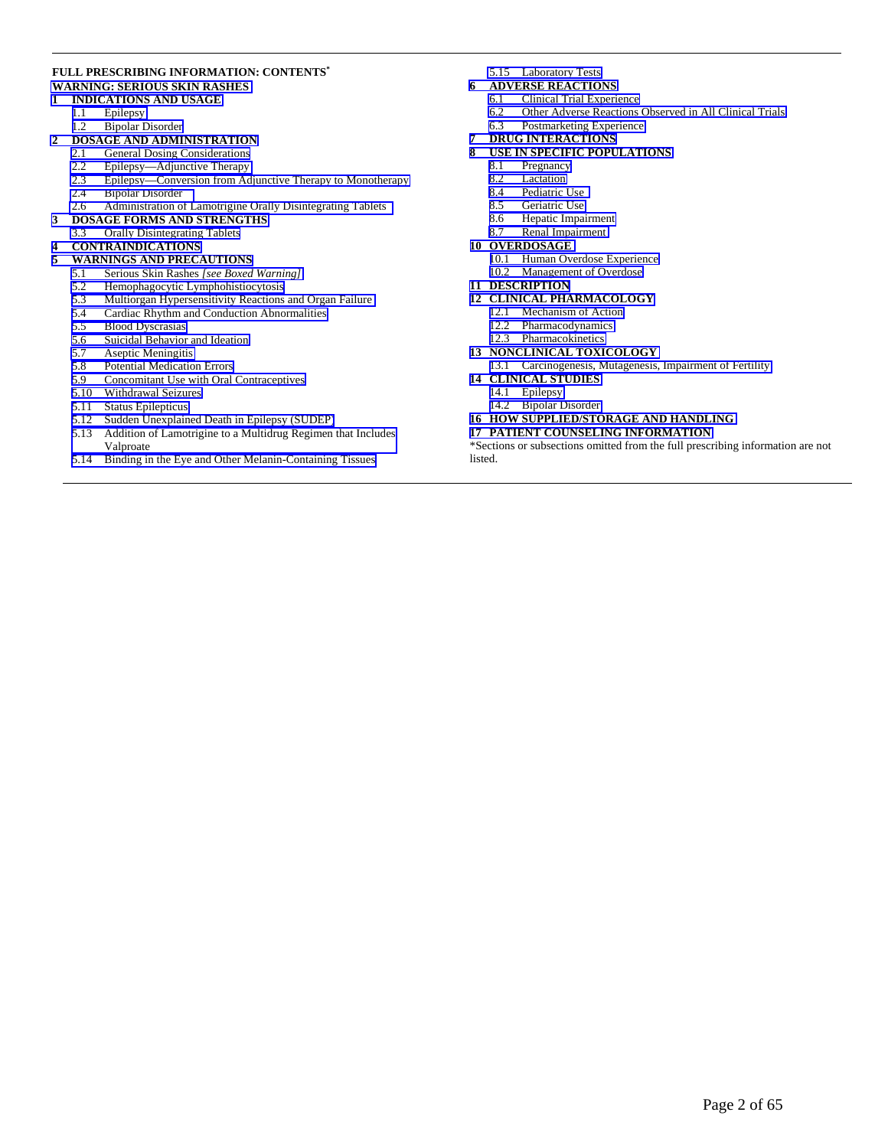#### **FULL PRESCRIBING INFORMATION: CONTENTS\* [WARNING: SERIOUS SKIN RASHES](#page-2-2)**

#### **1 [INDICATIONS AND USAGE](#page-2-0)**

- 1.1 Epilepsy<br>1.2 Bipolar I
	- Bipolar Disorder

# 2 **DOSAGE AND ADMINISTRATION**<br>2.1 General Dosing Considerations

- [General Dosing Considerations](#page-3-2)
- 2.2 Epilepsy—Adjunctive Therapy<br>2.3 Epilepsy—Conversion from Ad
- 2.3 [Epilepsy—Conversion from Adjunctive Therapy to Monotherapy](#page-10-1)
- 2.4 [Bipolar Disorder](#page-11-1)
- 2.6 [Administration of Lamotrigine Orally Disintegrating Tablets](#page-13-3)
- **3 [DOSAGE FORMS AND STRENGTHS](#page-13-2)**
- 3.3 [Orally Disintegrating Tablets](#page-13-0)

# **4 [CONTRAINDICATIONS](#page-13-0)**

- **5 [WARNINGS AND PRECAUTIONS](#page-13-0)**
- 5.1 [Serious Skin Rashes](#page-13-0) *[see Boxed Warning]*
- 5.2 Hemophagocytic Lymphohistiocytosis<br>5.3 Multiorgan Hypersensitivity Reactions
- 5.3 [Multiorgan Hypersensitivity Reactions and Organ Failure](#page-15-1)
- 5.4 Cardiac Rhythm and Conduction Abnormalities<br>5.5 Blood Dyscrasias
- Blood Dyscrasias
- 5.6 Suicidal Behavior and Ideation<br>5.7 Aseptic Meningitis
- Aseptic Meningitis
- 5.8 Potential Medication Errors<br>5.9 Concomitant Use with Oral
- 5.9 [Concomitant Use with Oral Contraceptives](#page-18-1)
- 5.10 [Withdrawal Seizures](#page-18-2)
- 5.11 [Status Epilepticus](#page-18-2)
- 5.12 [Sudden Unexplained Death in Epilepsy \(SUDEP\)](#page-18-2)
- 5.13 [Addition of Lamotrigine to a Multidrug Regimen that Includes](#page-19-1)  Valproate
- 5.14 [Binding in the Eye and Other Melanin-Containing Tissues](#page-19-0)

#### 5.15 [Laboratory Tests](#page-19-0)

- **6 [ADVERSE REACTIONS](#page-19-0)**
	- 6.1 [Clinical Trial Experience](#page-20-0) 
		- 6.2 Other Adverse Reactions Observed in All Clinical Trials<br>6.3 Postmarketing Experience
		- [Postmarketing Experience](#page-30-0)
	-

### **7 [DRUG INTERACTIONS](#page-31-0)  USE IN SPECIFIC POPULATIONS**<br>8.1 Pregnancy

- Pregnancy
- 
- 8.2 Lactation<br>8.4 Pediatric Pediatric Use
- 
- 8.5 Geriatric Use<br>8.6 Hepatic Impa Hepatic Impairment
- 8.7 [Renal Impairment](#page-36-0)
- **10 [OVERDOSAGE](#page-36-0)** 
	- 10.1 [Human Overdose Experience](#page-36-0)
	- 10.2 [Management of Overdose](#page-36-0)
- **11 [DESCRIPTION](#page-36-0)**

#### **12 [CLINICAL PHARMACOLOGY](#page-37-0)**

- 12.1 [Mechanism of Action](#page-37-0)
- 12.2 [Pharmacodynamics](#page-38-0)
- 12.3 [Pharmacokinetics](#page-39-0)
- **13 [NONCLINICAL TOXICOLOGY](#page-49-0)**
- 13.1 [Carcinogenesis, Mutagenesis, Impairment of Fertility](#page-49-0)
- **14 [CLINICAL STUDIES](#page-50-0)** 
	- 14.1 [Epilepsy](#page-50-0)
	- 14.2 [Bipolar Disorder](#page-52-0)
- **16 [HOW SUPPLIED/STORAGE AND HANDLING](#page-54-0)**
- **17 [PATIENT COUNSELING INFORMATION](#page-54-0)**

\*Sections or subsections omitted from the full prescribing information are not listed.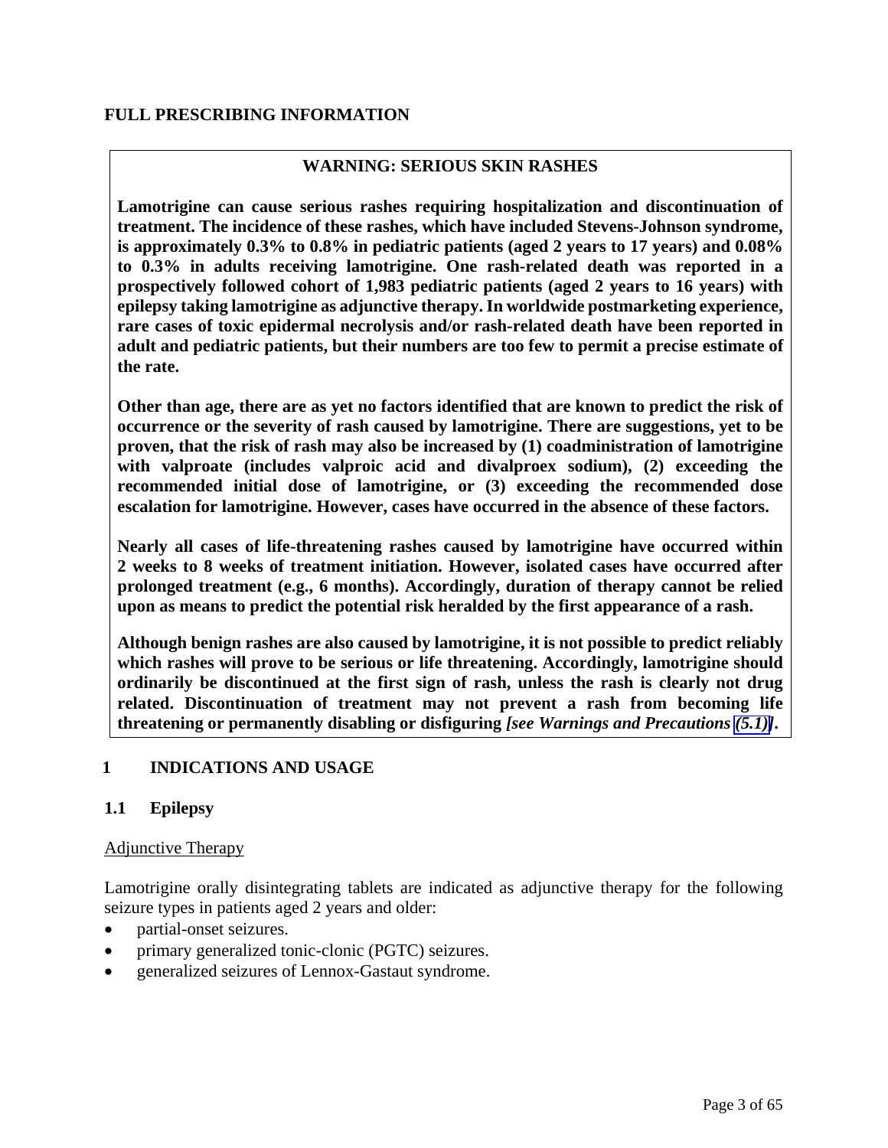# <span id="page-2-0"></span>**WARNING: SERIOUS SKIN RASHES**

<span id="page-2-2"></span><span id="page-2-1"></span>**Lamotrigine can cause serious rashes requiring hospitalization and discontinuation of treatment. The incidence of these rashes, which have included Stevens-Johnson syndrome, is approximately 0.3% to 0.8% in pediatric patients (aged 2 years to 17 years) and 0.08% to 0.3% in adults receiving lamotrigine. One rash-related death was reported in a prospectively followed cohort of 1,983 pediatric patients (aged 2 years to 16 years) with epilepsy taking lamotrigine as adjunctive therapy. In worldwide postmarketing experience, rare cases of toxic epidermal necrolysis and/or rash-related death have been reported in adult and pediatric patients, but their numbers are too few to permit a precise estimate of the rate.** 

**Other than age, there are as yet no factors identified that are known to predict the risk of occurrence or the severity of rash caused by lamotrigine. There are suggestions, yet to be proven, that the risk of rash may also be increased by (1) coadministration of lamotrigine with valproate (includes valproic acid and divalproex sodium), (2) exceeding the recommended initial dose of lamotrigine, or (3) exceeding the recommended dose escalation for lamotrigine. However, cases have occurred in the absence of these factors.** 

**Nearly all cases of life-threatening rashes caused by lamotrigine have occurred within 2 weeks to 8 weeks of treatment initiation. However, isolated cases have occurred after prolonged treatment (e.g., 6 months). Accordingly, duration of therapy cannot be relied upon as means to predict the potential risk heralded by the first appearance of a rash.** 

**Although benign rashes are also caused by lamotrigine, it is not possible to predict reliably which rashes will prove to be serious or life threatening. Accordingly, lamotrigine should ordinarily be discontinued at the first sign of rash, unless the rash is clearly not drug related. Discontinuation of treatment may not prevent a rash from becoming life threatening or permanently disabling or disfiguring** *[see Warnings and Precautions [\(5.1\)\]](#page-13-0)***.**

# **1 INDICATIONS AND USAGE**

# **1.1 Epilepsy**

#### Adjunctive Therapy

Lamotrigine orally disintegrating tablets are indicated as adjunctive therapy for the following seizure types in patients aged 2 years and older:

- partial-onset seizures.
- primary generalized tonic-clonic (PGTC) seizures.
- generalized seizures of Lennox-Gastaut syndrome.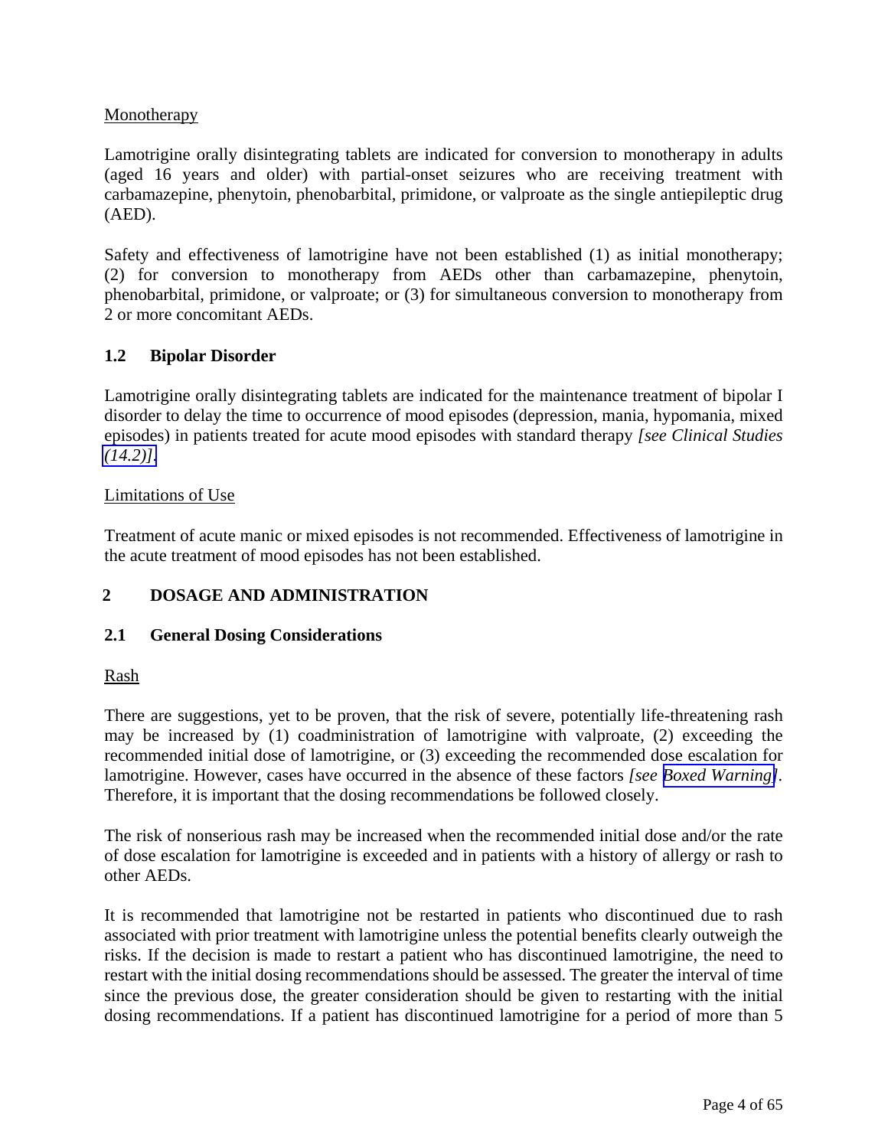# <span id="page-3-6"></span><span id="page-3-5"></span><span id="page-3-4"></span><span id="page-3-3"></span><span id="page-3-2"></span><span id="page-3-1"></span><span id="page-3-0"></span>**Monotherapy**

Lamotrigine orally disintegrating tablets are indicated for conversion to monotherapy in adults (aged 16 years and older) with partial-onset seizures who are receiving treatment with carbamazepine, phenytoin, phenobarbital, primidone, or valproate as the single antiepileptic drug (AED).

Safety and effectiveness of lamotrigine have not been established (1) as initial monotherapy; (2) for conversion to monotherapy from AEDs other than carbamazepine, phenytoin, phenobarbital, primidone, or valproate; or (3) for simultaneous conversion to monotherapy from 2 or more concomitant AEDs.

# **1.2 Bipolar Disorder**

Lamotrigine orally disintegrating tablets are indicated for the maintenance treatment of bipolar I disorder to delay the time to occurrence of mood episodes (depression, mania, hypomania, mixed episodes) in patients treated for acute mood episodes with standard therapy *[see Clinical Studies [\(14.2\)\].](#page-52-1)*

# Limitations of Use

Treatment of acute manic or mixed episodes is not recommended. Effectiveness of lamotrigine in the acute treatment of mood episodes has not been established.

# **2 DOSAGE AND ADMINISTRATION**

# **2.1 General Dosing Considerations**

#### Rash

There are suggestions, yet to be proven, that the risk of severe, potentially life-threatening rash may be increased by (1) coadministration of lamotrigine with valproate, (2) exceeding the recommended initial dose of lamotrigine, or (3) exceeding the recommended dose escalation for lamotrigine. However, cases have occurred in the absence of these factors *[see [Boxed Warning\]](#page-2-0).* Therefore, it is important that the dosing recommendations be followed closely.

The risk of nonserious rash may be increased when the recommended initial dose and/or the rate of dose escalation for lamotrigine is exceeded and in patients with a history of allergy or rash to other AEDs.

It is recommended that lamotrigine not be restarted in patients who discontinued due to rash associated with prior treatment with lamotrigine unless the potential benefits clearly outweigh the risks. If the decision is made to restart a patient who has discontinued lamotrigine, the need to restart with the initial dosing recommendations should be assessed. The greater the interval of time since the previous dose, the greater consideration should be given to restarting with the initial dosing recommendations. If a patient has discontinued lamotrigine for a period of more than 5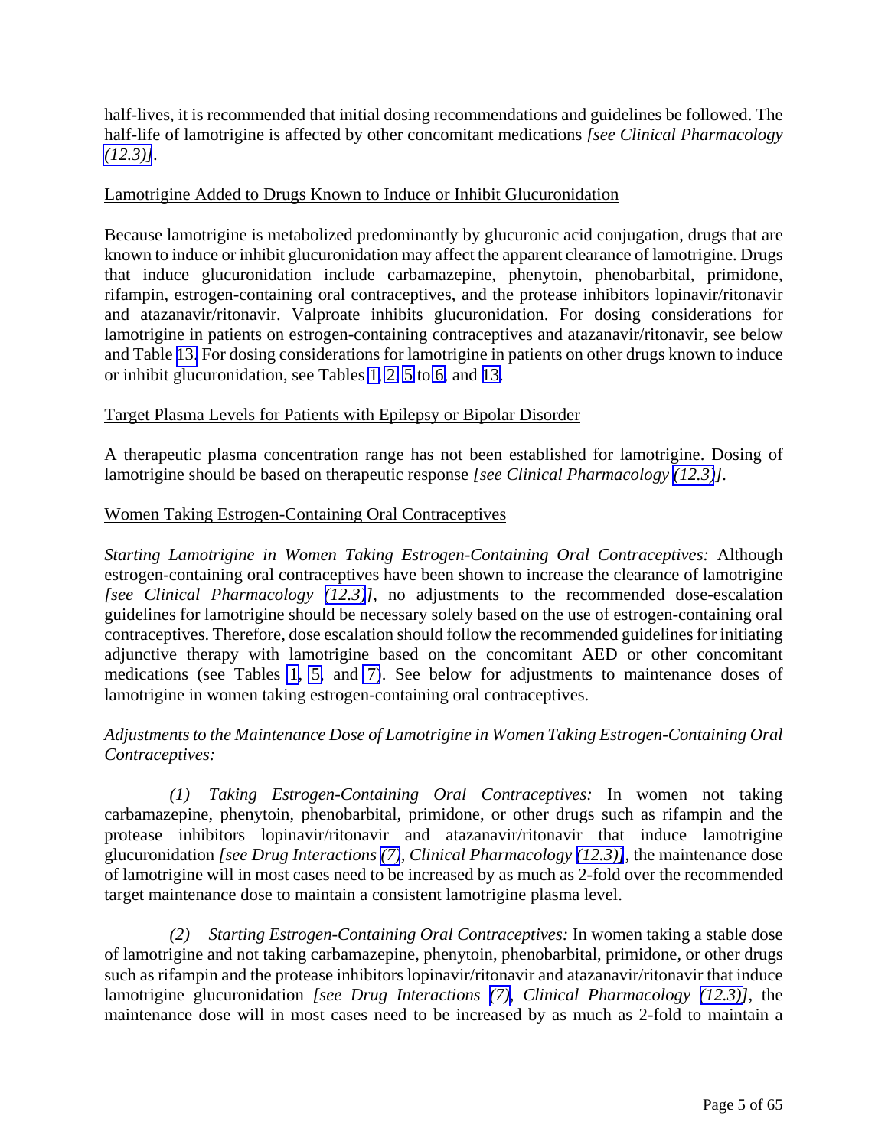half-lives, it is recommended that initial dosing recommendations and guidelines be followed. The half-life of lamotrigine is affected by other concomitant medications *[see Clinical Pharmacology [\(12.3\)\]](#page-39-0)*.

### Lamotrigine Added to Drugs Known to Induce or Inhibit Glucuronidation

Because lamotrigine is metabolized predominantly by glucuronic acid conjugation, drugs that are known to induce or inhibit glucuronidation may affect the apparent clearance of lamotrigine. Drugs that induce glucuronidation include carbamazepine, phenytoin, phenobarbital, primidone, rifampin, estrogen-containing oral contraceptives, and the protease inhibitors lopinavir/ritonavir and atazanavir/ritonavir. Valproate inhibits glucuronidation. For dosing considerations for lamotrigine in patients on estrogen-containing contraceptives and atazanavir/ritonavir, see below and Table [13.](#page-31-0) For dosing considerations for lamotrigine in patients on other drugs known to induce or inhibit glucuronidation, see Tables [1,](#page-7-2) [2,](#page-8-1) [5](#page-11-0) to [6,](#page-12-1) and [13.](#page-31-0)

### Target Plasma Levels for Patients with Epilepsy or Bipolar Disorder

A therapeutic plasma concentration range has not been established for lamotrigine. Dosing of lamotrigine should be based on therapeutic response *[see Clinical Pharmacology [\(12.3\)](#page-39-0)].*

### Women Taking Estrogen-Containing Oral Contraceptives

*Starting Lamotrigine in Women Taking Estrogen-Containing Oral Contraceptives:* Although estrogen-containing oral contraceptives have been shown to increase the clearance of lamotrigine *[see Clinical Pharmacology [\(12.3\)](#page-39-0)]*, no adjustments to the recommended dose-escalation guidelines for lamotrigine should be necessary solely based on the use of estrogen-containing oral contraceptives. Therefore, dose escalation should follow the recommended guidelines for initiating adjunctive therapy with lamotrigine based on the concomitant AED or other concomitant medications (see Tables [1,](#page-7-2) [5,](#page-11-0) and [7\)](#page-16-1). See below for adjustments to maintenance doses of lamotrigine in women taking estrogen-containing oral contraceptives.

# *Adjustments to the Maintenance Dose of Lamotrigine in Women Taking Estrogen-Containing Oral Contraceptives:*

*(1) Taking Estrogen-Containing Oral Contraceptives:* In women not taking carbamazepine, phenytoin, phenobarbital, primidone, or other drugs such as rifampin and the protease inhibitors lopinavir/ritonavir and atazanavir/ritonavir that induce lamotrigine glucuronidation *[see Drug Interactions [\(7\)](#page-31-0), Clinical Pharmacology [\(12.3\)\]](#page-39-0),* the maintenance dose of lamotrigine will in most cases need to be increased by as much as 2-fold over the recommended target maintenance dose to maintain a consistent lamotrigine plasma level.

*(2) Starting Estrogen-Containing Oral Contraceptives:* In women taking a stable dose of lamotrigine and not taking carbamazepine, phenytoin, phenobarbital, primidone, or other drugs such as rifampin and the protease inhibitors lopinavir/ritonavir and atazanavir/ritonavir that induce lamotrigine glucuronidation *[see Drug Interactions [\(7\),](#page-31-0) Clinical Pharmacology [\(12.3\)\]](#page-39-0),* the maintenance dose will in most cases need to be increased by as much as 2-fold to maintain a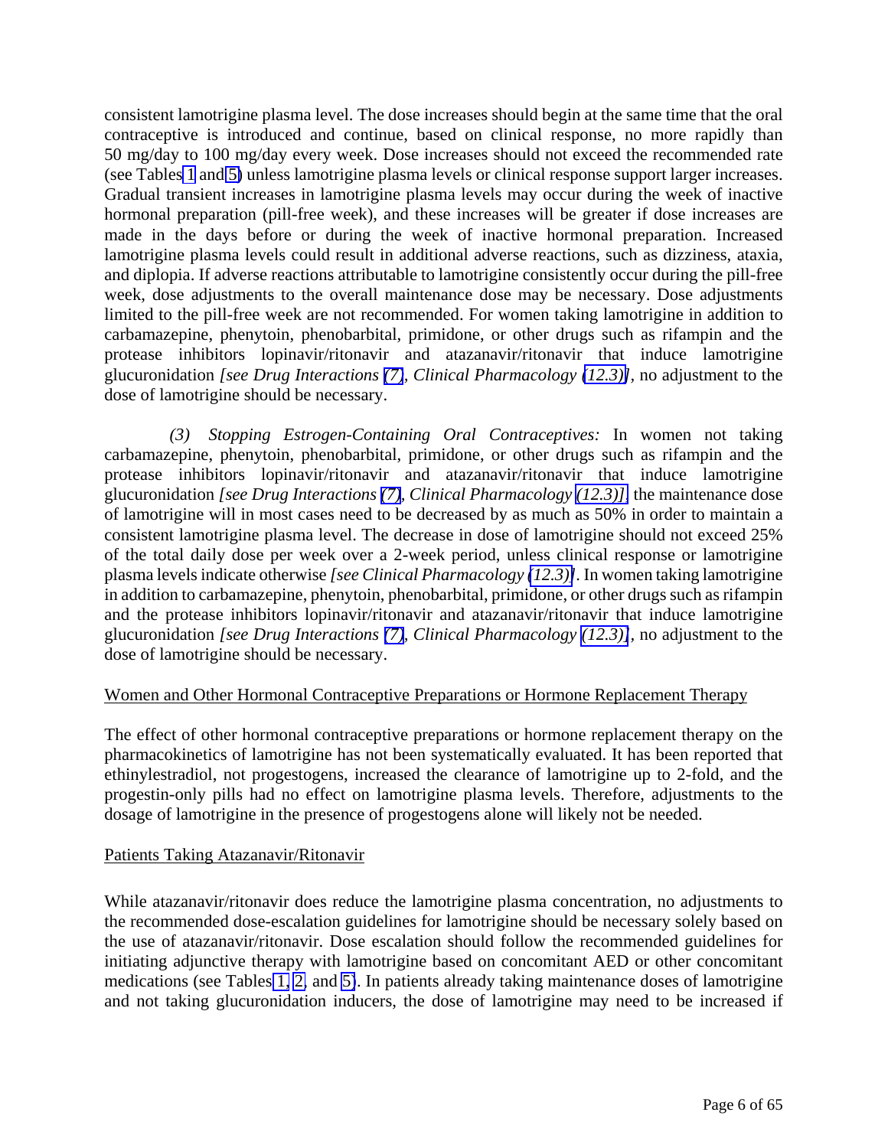consistent lamotrigine plasma level. The dose increases should begin at the same time that the oral contraceptive is introduced and continue, based on clinical response, no more rapidly than 50 mg/day to 100 mg/day every week. Dose increases should not exceed the recommended rate (see Table[s 1](#page-7-2) and [5\)](#page-11-0) unless lamotrigine plasma levels or clinical response support larger increases. Gradual transient increases in lamotrigine plasma levels may occur during the week of inactive hormonal preparation (pill-free week), and these increases will be greater if dose increases are made in the days before or during the week of inactive hormonal preparation. Increased lamotrigine plasma levels could result in additional adverse reactions, such as dizziness, ataxia, and diplopia. If adverse reactions attributable to lamotrigine consistently occur during the pill-free week, dose adjustments to the overall maintenance dose may be necessary. Dose adjustments limited to the pill-free week are not recommended. For women taking lamotrigine in addition to carbamazepine, phenytoin, phenobarbital, primidone, or other drugs such as rifampin and the protease inhibitors lopinavir/ritonavir and atazanavir/ritonavir that induce lamotrigine glucuronidation *[see Drug Interactions [\(7\)](#page-31-0), Clinical Pharmacology [\(12.3\)\]](#page-39-0),* no adjustment to the dose of lamotrigine should be necessary.

*(3) Stopping Estrogen-Containing Oral Contraceptives:* In women not taking carbamazepine, phenytoin, phenobarbital, primidone, or other drugs such as rifampin and the protease inhibitors lopinavir/ritonavir and atazanavir/ritonavir that induce lamotrigine glucuronidation *[see Drug Interactions [\(7\)](#page-31-0), Clinical Pharmacology [\(12.3\)\],](#page-39-0)* the maintenance dose of lamotrigine will in most cases need to be decreased by as much as 50% in order to maintain a consistent lamotrigine plasma level. The decrease in dose of lamotrigine should not exceed 25% of the total daily dose per week over a 2-week period, unless clinical response or lamotrigine plasma levels indicate otherwise *[see Clinical Pharmacology [\(12.3\)\]](#page-39-0).* In women taking lamotrigine in addition to carbamazepine, phenytoin, phenobarbital, primidone, or other drugs such as rifampin and the protease inhibitors lopinavir/ritonavir and atazanavir/ritonavir that induce lamotrigine glucuronidation *[see Drug Interactions [\(7\)](#page-31-0), Clinical Pharmacology [\(12.3\)\]](#page-39-0),* no adjustment to the dose of lamotrigine should be necessary.

# Women and Other Hormonal Contraceptive Preparations or Hormone Replacement Therapy

The effect of other hormonal contraceptive preparations or hormone replacement therapy on the pharmacokinetics of lamotrigine has not been systematically evaluated. It has been reported that ethinylestradiol, not progestogens, increased the clearance of lamotrigine up to 2-fold, and the progestin-only pills had no effect on lamotrigine plasma levels. Therefore, adjustments to the dosage of lamotrigine in the presence of progestogens alone will likely not be needed.

# Patients Taking Atazanavir/Ritonavir

While atazanavir/ritonavir does reduce the lamotrigine plasma concentration, no adjustments to the recommended dose-escalation guidelines for lamotrigine should be necessary solely based on the use of atazanavir/ritonavir. Dose escalation should follow the recommended guidelines for initiating adjunctive therapy with lamotrigine based on concomitant AED or other concomitant medications (see Tables [1,](#page-7-2) [2,](#page-8-1) and [5\)](#page-11-0). In patients already taking maintenance doses of lamotrigine and not taking glucuronidation inducers, the dose of lamotrigine may need to be increased if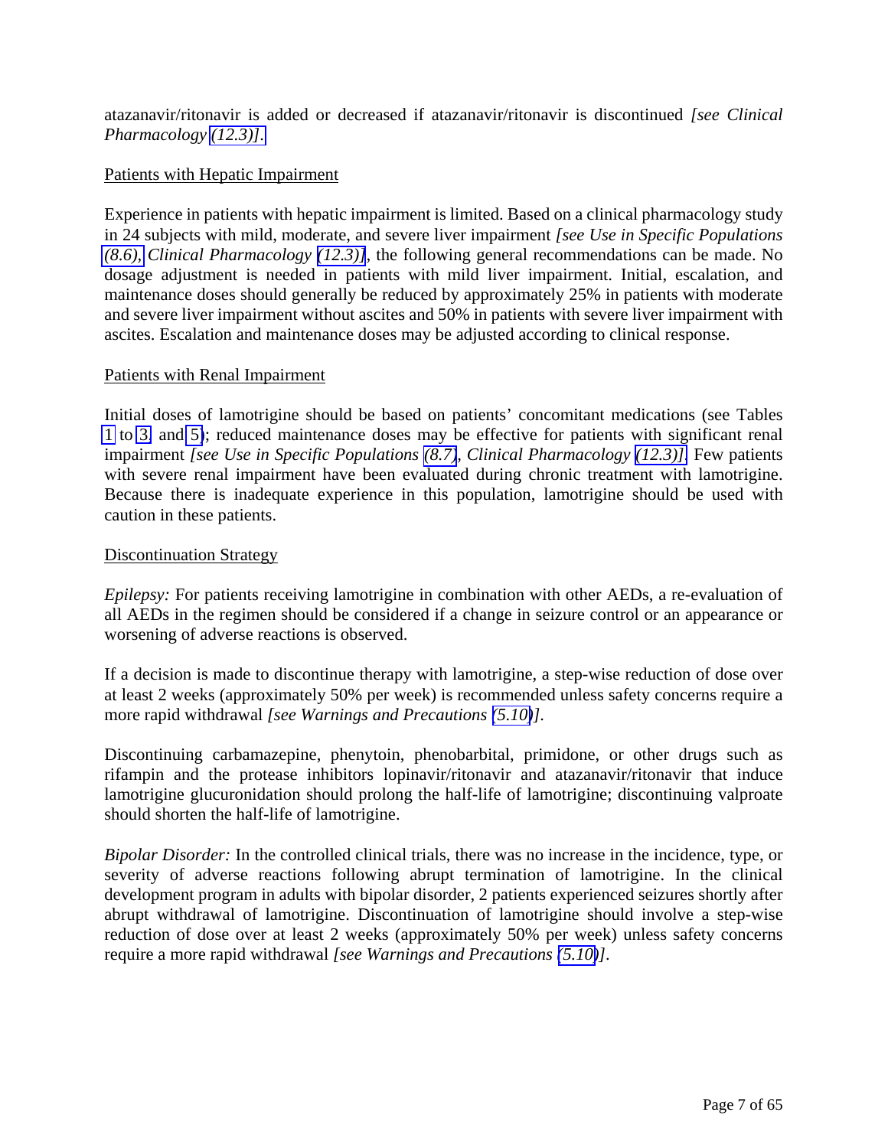atazanavir/ritonavir is added or decreased if atazanavir/ritonavir is discontinued *[see Clinical Pharmacology [\(12.3\)\].](#page-39-0)*

# Patients with Hepatic Impairment

Experience in patients with hepatic impairment is limited. Based on a clinical pharmacology study in 24 subjects with mild, moderate, and severe liver impairment *[see Use in Specific Populations [\(8.6\),](#page-36-1) Clinical Pharmacology [\(12.3\)\]](#page-39-0),* the following general recommendations can be made. No dosage adjustment is needed in patients with mild liver impairment. Initial, escalation, and maintenance doses should generally be reduced by approximately 25% in patients with moderate and severe liver impairment without ascites and 50% in patients with severe liver impairment with ascites. Escalation and maintenance doses may be adjusted according to clinical response.

# Patients with Renal Impairment

Initial doses of lamotrigine should be based on patients' concomitant medications (see Tables [1](#page-7-2) to [3,](#page-9-0) and [5\)](#page-11-0); reduced maintenance doses may be effective for patients with significant renal impairment *[see Use in Specific Populations [\(8.7\)](#page-36-0), Clinical Pharmacology [\(12.3\)\].](#page-39-0)* Few patients with severe renal impairment have been evaluated during chronic treatment with lamotrigine. Because there is inadequate experience in this population, lamotrigine should be used with caution in these patients.

### Discontinuation Strategy

*Epilepsy:* For patients receiving lamotrigine in combination with other AEDs, a re-evaluation of all AEDs in the regimen should be considered if a change in seizure control or an appearance or worsening of adverse reactions is observed.

If a decision is made to discontinue therapy with lamotrigine, a step-wise reduction of dose over at least 2 weeks (approximately 50% per week) is recommended unless safety concerns require a more rapid withdrawal *[see Warnings and Precautions [\(5.10\)](#page-18-2)].* 

Discontinuing carbamazepine, phenytoin, phenobarbital, primidone, or other drugs such as rifampin and the protease inhibitors lopinavir/ritonavir and atazanavir/ritonavir that induce lamotrigine glucuronidation should prolong the half-life of lamotrigine; discontinuing valproate should shorten the half-life of lamotrigine.

*Bipolar Disorder:* In the controlled clinical trials, there was no increase in the incidence, type, or severity of adverse reactions following abrupt termination of lamotrigine. In the clinical development program in adults with bipolar disorder, 2 patients experienced seizures shortly after abrupt withdrawal of lamotrigine. Discontinuation of lamotrigine should involve a step-wise reduction of dose over at least 2 weeks (approximately 50% per week) unless safety concerns require a more rapid withdrawal *[see Warnings and Precautions [\(5.10\)](#page-18-2)].*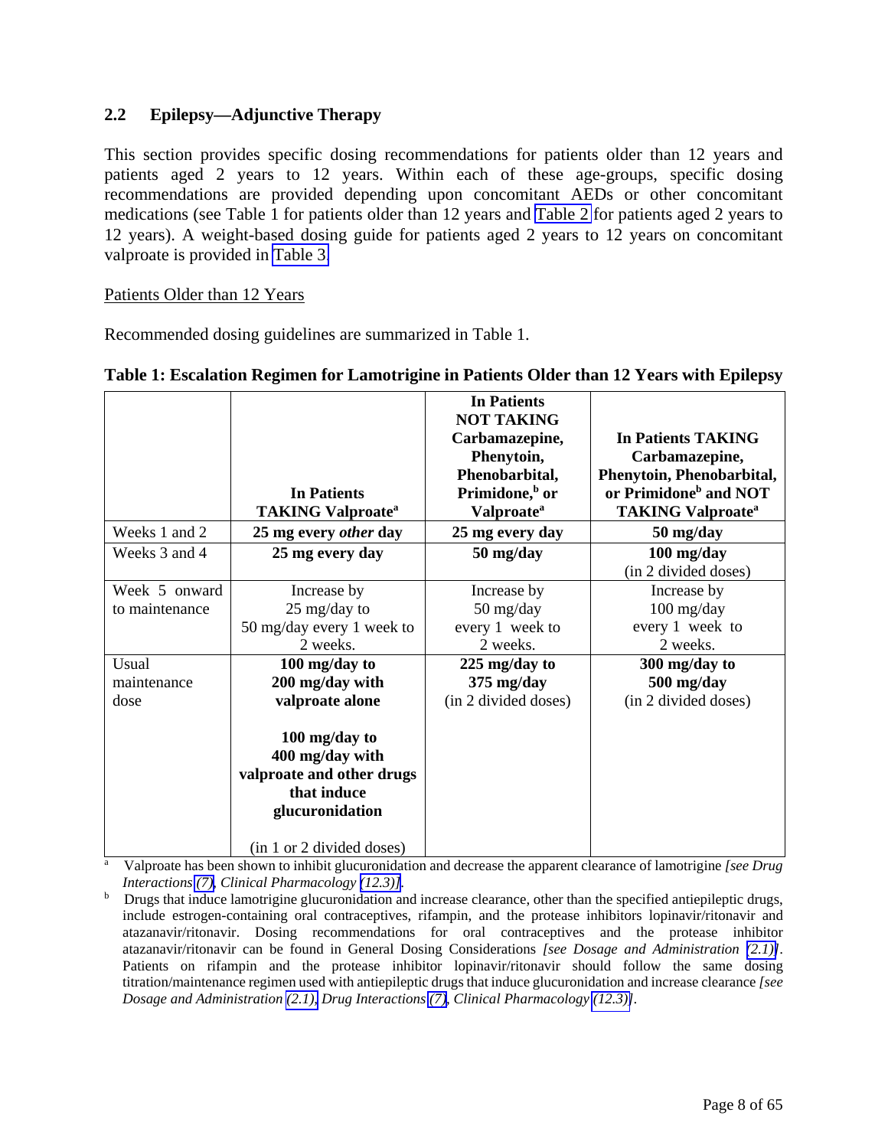# <span id="page-7-3"></span><span id="page-7-2"></span><span id="page-7-1"></span><span id="page-7-0"></span>**2.2 Epilepsy—Adjunctive Therapy**

This section provides specific dosing recommendations for patients older than 12 years and patients aged 2 years to 12 years. Within each of these age-groups, specific dosing recommendations are provided depending upon concomitant AEDs or other concomitant medications (see Table 1 for patients older than 12 years and [Table 2](#page-8-2) for patients aged 2 years to 12 years). A weight-based dosing guide for patients aged 2 years to 12 years on concomitant valproate is provided in [Table 3.](#page-9-0)

# Patients Older than 12 Years

Recommended dosing guidelines are summarized in Table 1.

|                | <b>In Patients</b><br><b>TAKING Valproate<sup>a</sup></b>                                       | <b>In Patients</b><br><b>NOT TAKING</b><br>Carbamazepine,<br>Phenytoin,<br>Phenobarbital,<br>Primidone, <sup>b</sup> or<br><b>Valproate</b> <sup>a</sup> | In Patients TAKING<br>Carbamazepine,<br>Phenytoin, Phenobarbital,<br>or Primidone <sup>b</sup> and NOT<br><b>TAKING Valproate<sup>a</sup></b> |
|----------------|-------------------------------------------------------------------------------------------------|----------------------------------------------------------------------------------------------------------------------------------------------------------|-----------------------------------------------------------------------------------------------------------------------------------------------|
| Weeks 1 and 2  | 25 mg every other day                                                                           | 25 mg every day                                                                                                                                          | 50 mg/day                                                                                                                                     |
| Weeks 3 and 4  | 25 mg every day                                                                                 | 50 mg/day                                                                                                                                                | 100 mg/day<br>(in 2 divided doses)                                                                                                            |
| Week 5 onward  | Increase by                                                                                     | Increase by                                                                                                                                              | Increase by                                                                                                                                   |
| to maintenance | 25 mg/day to                                                                                    | 50 mg/day                                                                                                                                                | $100$ mg/day                                                                                                                                  |
|                | 50 mg/day every 1 week to                                                                       | every 1 week to                                                                                                                                          | every 1 week to                                                                                                                               |
|                | 2 weeks.                                                                                        | 2 weeks.                                                                                                                                                 | 2 weeks.                                                                                                                                      |
| Usual          | 100 mg/day to                                                                                   | 225 mg/day to                                                                                                                                            | 300 mg/day to                                                                                                                                 |
| maintenance    | 200 mg/day with                                                                                 | $375 \text{ mg/day}$                                                                                                                                     | 500 mg/day                                                                                                                                    |
| dose           | valproate alone                                                                                 | (in 2 divided doses)                                                                                                                                     | (in 2 divided doses)                                                                                                                          |
|                | 100 mg/day to<br>400 mg/day with<br>valproate and other drugs<br>that induce<br>glucuronidation |                                                                                                                                                          |                                                                                                                                               |
|                | (in 1 or 2 divided doses)                                                                       |                                                                                                                                                          |                                                                                                                                               |

#### **Table 1: Escalation Regimen for Lamotrigine in Patients Older than 12 Years with Epilepsy**

a Valproate has been shown to inhibit glucuronidation and decrease the apparent clearance of lamotrigine *[see Drug* 

*Interactions (7), Clinical Pharmacology (12.3)]*. **b** Drugs that induce lamotrigine glucuronidation and increase clearance, other than the specified antiepileptic drugs, include estrogen-containing oral contraceptives, rifampin, and the protease inhibitors lopinavir/ritonavir and atazanavir/ritonavir. Dosing recommendations for oral contraceptives and the protease inhibitor atazanavir/ritonavir can be found in General Dosing Considerations *[see Dosage and Administration [\(2.1\)\]](#page-3-2)*. Patients on rifampin and the protease inhibitor lopinavir/ritonavir should follow the same dosing titration/maintenance regimen used with antiepileptic drugs that induce glucuronidation and increase clearance *[see Dosage and Administration [\(2.1\),](#page-3-2) Drug Interactions [\(7\),](#page-31-0) Clinical Pharmacology [\(12.3\)\]](#page-39-0)*.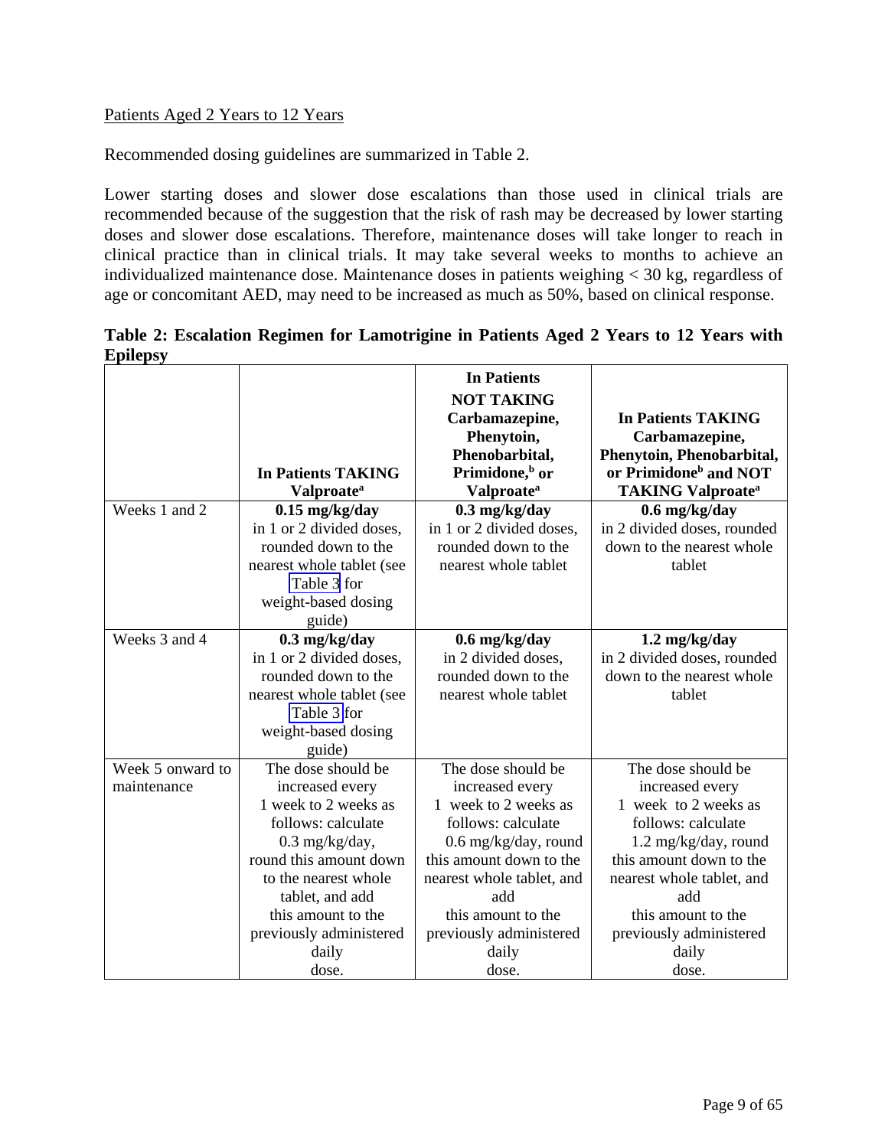# <span id="page-8-2"></span><span id="page-8-1"></span><span id="page-8-0"></span>Patients Aged 2 Years to 12 Years

Recommended dosing guidelines are summarized in Table 2.

Lower starting doses and slower dose escalations than those used in clinical trials are recommended because of the suggestion that the risk of rash may be decreased by lower starting doses and slower dose escalations. Therefore, maintenance doses will take longer to reach in clinical practice than in clinical trials. It may take several weeks to months to achieve an individualized maintenance dose. Maintenance doses in patients weighing < 30 kg, regardless of age or concomitant AED, may need to be increased as much as 50%, based on clinical response.

**Table 2: Escalation Regimen for Lamotrigine in Patients Aged 2 Years to 12 Years with Epilepsy** 

|                  | <b>In Patients TAKING</b>             | <b>In Patients</b><br><b>NOT TAKING</b><br>Carbamazepine,<br>Phenytoin,<br>Phenobarbital,<br>Primidone, <sup>b</sup> or | <b>In Patients TAKING</b><br>Carbamazepine,<br>Phenytoin, Phenobarbital,<br>or Primidone <sup>b</sup> and NOT |
|------------------|---------------------------------------|-------------------------------------------------------------------------------------------------------------------------|---------------------------------------------------------------------------------------------------------------|
|                  | <b>Valproate</b> <sup>a</sup>         | <b>Valproate</b> <sup>a</sup>                                                                                           | <b>TAKING Valproate<sup>a</sup></b>                                                                           |
| Weeks 1 and 2    | $0.15$ mg/kg/day                      | $0.3$ mg/kg/day                                                                                                         | 0.6 mg/kg/day                                                                                                 |
|                  | in 1 or 2 divided doses.              | in 1 or 2 divided doses,                                                                                                | in 2 divided doses, rounded                                                                                   |
|                  | rounded down to the                   | rounded down to the                                                                                                     | down to the nearest whole                                                                                     |
|                  | nearest whole tablet (see             | nearest whole tablet                                                                                                    | tablet                                                                                                        |
|                  | Table 3 for                           |                                                                                                                         |                                                                                                               |
|                  | weight-based dosing                   |                                                                                                                         |                                                                                                               |
|                  | guide)                                |                                                                                                                         |                                                                                                               |
| Weeks 3 and 4    | $0.3$ mg/kg/day                       | $0.6$ mg/kg/day                                                                                                         | 1.2 mg/kg/day                                                                                                 |
|                  | in 1 or 2 divided doses.              | in 2 divided doses,                                                                                                     | in 2 divided doses, rounded                                                                                   |
|                  | rounded down to the                   | rounded down to the                                                                                                     | down to the nearest whole                                                                                     |
|                  | nearest whole tablet (see             | nearest whole tablet                                                                                                    | tablet                                                                                                        |
|                  | Table 3 for                           |                                                                                                                         |                                                                                                               |
|                  | weight-based dosing                   |                                                                                                                         |                                                                                                               |
|                  | guide)                                |                                                                                                                         |                                                                                                               |
| Week 5 onward to | The dose should be                    | The dose should be                                                                                                      | The dose should be                                                                                            |
| maintenance      | increased every                       | increased every                                                                                                         | increased every                                                                                               |
|                  | 1 week to 2 weeks as                  | 1 week to 2 weeks as                                                                                                    | 1 week to 2 weeks as                                                                                          |
|                  | follows: calculate                    | follows: calculate                                                                                                      | follows: calculate                                                                                            |
|                  | $0.3$ mg/kg/day,                      | $0.6$ mg/kg/day, round                                                                                                  | $1.2 \text{ mg/kg/day}$ , round                                                                               |
|                  | round this amount down                | this amount down to the                                                                                                 | this amount down to the                                                                                       |
|                  | to the nearest whole                  | nearest whole tablet, and<br>add                                                                                        | nearest whole tablet, and<br>add                                                                              |
|                  | tablet, and add<br>this amount to the | this amount to the                                                                                                      |                                                                                                               |
|                  |                                       |                                                                                                                         | this amount to the                                                                                            |
|                  | previously administered               | previously administered                                                                                                 | previously administered                                                                                       |
|                  | daily                                 | daily                                                                                                                   | daily                                                                                                         |
|                  | dose.                                 | dose.                                                                                                                   | dose.                                                                                                         |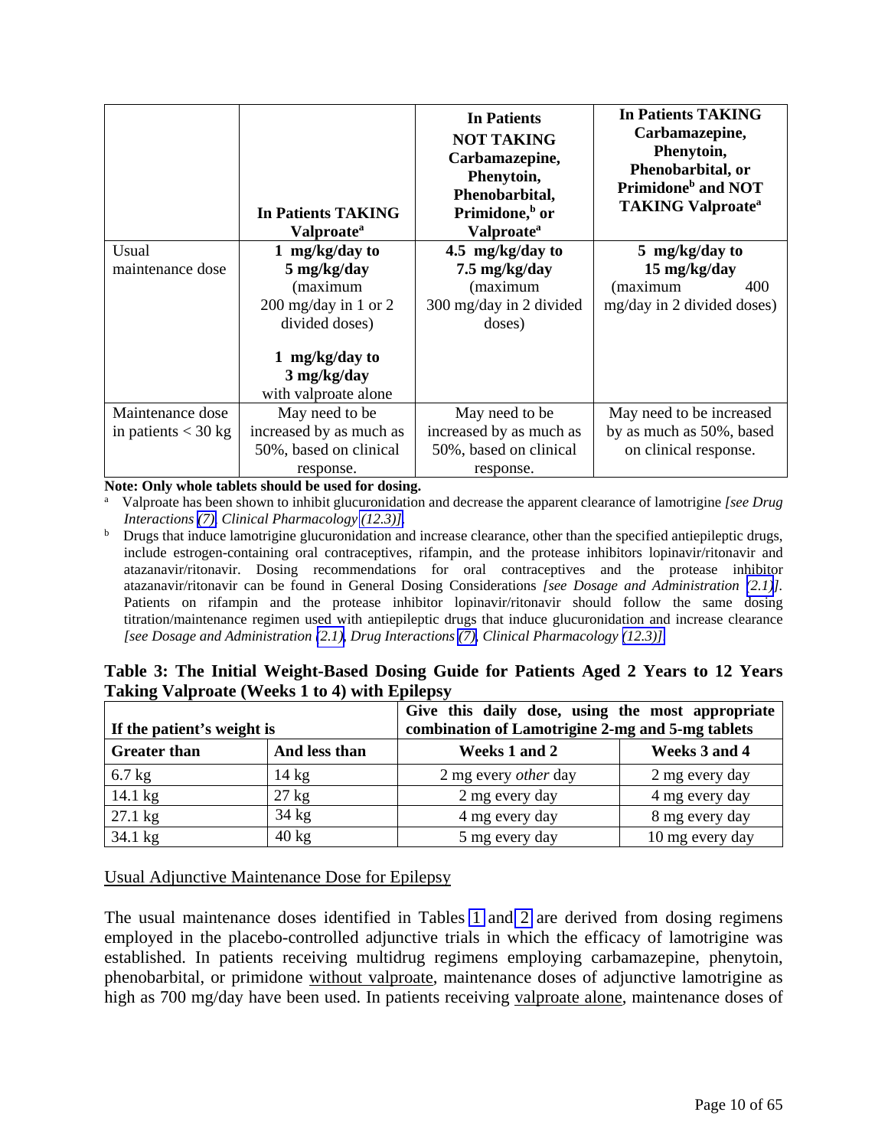<span id="page-9-2"></span><span id="page-9-1"></span><span id="page-9-0"></span>

|                       | In Patients TAKING<br>Valproate <sup>a</sup> | In Patients<br><b>NOT TAKING</b><br>Carbamazepine,<br>Phenytoin,<br>Phenobarbital,<br>Primidone, <sup>b</sup> or<br><b>Valproate</b> <sup>a</sup> | <b>In Patients TAKING</b><br>Carbamazepine,<br>Phenytoin,<br>Phenobarbital, or<br>Primidone <sup>b</sup> and NOT<br><b>TAKING Valproate<sup>a</sup></b> |
|-----------------------|----------------------------------------------|---------------------------------------------------------------------------------------------------------------------------------------------------|---------------------------------------------------------------------------------------------------------------------------------------------------------|
| Usual                 | 1 mg/kg/day to                               | 4.5 mg/kg/day to                                                                                                                                  | 5 mg/kg/day to                                                                                                                                          |
| maintenance dose      | 5 mg/kg/day                                  | 7.5 mg/kg/day                                                                                                                                     | 15 mg/kg/day                                                                                                                                            |
|                       | (maximum                                     | (maximum                                                                                                                                          | (maximum<br>400                                                                                                                                         |
|                       | $200 \text{ mg/day}$ in 1 or 2               | 300 mg/day in 2 divided                                                                                                                           | mg/day in 2 divided doses)                                                                                                                              |
|                       | divided doses)                               | doses)                                                                                                                                            |                                                                                                                                                         |
|                       | 1 mg/kg/day to                               |                                                                                                                                                   |                                                                                                                                                         |
|                       | 3 mg/kg/day                                  |                                                                                                                                                   |                                                                                                                                                         |
|                       | with valproate alone                         |                                                                                                                                                   |                                                                                                                                                         |
| Maintenance dose      | May need to be                               | May need to be                                                                                                                                    | May need to be increased                                                                                                                                |
| in patients $<$ 30 kg | increased by as much as                      | increased by as much as                                                                                                                           | by as much as 50%, based                                                                                                                                |
|                       | 50%, based on clinical                       | 50%, based on clinical                                                                                                                            | on clinical response.                                                                                                                                   |
|                       | response.                                    | response.                                                                                                                                         |                                                                                                                                                         |

**Note: Only whole tablets should be used for dosing.** 

a Valproate has been shown to inhibit glucuronidation and decrease the apparent clearance of lamotrigine *[see Drug Interactions [\(7\),](#page-31-0) Clinical Pharmacology [\(12.3\)\].](#page-39-0)* 

<sup>b</sup> Drugs that induce lamotrigine glucuronidation and increase clearance, other than the specified antiepileptic drugs, include estrogen-containing oral contraceptives, rifampin, and the protease inhibitors lopinavir/ritonavir and atazanavir/ritonavir. Dosing recommendations for oral contraceptives and the protease inhibitor atazanavir/ritonavir can be found in General Dosing Considerations *[see Dosage and Administration [\(2.1\)](#page-3-2)].* Patients on rifampin and the protease inhibitor lopinavir/ritonavir should follow the same dosing titration/maintenance regimen used with antiepileptic drugs that induce glucuronidation and increase clearance *[see Dosage and Administration [\(2.1\),](#page-3-2) Drug Interactions [\(7\),](#page-31-0) Clinical Pharmacology [\(12.3\)\].](#page-39-0)* 

| Table 3: The Initial Weight-Based Dosing Guide for Patients Aged 2 Years to 12 Years |  |  |  |
|--------------------------------------------------------------------------------------|--|--|--|
| <b>Taking Valproate (Weeks 1 to 4) with Epilepsy</b>                                 |  |  |  |

| If the patient's weight is |                 | Give this daily dose, using the most appropriate<br>combination of Lamotrigine 2-mg and 5-mg tablets |                 |  |  |
|----------------------------|-----------------|------------------------------------------------------------------------------------------------------|-----------------|--|--|
| <b>Greater than</b>        | And less than   | Weeks 1 and 2                                                                                        | Weeks 3 and 4   |  |  |
| $6.7$ kg                   | $14 \text{ kg}$ | 2 mg every <i>other</i> day                                                                          | 2 mg every day  |  |  |
| $14.1 \text{ kg}$          | $27 \text{ kg}$ | 2 mg every day                                                                                       | 4 mg every day  |  |  |
| $27.1$ kg                  | $34 \text{ kg}$ | 4 mg every day                                                                                       | 8 mg every day  |  |  |
| 34.1 kg                    | $40 \text{ kg}$ | 5 mg every day                                                                                       | 10 mg every day |  |  |

# Usual Adjunctive Maintenance Dose for Epilepsy

The usual maintenance doses identified in Tables [1](#page-7-2) and [2](#page-8-1) are derived from dosing regimens employed in the placebo-controlled adjunctive trials in which the efficacy of lamotrigine was established. In patients receiving multidrug regimens employing carbamazepine, phenytoin, phenobarbital, or primidone without valproate, maintenance doses of adjunctive lamotrigine as high as 700 mg/day have been used. In patients receiving valproate alone, maintenance doses of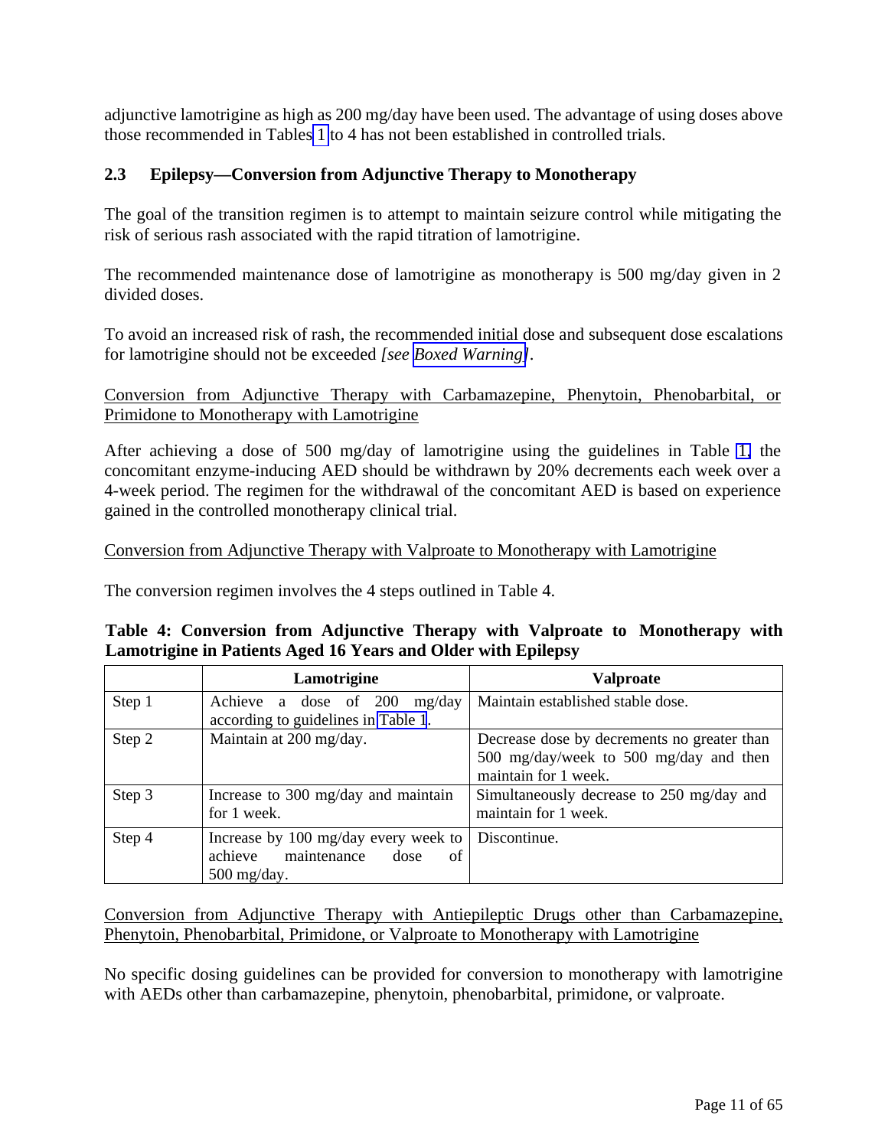<span id="page-10-2"></span><span id="page-10-1"></span><span id="page-10-0"></span>adjunctive lamotrigine as high as 200 mg/day have been used. The advantage of using doses above those recommended in Tables [1](#page-7-2) to 4 has not been established in controlled trials.

# **2.3 Epilepsy—Conversion from Adjunctive Therapy to Monotherapy**

The goal of the transition regimen is to attempt to maintain seizure control while mitigating the risk of serious rash associated with the rapid titration of lamotrigine.

The recommended maintenance dose of lamotrigine as monotherapy is 500 mg/day given in 2 divided doses.

To avoid an increased risk of rash, the recommended initial dose and subsequent dose escalations for lamotrigine should not be exceeded *[see [Boxed Warning\]](#page-2-0)*.

# Conversion from Adjunctive Therapy with Carbamazepine, Phenytoin, Phenobarbital, or Primidone to Monotherapy with Lamotrigine

After achieving a dose of 500 mg/day of lamotrigine using the guidelines in Table [1,](#page-7-2) the concomitant enzyme-inducing AED should be withdrawn by 20% decrements each week over a 4-week period. The regimen for the withdrawal of the concomitant AED is based on experience gained in the controlled monotherapy clinical trial.

# Conversion from Adjunctive Therapy with Valproate to Monotherapy with Lamotrigine

The conversion regimen involves the 4 steps outlined in Table 4.

|  |  |                                                               |  |  | Table 4: Conversion from Adjunctive Therapy with Valproate to Monotherapy with |  |
|--|--|---------------------------------------------------------------|--|--|--------------------------------------------------------------------------------|--|
|  |  | Lamotrigine in Patients Aged 16 Years and Older with Epilepsy |  |  |                                                                                |  |

|        | Lamotrigine                                                                                   | <b>Valproate</b>                                                                                              |
|--------|-----------------------------------------------------------------------------------------------|---------------------------------------------------------------------------------------------------------------|
| Step 1 | Achieve a dose of 200<br>mg/day<br>according to guidelines in Table 1.                        | Maintain established stable dose.                                                                             |
| Step 2 | Maintain at 200 mg/day.                                                                       | Decrease dose by decrements no greater than<br>500 mg/day/week to 500 mg/day and then<br>maintain for 1 week. |
| Step 3 | Increase to 300 mg/day and maintain<br>for 1 week.                                            | Simultaneously decrease to 250 mg/day and<br>maintain for 1 week.                                             |
| Step 4 | Increase by 100 mg/day every week to<br>maintenance<br>of<br>achieve<br>dose<br>$500$ mg/day. | Discontinue.                                                                                                  |

Conversion from Adjunctive Therapy with Antiepileptic Drugs other than Carbamazepine, Phenytoin, Phenobarbital, Primidone, or Valproate to Monotherapy with Lamotrigine

No specific dosing guidelines can be provided for conversion to monotherapy with lamotrigine with AEDs other than carbamazepine, phenytoin, phenobarbital, primidone, or valproate.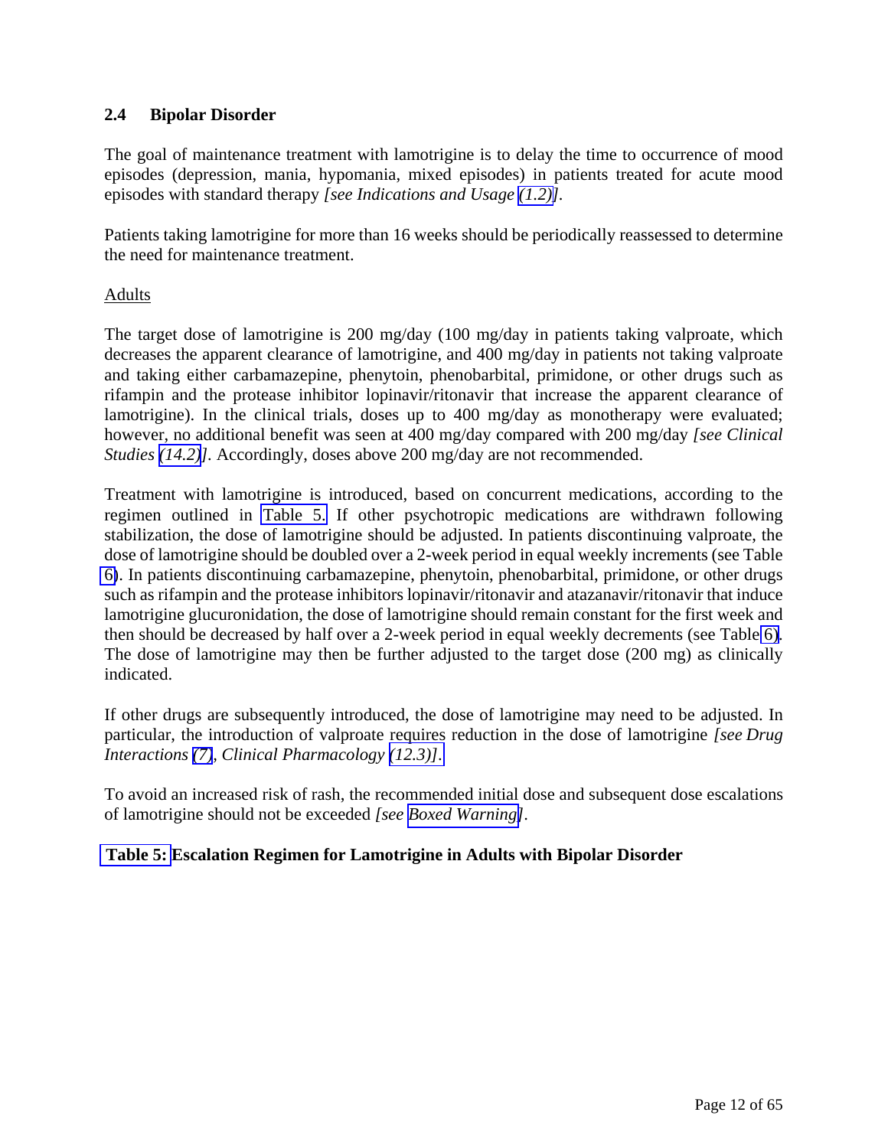# <span id="page-11-2"></span><span id="page-11-1"></span><span id="page-11-0"></span>**2.4 Bipolar Disorder**

The goal of maintenance treatment with lamotrigine is to delay the time to occurrence of mood episodes (depression, mania, hypomania, mixed episodes) in patients treated for acute mood episodes with standard therapy *[see Indications and Usage [\(1.2\)\]](#page-3-2).*

Patients taking lamotrigine for more than 16 weeks should be periodically reassessed to determine the need for maintenance treatment.

# Adults

The target dose of lamotrigine is 200 mg/day (100 mg/day in patients taking valproate, which decreases the apparent clearance of lamotrigine, and 400 mg/day in patients not taking valproate and taking either carbamazepine, phenytoin, phenobarbital, primidone, or other drugs such as rifampin and the protease inhibitor lopinavir/ritonavir that increase the apparent clearance of lamotrigine). In the clinical trials, doses up to 400 mg/day as monotherapy were evaluated; however, no additional benefit was seen at 400 mg/day compared with 200 mg/day *[see Clinical Studies [\(14.2\)](#page-52-0)].* Accordingly, doses above 200 mg/day are not recommended.

Treatment with lamotrigine is introduced, based on concurrent medications, according to the regimen outlined in [Table 5.](#page-12-1) If other psychotropic medications are withdrawn following stabilization, the dose of lamotrigine should be adjusted. In patients discontinuing valproate, the dose of lamotrigine should be doubled over a 2-week period in equal weekly increments (see Table [6\)](#page-12-1). In patients discontinuing carbamazepine, phenytoin, phenobarbital, primidone, or other drugs such as rifampin and the protease inhibitors lopinavir/ritonavir and atazanavir/ritonavir that induce lamotrigine glucuronidation, the dose of lamotrigine should remain constant for the first week and then should be decreased by half over a 2-week period in equal weekly decrements (see Table [6\)](#page-12-1). The dose of lamotrigine may then be further adjusted to the target dose (200 mg) as clinically indicated.

If other drugs are subsequently introduced, the dose of lamotrigine may need to be adjusted. In particular, the introduction of valproate requires reduction in the dose of lamotrigine *[see Drug Interactions [\(7\)](#page-31-0), Clinical Pharmacology [\(12.3\)\]](#page-39-0)*.

To avoid an increased risk of rash, the recommended initial dose and subsequent dose escalations of lamotrigine should not be exceeded *[see [Boxed Warning\]](#page-2-0)*.

# **[Table 5:](#page-12-1) Escalation Regimen for Lamotrigine in Adults with Bipolar Disorder**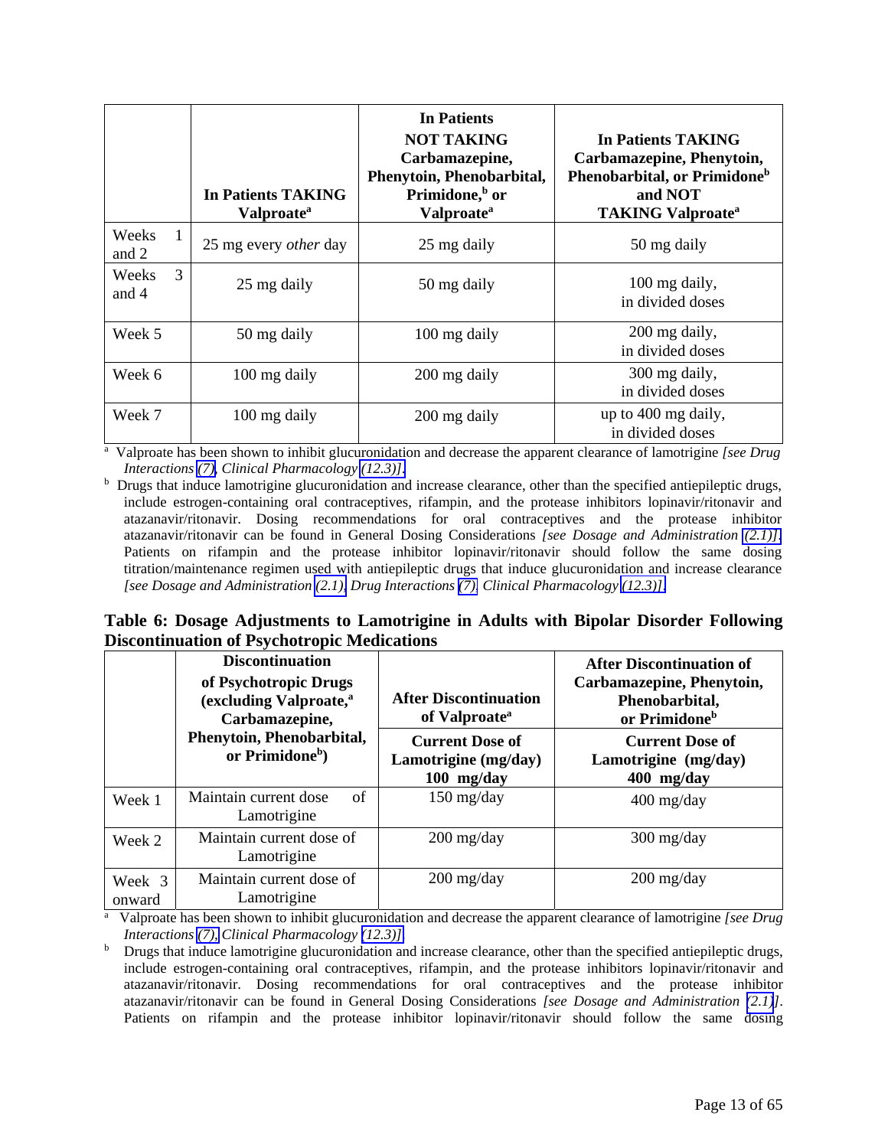<span id="page-12-1"></span><span id="page-12-0"></span>

|                                | <b>In Patients TAKING</b><br>Valproate <sup>a</sup> | <b>In Patients</b><br><b>NOT TAKING</b><br>Carbamazepine,<br>Phenytoin, Phenobarbital,<br>Primidone, <sup>b</sup> or<br><b>Valproate</b> <sup>a</sup> | In Patients TAKING<br>Carbamazepine, Phenytoin,<br>Phenobarbital, or Primidone <sup>b</sup><br>and NOT<br><b>TAKING Valproate<sup>a</sup></b> |
|--------------------------------|-----------------------------------------------------|-------------------------------------------------------------------------------------------------------------------------------------------------------|-----------------------------------------------------------------------------------------------------------------------------------------------|
| Weeks<br>$\mathbf{1}$<br>and 2 | 25 mg every <i>other</i> day                        | 25 mg daily                                                                                                                                           | 50 mg daily                                                                                                                                   |
| 3<br>Weeks<br>and 4            | 25 mg daily                                         | 50 mg daily                                                                                                                                           | 100 mg daily,<br>in divided doses                                                                                                             |
| Week 5                         | 50 mg daily                                         | 100 mg daily                                                                                                                                          | 200 mg daily,<br>in divided doses                                                                                                             |
| Week 6                         | 100 mg daily                                        | 200 mg daily                                                                                                                                          | 300 mg daily,<br>in divided doses                                                                                                             |
| Week 7                         | 100 mg daily                                        | 200 mg daily                                                                                                                                          | up to 400 mg daily,<br>in divided doses                                                                                                       |
|                                |                                                     |                                                                                                                                                       | <sup>a</sup> Valproate has been shown to inhibit glucuronidation and decrease the apparent clearance of lamotrigine [see Drug                 |

*Interactions (7), Clinical Pharmacology (12.3)]*[.](#page-39-0) b

 $<sup>b</sup>$  Drugs that induce lamotrigine glucuronidation and increase clearance, other than the specified antiepileptic drugs,</sup> include estrogen-containing oral contraceptives, rifampin, and the protease inhibitors lopinavir/ritonavir and atazanavir/ritonavir. Dosing recommendations for oral contraceptives and the protease inhibitor atazanavir/ritonavir can be found in General Dosing Considerations *[see Dosage and Administration [\(2.1\)\]](#page-3-5)*. Patients on rifampin and the protease inhibitor lopinavir/ritonavir should follow the same dosing titration/maintenance regimen used with antiepileptic drugs that induce glucuronidation and increase clearance *[see Dosage and Administration [\(2.1\),](#page-3-5) Drug Interactions [\(7\),](#page-31-0) Clinical Pharmacology [\(12.3\)\]](#page-39-0)*.

# **Table 6: Dosage Adjustments to Lamotrigine in Adults with Bipolar Disorder Following Discontinuation of Psychotropic Medications**

|                  | <b>Discontinuation</b><br>of Psychotropic Drugs<br>(excluding Valproate, <sup>a</sup><br>Carbamazepine, | <b>After Discontinuation</b><br>of Valproate <sup>a</sup>    | <b>After Discontinuation of</b><br>Carbamazepine, Phenytoin,<br>Phenobarbital,<br>or Primidone <sup>b</sup> |
|------------------|---------------------------------------------------------------------------------------------------------|--------------------------------------------------------------|-------------------------------------------------------------------------------------------------------------|
|                  | Phenytoin, Phenobarbital,<br>or Primidone <sup>b</sup> )                                                | <b>Current Dose of</b><br>Lamotrigine (mg/day)<br>100 mg/day | <b>Current Dose of</b><br>Lamotrigine (mg/day)<br>$400$ mg/day                                              |
| Week 1           | Maintain current dose<br>of<br>Lamotrigine                                                              | $150 \frac{\text{mg}}{\text{day}}$                           | $400$ mg/day                                                                                                |
| Week 2           | Maintain current dose of<br>Lamotrigine                                                                 | $200 \frac{\text{mg}}{\text{day}}$                           | $300 \frac{\text{mg}}{\text{day}}$                                                                          |
| Week 3<br>onward | Maintain current dose of<br>Lamotrigine                                                                 | $200$ mg/day                                                 | $200$ mg/day                                                                                                |

<sup>a</sup> Valproate has been shown to inhibit glucuronidation and decrease the apparent clearance of lamotrigine *[see Drug Interactions (7), Clinical Pharmacology (12.3)]*[.](#page-39-0) b

<sup>b</sup> Drugs that induce lamotrigine glucuronidation and increase clearance, other than the specified antiepileptic drugs, include estrogen-containing oral contraceptives, rifampin, and the protease inhibitors lopinavir/ritonavir and atazanavir/ritonavir. Dosing recommendations for oral contraceptives and the protease inhibitor atazanavir/ritonavir can be found in General Dosing Considerations *[see Dosage and Administration [\(2.1\)](#page-3-2)]*. Patients on rifampin and the protease inhibitor lopinavir/ritonavir should follow the same dosing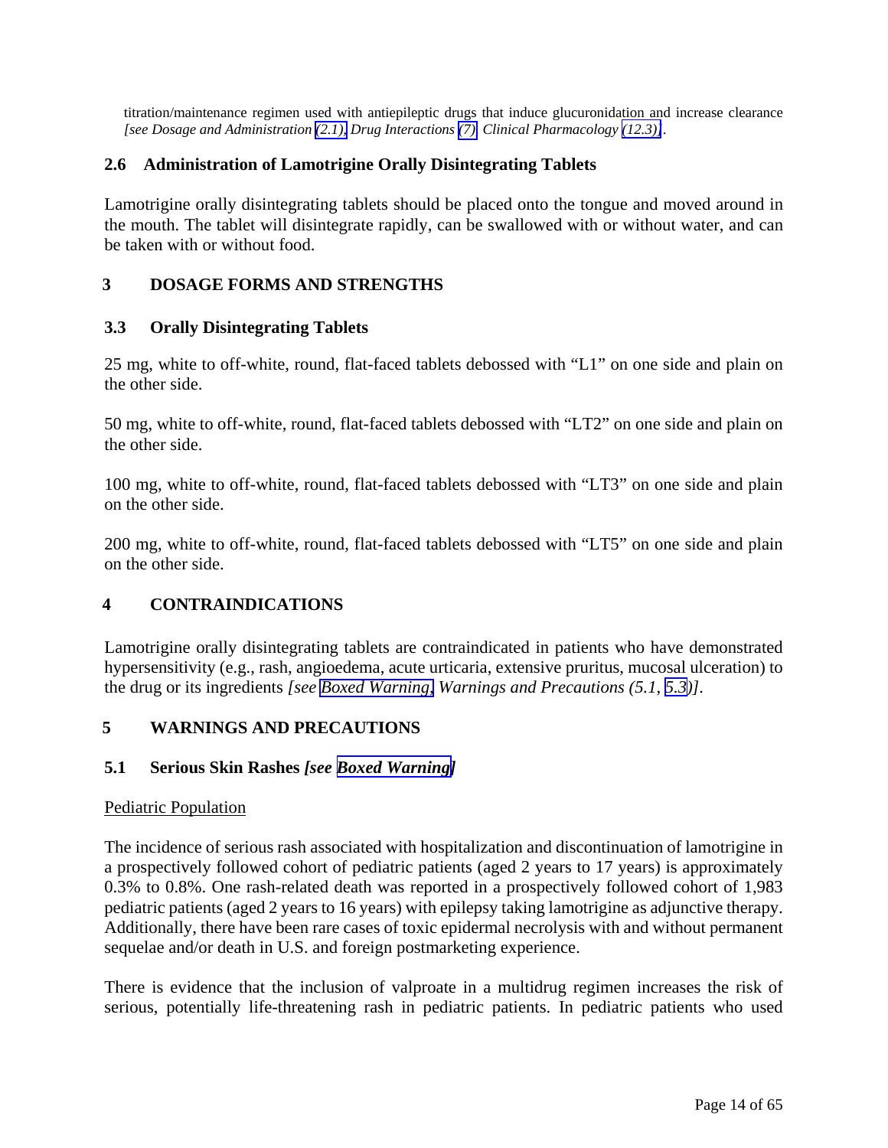<span id="page-13-5"></span><span id="page-13-3"></span><span id="page-13-2"></span><span id="page-13-1"></span><span id="page-13-0"></span>titration/maintenance regimen used with antiepileptic drugs that induce glucuronidation and increase clearance *[see Dosage and Administration [\(2.1\),](#page-3-2) Drug Interactions [\(7\),](#page-31-0) Clinical Pharmacology [\(12.3\)\]](#page-39-0)*.

# <span id="page-13-4"></span>**2.6 Administration of Lamotrigine Orally Disintegrating Tablets**

Lamotrigine orally disintegrating tablets should be placed onto the tongue and moved around in the mouth. The tablet will disintegrate rapidly, can be swallowed with or without water, and can be taken with or without food.

# **3 DOSAGE FORMS AND STRENGTHS**

# **3.3 Orally Disintegrating Tablets**

25 mg, white to off-white, round, flat-faced tablets debossed with "L1" on one side and plain on the other side.

50 mg, white to off-white, round, flat-faced tablets debossed with "LT2" on one side and plain on the other side.

100 mg, white to off-white, round, flat-faced tablets debossed with "LT3" on one side and plain on the other side.

200 mg, white to off-white, round, flat-faced tablets debossed with "LT5" on one side and plain on the other side.

# **4 CONTRAINDICATIONS**

Lamotrigine orally disintegrating tablets are contraindicated in patients who have demonstrated hypersensitivity (e.g., rash, angioedema, acute urticaria, extensive pruritus, mucosal ulceration) to the drug or its ingredients *[see [Boxed Warning,](#page-2-0) Warnings and Precautions (5.1, [5.3\)](#page-15-0)].* 

# **5 WARNINGS AND PRECAUTIONS**

# **5.1 Serious Skin Rashes** *[see [Boxed Warning\]](#page-2-0)*

#### Pediatric Population

The incidence of serious rash associated with hospitalization and discontinuation of lamotrigine in a prospectively followed cohort of pediatric patients (aged 2 years to 17 years) is approximately 0.3% to 0.8%. One rash-related death was reported in a prospectively followed cohort of 1,983 pediatric patients (aged 2 years to 16 years) with epilepsy taking lamotrigine as adjunctive therapy. Additionally, there have been rare cases of toxic epidermal necrolysis with and without permanent sequelae and/or death in U.S. and foreign postmarketing experience.

There is evidence that the inclusion of valproate in a multidrug regimen increases the risk of serious, potentially life-threatening rash in pediatric patients. In pediatric patients who used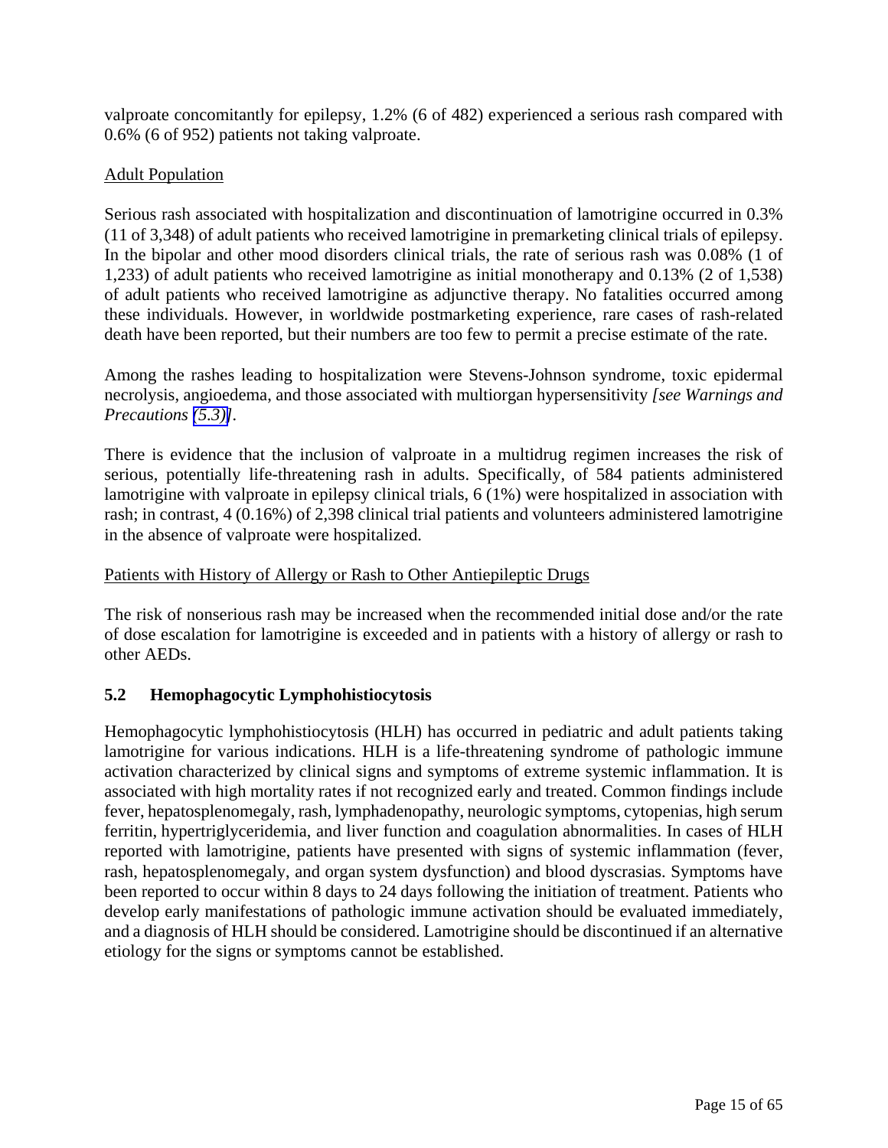<span id="page-14-2"></span><span id="page-14-1"></span><span id="page-14-0"></span>valproate concomitantly for epilepsy, 1.2% (6 of 482) experienced a serious rash compared with 0.6% (6 of 952) patients not taking valproate.

# Adult Population

Serious rash associated with hospitalization and discontinuation of lamotrigine occurred in 0.3% (11 of 3,348) of adult patients who received lamotrigine in premarketing clinical trials of epilepsy. In the bipolar and other mood disorders clinical trials, the rate of serious rash was 0.08% (1 of 1,233) of adult patients who received lamotrigine as initial monotherapy and 0.13% (2 of 1,538) of adult patients who received lamotrigine as adjunctive therapy. No fatalities occurred among these individuals. However, in worldwide postmarketing experience, rare cases of rash-related death have been reported, but their numbers are too few to permit a precise estimate of the rate.

Among the rashes leading to hospitalization were Stevens-Johnson syndrome, toxic epidermal necrolysis, angioedema, and those associated with multiorgan hypersensitivity *[see Warnings and Precautions [\(5.3\)\]](#page-15-0).* 

There is evidence that the inclusion of valproate in a multidrug regimen increases the risk of serious, potentially life-threatening rash in adults. Specifically, of 584 patients administered lamotrigine with valproate in epilepsy clinical trials, 6 (1%) were hospitalized in association with rash; in contrast, 4 (0.16%) of 2,398 clinical trial patients and volunteers administered lamotrigine in the absence of valproate were hospitalized.

# Patients with History of Allergy or Rash to Other Antiepileptic Drugs

The risk of nonserious rash may be increased when the recommended initial dose and/or the rate of dose escalation for lamotrigine is exceeded and in patients with a history of allergy or rash to other AEDs.

# **5.2 Hemophagocytic Lymphohistiocytosis**

Hemophagocytic lymphohistiocytosis (HLH) has occurred in pediatric and adult patients taking lamotrigine for various indications. HLH is a life-threatening syndrome of pathologic immune activation characterized by clinical signs and symptoms of extreme systemic inflammation. It is associated with high mortality rates if not recognized early and treated. Common findings include fever, hepatosplenomegaly, rash, lymphadenopathy, neurologic symptoms, cytopenias, high serum ferritin, hypertriglyceridemia, and liver function and coagulation abnormalities. In cases of HLH reported with lamotrigine, patients have presented with signs of systemic inflammation (fever, rash, hepatosplenomegaly, and organ system dysfunction) and blood dyscrasias. Symptoms have been reported to occur within 8 days to 24 days following the initiation of treatment. Patients who develop early manifestations of pathologic immune activation should be evaluated immediately, and a diagnosis of HLH should be considered. Lamotrigine should be discontinued if an alternative etiology for the signs or symptoms cannot be established.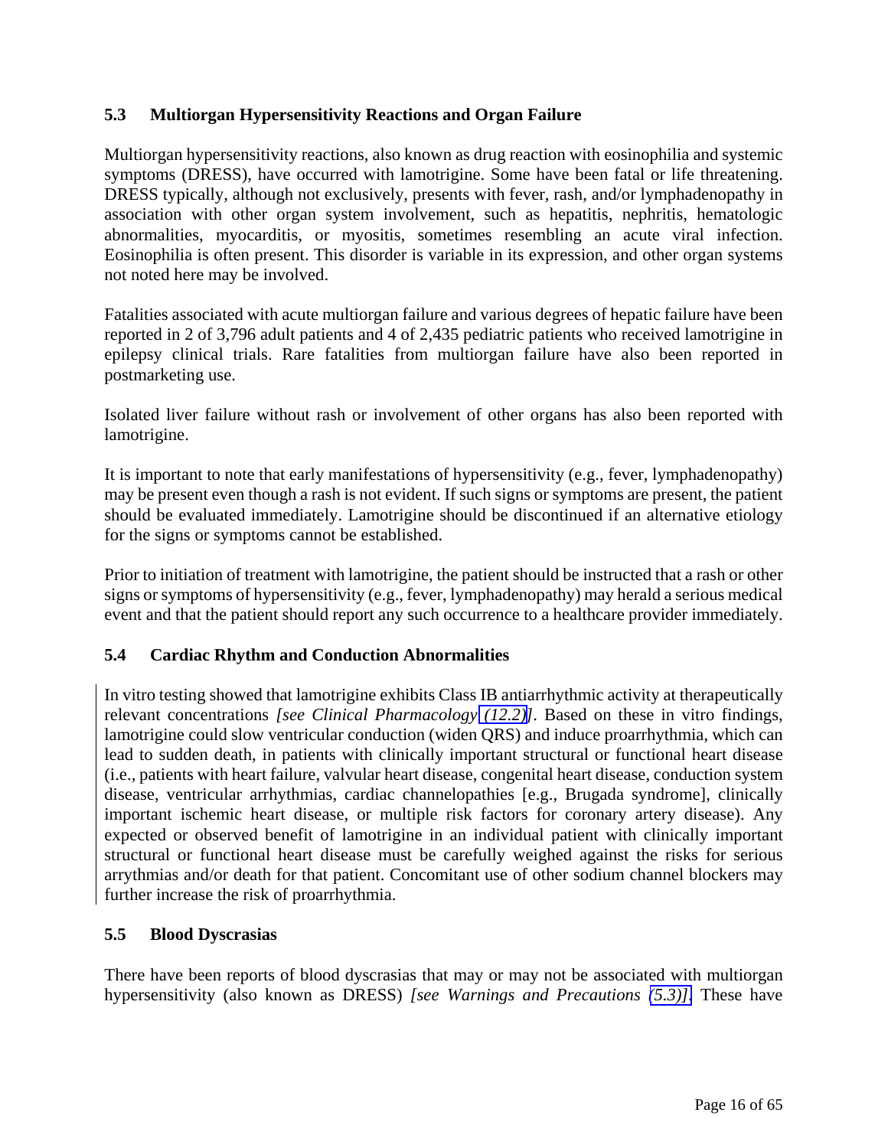# <span id="page-15-2"></span><span id="page-15-1"></span><span id="page-15-0"></span>**5.3 Multiorgan Hypersensitivity Reactions and Organ Failure**

Multiorgan hypersensitivity reactions, also known as drug reaction with eosinophilia and systemic symptoms (DRESS), have occurred with lamotrigine. Some have been fatal or life threatening. DRESS typically, although not exclusively, presents with fever, rash, and/or lymphadenopathy in association with other organ system involvement, such as hepatitis, nephritis, hematologic abnormalities, myocarditis, or myositis, sometimes resembling an acute viral infection. Eosinophilia is often present. This disorder is variable in its expression, and other organ systems not noted here may be involved.

Fatalities associated with acute multiorgan failure and various degrees of hepatic failure have been reported in 2 of 3,796 adult patients and 4 of 2,435 pediatric patients who received lamotrigine in epilepsy clinical trials. Rare fatalities from multiorgan failure have also been reported in postmarketing use.

Isolated liver failure without rash or involvement of other organs has also been reported with lamotrigine.

It is important to note that early manifestations of hypersensitivity (e.g., fever, lymphadenopathy) may be present even though a rash is not evident. If such signs or symptoms are present, the patient should be evaluated immediately. Lamotrigine should be discontinued if an alternative etiology for the signs or symptoms cannot be established.

Prior to initiation of treatment with lamotrigine, the patient should be instructed that a rash or other signs or symptoms of hypersensitivity (e.g., fever, lymphadenopathy) may herald a serious medical event and that the patient should report any such occurrence to a healthcare provider immediately.

# **5.4 Cardiac Rhythm and Conduction Abnormalities**

In vitro testing showed that lamotrigine exhibits Class IB antiarrhythmic activity at therapeutically relevant concentrations *[see Clinical Pharmacology [\(12.2\)\]](#page-38-1)*. Based on these in vitro findings, lamotrigine could slow ventricular conduction (widen QRS) and induce proarrhythmia, which can lead to sudden death, in patients with clinically important structural or functional heart disease (i.e., patients with heart failure, valvular heart disease, congenital heart disease, conduction system disease, ventricular arrhythmias, cardiac channelopathies [e.g., Brugada syndrome], clinically important ischemic heart disease, or multiple risk factors for coronary artery disease). Any expected or observed benefit of lamotrigine in an individual patient with clinically important structural or functional heart disease must be carefully weighed against the risks for serious arrythmias and/or death for that patient. Concomitant use of other sodium channel blockers may further increase the risk of proarrhythmia.

# **5.5 Blood Dyscrasias**

There have been reports of blood dyscrasias that may or may not be associated with multiorgan hypersensitivity (also known as DRESS) *[see Warnings and Precautions [\(5.3\)\].](#page-15-1)* These have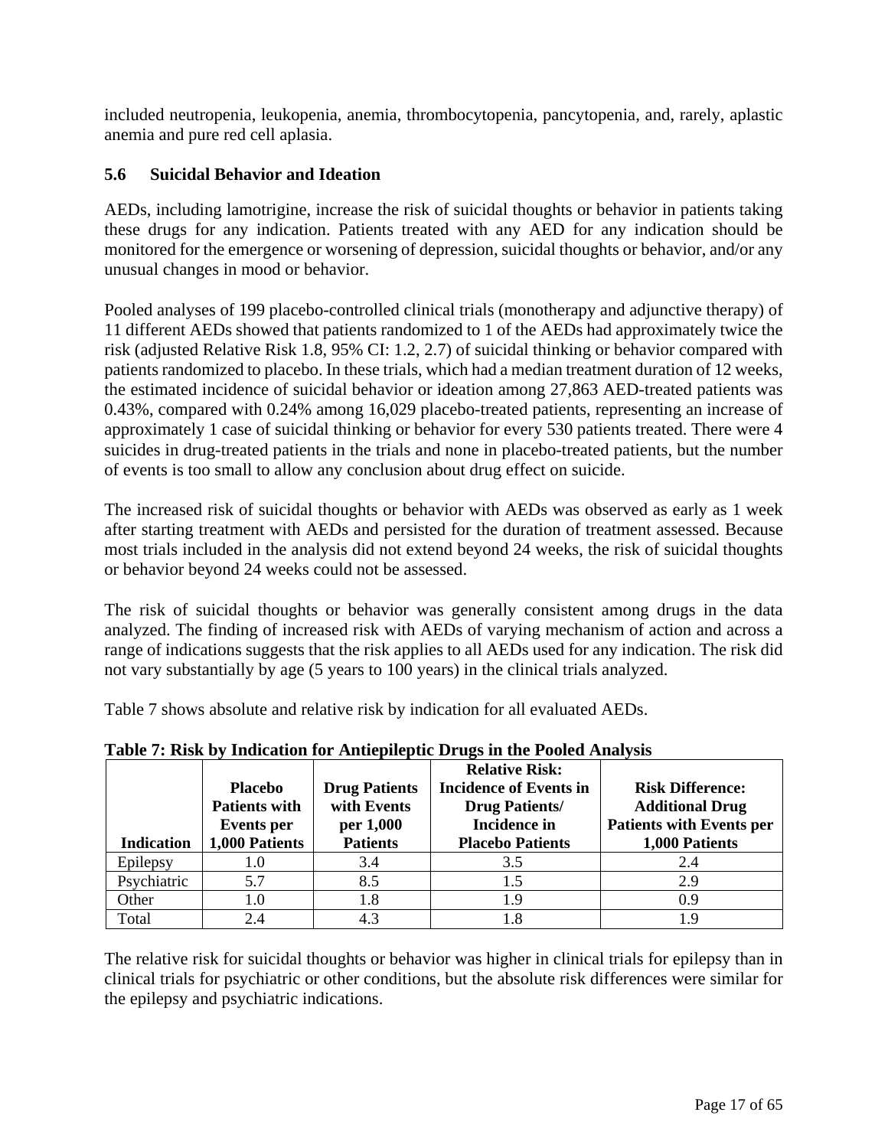<span id="page-16-1"></span><span id="page-16-0"></span>included neutropenia, leukopenia, anemia, thrombocytopenia, pancytopenia, and, rarely, aplastic anemia and pure red cell aplasia.

# **5.6 Suicidal Behavior and Ideation**

AEDs, including lamotrigine, increase the risk of suicidal thoughts or behavior in patients taking these drugs for any indication. Patients treated with any AED for any indication should be monitored for the emergence or worsening of depression, suicidal thoughts or behavior, and/or any unusual changes in mood or behavior.

Pooled analyses of 199 placebo-controlled clinical trials (monotherapy and adjunctive therapy) of 11 different AEDs showed that patients randomized to 1 of the AEDs had approximately twice the risk (adjusted Relative Risk 1.8, 95% CI: 1.2, 2.7) of suicidal thinking or behavior compared with patients randomized to placebo. In these trials, which had a median treatment duration of 12 weeks, the estimated incidence of suicidal behavior or ideation among 27,863 AED-treated patients was 0.43%, compared with 0.24% among 16,029 placebo-treated patients, representing an increase of approximately 1 case of suicidal thinking or behavior for every 530 patients treated. There were 4 suicides in drug-treated patients in the trials and none in placebo-treated patients, but the number of events is too small to allow any conclusion about drug effect on suicide.

The increased risk of suicidal thoughts or behavior with AEDs was observed as early as 1 week after starting treatment with AEDs and persisted for the duration of treatment assessed. Because most trials included in the analysis did not extend beyond 24 weeks, the risk of suicidal thoughts or behavior beyond 24 weeks could not be assessed.

The risk of suicidal thoughts or behavior was generally consistent among drugs in the data analyzed. The finding of increased risk with AEDs of varying mechanism of action and across a range of indications suggests that the risk applies to all AEDs used for any indication. The risk did not vary substantially by age (5 years to 100 years) in the clinical trials analyzed.

Table 7 shows absolute and relative risk by indication for all evaluated AEDs.

| <b>Indication</b> | <b>Placebo</b><br><b>Patients with</b><br><b>Events</b> per<br>1,000 Patients | <b>Drug Patients</b><br>with Events<br>per 1,000<br><b>Patients</b> | <b>Relative Risk:</b><br><b>Incidence of Events in</b><br><b>Drug Patients/</b><br><b>Incidence in</b><br><b>Placebo Patients</b> | <b>Risk Difference:</b><br><b>Additional Drug</b><br><b>Patients with Events per</b><br>1,000 Patients |
|-------------------|-------------------------------------------------------------------------------|---------------------------------------------------------------------|-----------------------------------------------------------------------------------------------------------------------------------|--------------------------------------------------------------------------------------------------------|
| Epilepsy          | 1.0                                                                           | 3.4                                                                 | 3.5                                                                                                                               | 2.4                                                                                                    |
| Psychiatric       | 5.7                                                                           | 8.5                                                                 | 1.5                                                                                                                               | 2.9                                                                                                    |
| Other             | 1.0                                                                           | 1.8                                                                 | 1.9                                                                                                                               | 0.9                                                                                                    |
| Total             | 2.4                                                                           | 4.3                                                                 |                                                                                                                                   | 1.9                                                                                                    |

**Table 7: Risk by Indication for Antiepileptic Drugs in the Pooled Analysis** 

The relative risk for suicidal thoughts or behavior was higher in clinical trials for epilepsy than in clinical trials for psychiatric or other conditions, but the absolute risk differences were similar for the epilepsy and psychiatric indications.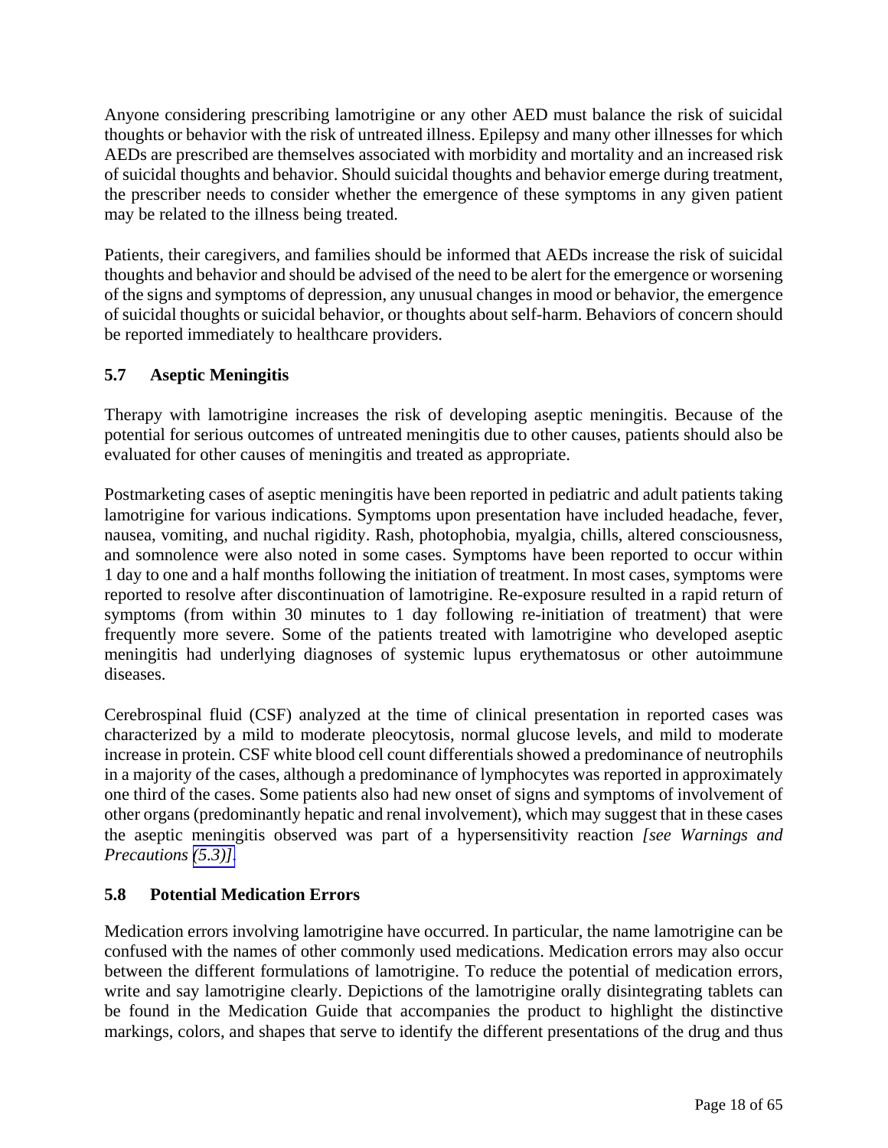<span id="page-17-1"></span><span id="page-17-0"></span>Anyone considering prescribing lamotrigine or any other AED must balance the risk of suicidal thoughts or behavior with the risk of untreated illness. Epilepsy and many other illnesses for which AEDs are prescribed are themselves associated with morbidity and mortality and an increased risk of suicidal thoughts and behavior. Should suicidal thoughts and behavior emerge during treatment, the prescriber needs to consider whether the emergence of these symptoms in any given patient may be related to the illness being treated.

Patients, their caregivers, and families should be informed that AEDs increase the risk of suicidal thoughts and behavior and should be advised of the need to be alert for the emergence or worsening of the signs and symptoms of depression, any unusual changes in mood or behavior, the emergence of suicidal thoughts or suicidal behavior, or thoughts about self-harm. Behaviors of concern should be reported immediately to healthcare providers.

# **5.7 Aseptic Meningitis**

Therapy with lamotrigine increases the risk of developing aseptic meningitis. Because of the potential for serious outcomes of untreated meningitis due to other causes, patients should also be evaluated for other causes of meningitis and treated as appropriate.

Postmarketing cases of aseptic meningitis have been reported in pediatric and adult patients taking lamotrigine for various indications. Symptoms upon presentation have included headache, fever, nausea, vomiting, and nuchal rigidity. Rash, photophobia, myalgia, chills, altered consciousness, and somnolence were also noted in some cases. Symptoms have been reported to occur within 1 day to one and a half months following the initiation of treatment. In most cases, symptoms were reported to resolve after discontinuation of lamotrigine. Re-exposure resulted in a rapid return of symptoms (from within 30 minutes to 1 day following re-initiation of treatment) that were frequently more severe. Some of the patients treated with lamotrigine who developed aseptic meningitis had underlying diagnoses of systemic lupus erythematosus or other autoimmune diseases.

Cerebrospinal fluid (CSF) analyzed at the time of clinical presentation in reported cases was characterized by a mild to moderate pleocytosis, normal glucose levels, and mild to moderate increase in protein. CSF white blood cell count differentials showed a predominance of neutrophils in a majority of the cases, although a predominance of lymphocytes was reported in approximately one third of the cases. Some patients also had new onset of signs and symptoms of involvement of other organs (predominantly hepatic and renal involvement), which may suggest that in these cases the aseptic meningitis observed was part of a hypersensitivity reaction *[see Warnings and Precautions [\(5.3\)\].](#page-15-2)* 

# **5.8 Potential Medication Errors**

Medication errors involving lamotrigine have occurred. In particular, the name lamotrigine can be confused with the names of other commonly used medications. Medication errors may also occur between the different formulations of lamotrigine. To reduce the potential of medication errors, write and say lamotrigine clearly. Depictions of the lamotrigine orally disintegrating tablets can be found in the Medication Guide that accompanies the product to highlight the distinctive markings, colors, and shapes that serve to identify the different presentations of the drug and thus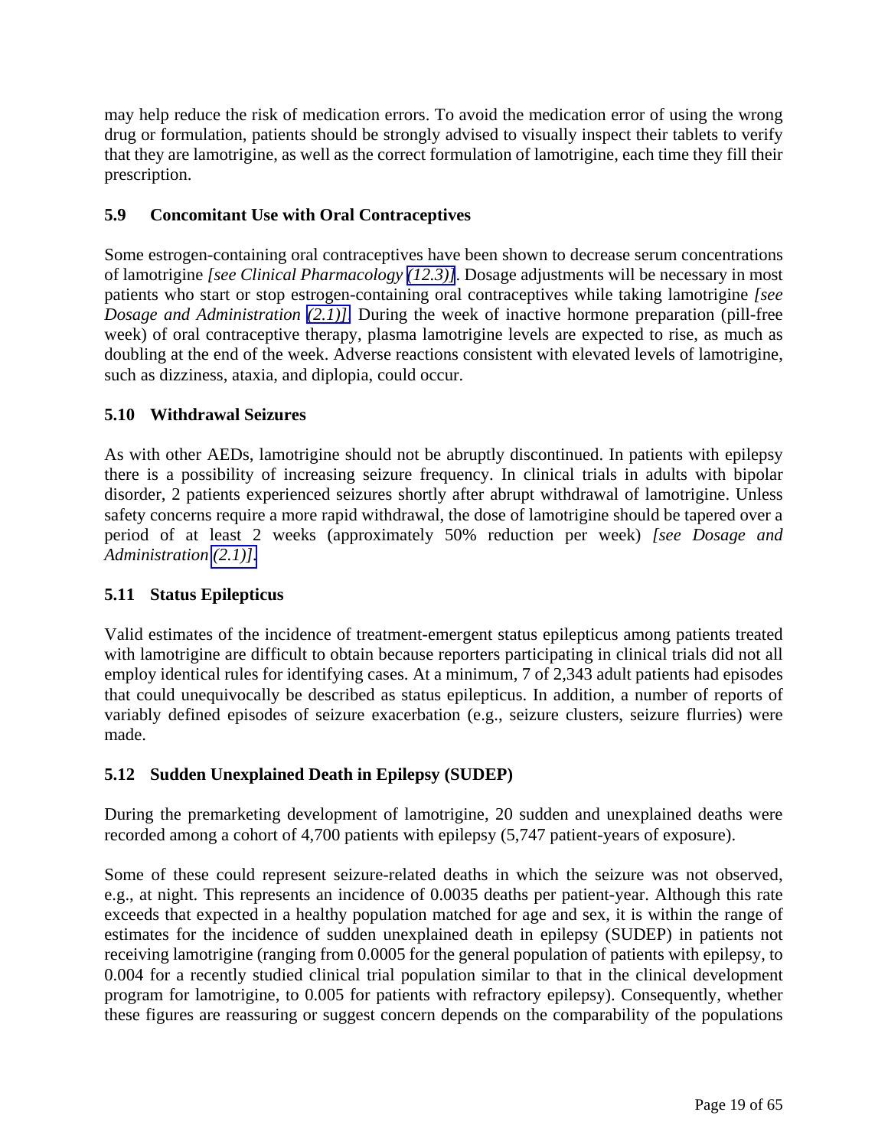<span id="page-18-2"></span><span id="page-18-1"></span><span id="page-18-0"></span>may help reduce the risk of medication errors. To avoid the medication error of using the wrong drug or formulation, patients should be strongly advised to visually inspect their tablets to verify that they are lamotrigine, as well as the correct formulation of lamotrigine, each time they fill their prescription.

# **5.9 Concomitant Use with Oral Contraceptives**

Some estrogen-containing oral contraceptives have been shown to decrease serum concentrations of lamotrigine *[see Clinical Pharmacology [\(12.3\)\]](#page-39-0)*. Dosage adjustments will be necessary in most patients who start or stop estrogen-containing oral contraceptives while taking lamotrigine *[see Dosage and Administration [\(2.1\)\]](#page-3-5)*. During the week of inactive hormone preparation (pill-free week) of oral contraceptive therapy, plasma lamotrigine levels are expected to rise, as much as doubling at the end of the week. Adverse reactions consistent with elevated levels of lamotrigine, such as dizziness, ataxia, and diplopia, could occur.

# **5.10 Withdrawal Seizures**

As with other AEDs, lamotrigine should not be abruptly discontinued. In patients with epilepsy there is a possibility of increasing seizure frequency. In clinical trials in adults with bipolar disorder, 2 patients experienced seizures shortly after abrupt withdrawal of lamotrigine. Unless safety concerns require a more rapid withdrawal, the dose of lamotrigine should be tapered over a period of at least 2 weeks (approximately 50% reduction per week) *[see Dosage and Administration [\(2.1\)\].](#page-3-5)* 

# **5.11 Status Epilepticus**

Valid estimates of the incidence of treatment-emergent status epilepticus among patients treated with lamotrigine are difficult to obtain because reporters participating in clinical trials did not all employ identical rules for identifying cases. At a minimum, 7 of 2,343 adult patients had episodes that could unequivocally be described as status epilepticus. In addition, a number of reports of variably defined episodes of seizure exacerbation (e.g., seizure clusters, seizure flurries) were made.

# **5.12 Sudden Unexplained Death in Epilepsy (SUDEP)**

During the premarketing development of lamotrigine, 20 sudden and unexplained deaths were recorded among a cohort of 4,700 patients with epilepsy (5,747 patient-years of exposure).

Some of these could represent seizure-related deaths in which the seizure was not observed, e.g., at night. This represents an incidence of 0.0035 deaths per patient-year. Although this rate exceeds that expected in a healthy population matched for age and sex, it is within the range of estimates for the incidence of sudden unexplained death in epilepsy (SUDEP) in patients not receiving lamotrigine (ranging from 0.0005 for the general population of patients with epilepsy, to 0.004 for a recently studied clinical trial population similar to that in the clinical development program for lamotrigine, to 0.005 for patients with refractory epilepsy). Consequently, whether these figures are reassuring or suggest concern depends on the comparability of the populations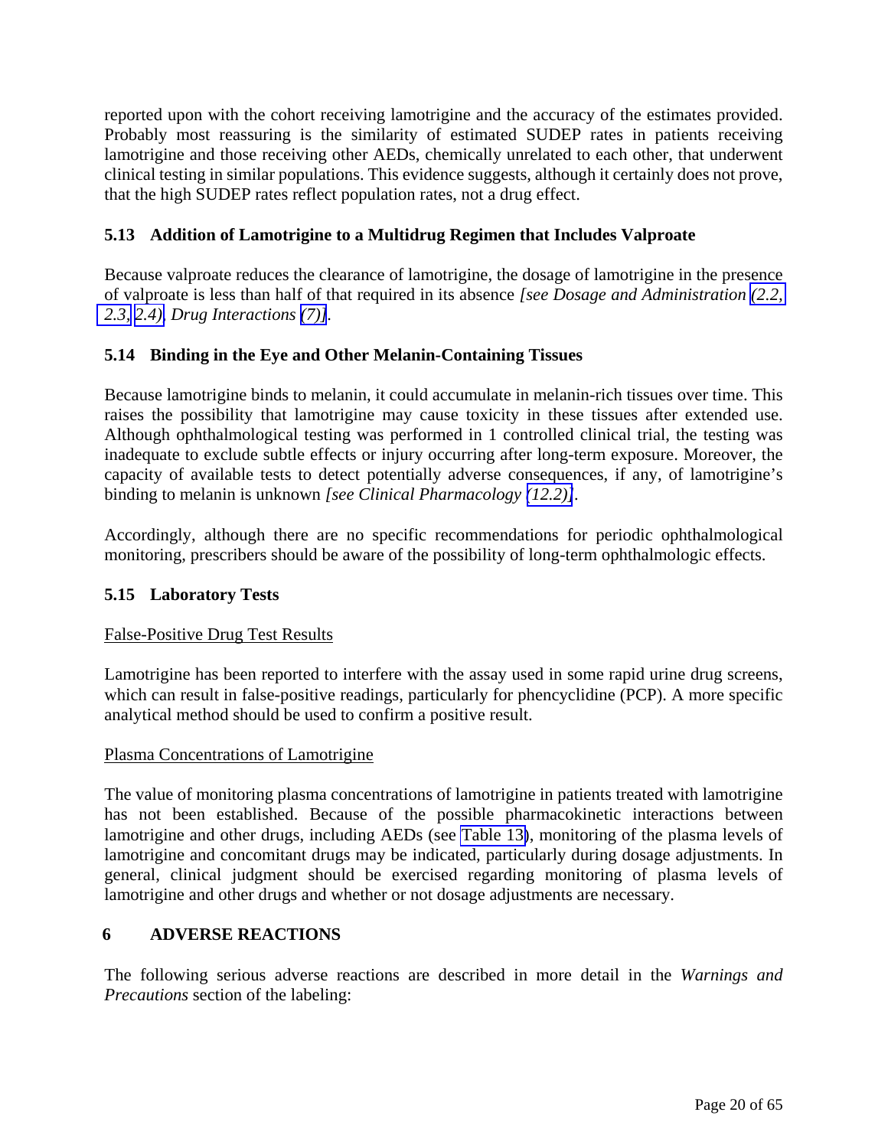<span id="page-19-1"></span><span id="page-19-0"></span>reported upon with the cohort receiving lamotrigine and the accuracy of the estimates provided. Probably most reassuring is the similarity of estimated SUDEP rates in patients receiving lamotrigine and those receiving other AEDs, chemically unrelated to each other, that underwent clinical testing in similar populations. This evidence suggests, although it certainly does not prove, that the high SUDEP rates reflect population rates, not a drug effect.

# **5.13 Addition of Lamotrigine to a Multidrug Regimen that Includes Valproate**

Because valproate reduces the clearance of lamotrigine, the dosage of lamotrigine in the presence of valproate is less than half of that required in its absence *[see Dosage and Administration [\(2.2,](#page-7-3)  [2.3,](#page-10-2) [2.4\),](#page-11-2) Drug Interactions [\(7\)\]](#page-31-1).* 

# **5.14 Binding in the Eye and Other Melanin-Containing Tissues**

Because lamotrigine binds to melanin, it could accumulate in melanin-rich tissues over time. This raises the possibility that lamotrigine may cause toxicity in these tissues after extended use. Although ophthalmological testing was performed in 1 controlled clinical trial, the testing was inadequate to exclude subtle effects or injury occurring after long-term exposure. Moreover, the capacity of available tests to detect potentially adverse consequences, if any, of lamotrigine's binding to melanin is unknown *[see Clinical Pharmacology [\(12.2\)\]](#page-38-1).*

Accordingly, although there are no specific recommendations for periodic ophthalmological monitoring, prescribers should be aware of the possibility of long-term ophthalmologic effects.

# **5.15 Laboratory Tests**

# False-Positive Drug Test Results

Lamotrigine has been reported to interfere with the assay used in some rapid urine drug screens, which can result in false-positive readings, particularly for phencyclidine (PCP). A more specific analytical method should be used to confirm a positive result.

#### Plasma Concentrations of Lamotrigine

The value of monitoring plasma concentrations of lamotrigine in patients treated with lamotrigine has not been established. Because of the possible pharmacokinetic interactions between lamotrigine and other drugs, including AEDs (see [Table 13\)](#page-31-1), monitoring of the plasma levels of lamotrigine and concomitant drugs may be indicated, particularly during dosage adjustments. In general, clinical judgment should be exercised regarding monitoring of plasma levels of lamotrigine and other drugs and whether or not dosage adjustments are necessary.

# **6 ADVERSE REACTIONS**

The following serious adverse reactions are described in more detail in the *Warnings and Precautions* section of the labeling: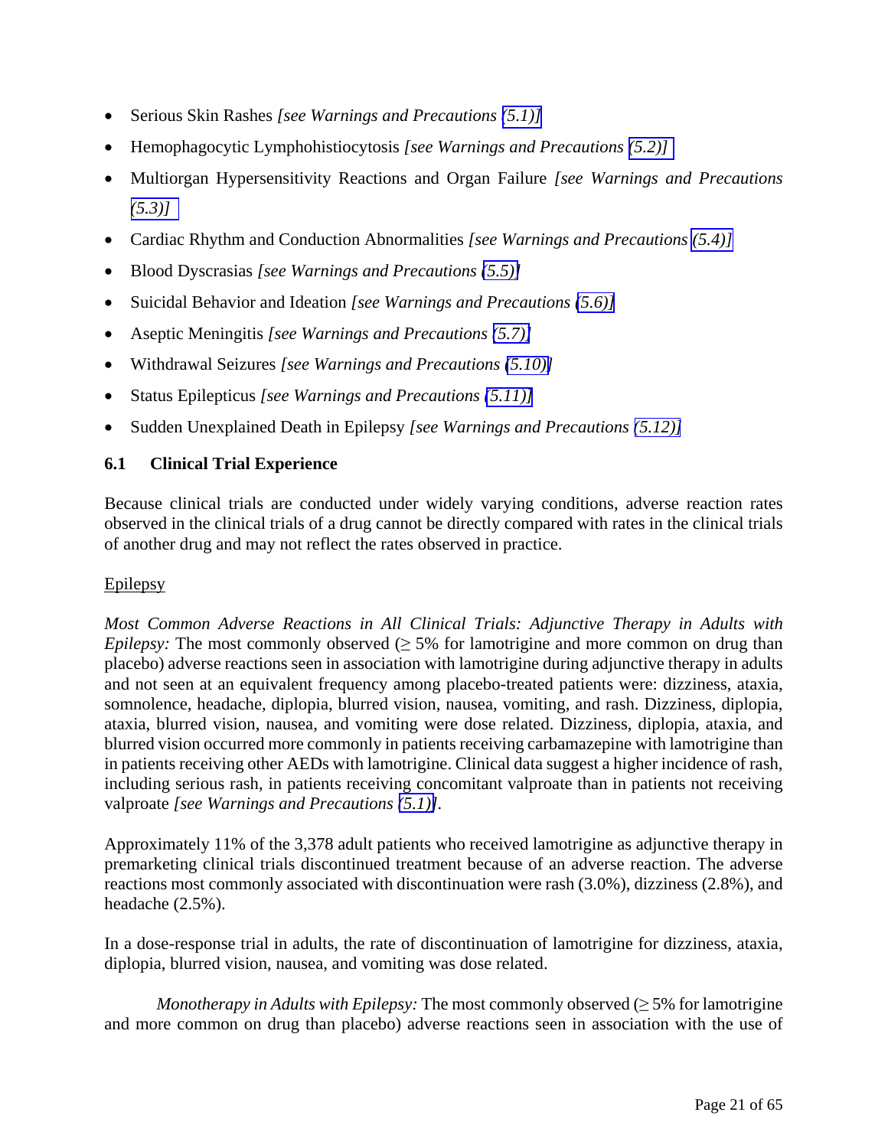- <span id="page-20-0"></span>• Serious Skin Rashes *[see Warnings and Precautions [\(5.1\)\]](#page-13-5)*
- Hemophagocytic Lymphohistiocytosis *[see Warnings and Precautions [\(5.2\)\]](#page-14-2)*
- Multiorgan Hypersensitivity Reactions and Organ Failure *[see Warnings and Precautions [\(5.3\)\]](#page-15-2)*
- Cardiac Rhythm and Conduction Abnormalities *[see Warnings and Precautions [\(5.4\)\]](#page-15-1)*
- Blood Dyscrasias *[see Warnings and Precautions [\(5.5\)\]](#page-15-1)*
- Suicidal Behavior and Ideation *[see Warnings and Precautions [\(5.6\)\]](#page-16-0)*
- Aseptic Meningitis *[see Warnings and Precautions [\(5.7\)\]](#page-17-1)*
- Withdrawal Seizures *[see Warnings and Precautions [\(5.10\)\]](#page-18-1)*
- Status Epilepticus *[see Warnings and Precautions [\(5.11\)\]](#page-18-1)*
- Sudden Unexplained Death in Epilepsy *[see Warnings and Precautions [\(5.12\)\]](#page-18-1)*

# **6.1 Clinical Trial Experience**

Because clinical trials are conducted under widely varying conditions, adverse reaction rates observed in the clinical trials of a drug cannot be directly compared with rates in the clinical trials of another drug and may not reflect the rates observed in practice.

# Epilepsy

*Most Common Adverse Reactions in All Clinical Trials: Adjunctive Therapy in Adults with Epilepsy:* The most commonly observed  $(≥ 5%$  for lamotrigine and more common on drug than placebo) adverse reactions seen in association with lamotrigine during adjunctive therapy in adults and not seen at an equivalent frequency among placebo-treated patients were: dizziness, ataxia, somnolence, headache, diplopia, blurred vision, nausea, vomiting, and rash. Dizziness, diplopia, ataxia, blurred vision, nausea, and vomiting were dose related. Dizziness, diplopia, ataxia, and blurred vision occurred more commonly in patients receiving carbamazepine with lamotrigine than in patients receiving other AEDs with lamotrigine. Clinical data suggest a higher incidence of rash, including serious rash, in patients receiving concomitant valproate than in patients not receiving valproate *[see Warnings and Precautions [\(5.1\)\]](#page-13-4).*

Approximately 11% of the 3,378 adult patients who received lamotrigine as adjunctive therapy in premarketing clinical trials discontinued treatment because of an adverse reaction. The adverse reactions most commonly associated with discontinuation were rash (3.0%), dizziness (2.8%), and headache (2.5%).

In a dose-response trial in adults, the rate of discontinuation of lamotrigine for dizziness, ataxia, diplopia, blurred vision, nausea, and vomiting was dose related.

*Monotherapy in Adults with Epilepsy:* The most commonly observed (≥ 5% for lamotrigine and more common on drug than placebo) adverse reactions seen in association with the use of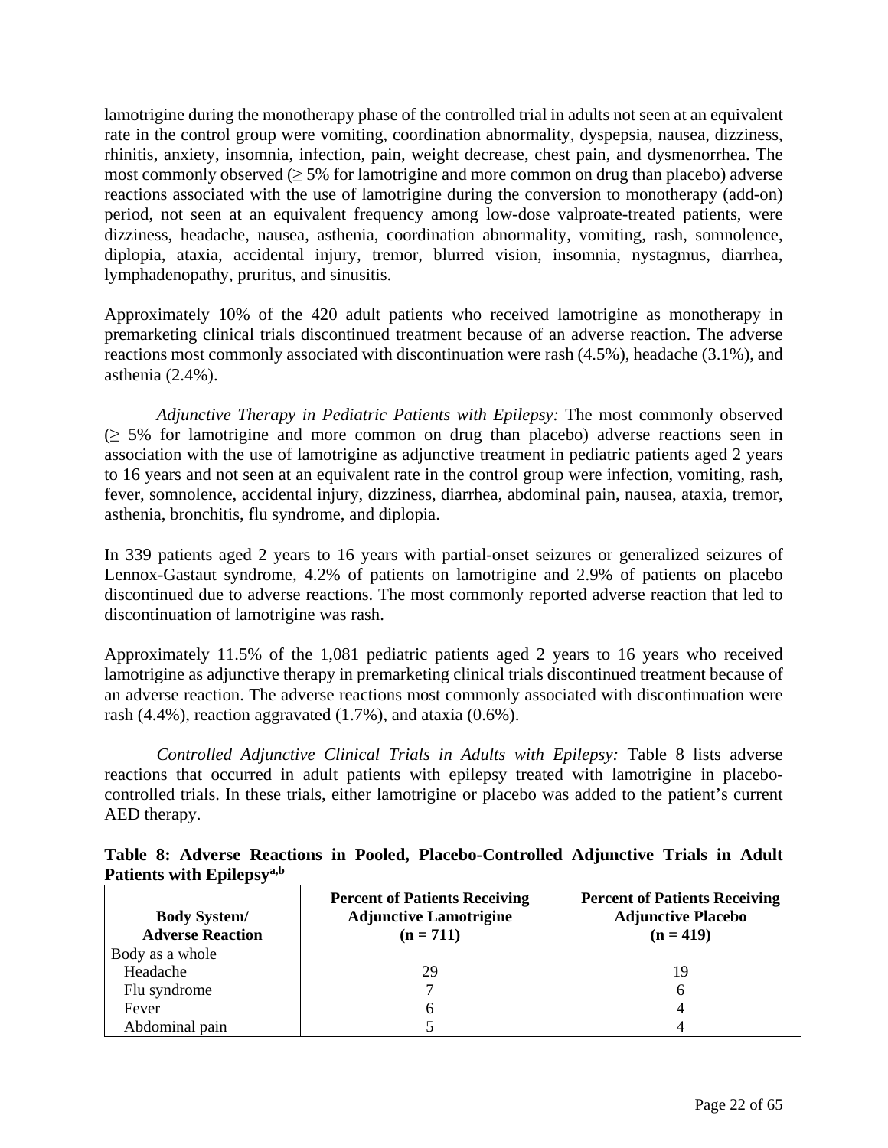lamotrigine during the monotherapy phase of the controlled trial in adults not seen at an equivalent rate in the control group were vomiting, coordination abnormality, dyspepsia, nausea, dizziness, rhinitis, anxiety, insomnia, infection, pain, weight decrease, chest pain, and dysmenorrhea. The most commonly observed  $(≥ 5%$  for lamotrigine and more common on drug than placebo) adverse reactions associated with the use of lamotrigine during the conversion to monotherapy (add-on) period, not seen at an equivalent frequency among low-dose valproate-treated patients, were dizziness, headache, nausea, asthenia, coordination abnormality, vomiting, rash, somnolence, diplopia, ataxia, accidental injury, tremor, blurred vision, insomnia, nystagmus, diarrhea, lymphadenopathy, pruritus, and sinusitis.

Approximately 10% of the 420 adult patients who received lamotrigine as monotherapy in premarketing clinical trials discontinued treatment because of an adverse reaction. The adverse reactions most commonly associated with discontinuation were rash (4.5%), headache (3.1%), and asthenia (2.4%).

*Adjunctive Therapy in Pediatric Patients with Epilepsy:* The most commonly observed  $\geq$  5% for lamotrigine and more common on drug than placebo) adverse reactions seen in association with the use of lamotrigine as adjunctive treatment in pediatric patients aged 2 years to 16 years and not seen at an equivalent rate in the control group were infection, vomiting, rash, fever, somnolence, accidental injury, dizziness, diarrhea, abdominal pain, nausea, ataxia, tremor, asthenia, bronchitis, flu syndrome, and diplopia.

In 339 patients aged 2 years to 16 years with partial-onset seizures or generalized seizures of Lennox-Gastaut syndrome, 4.2% of patients on lamotrigine and 2.9% of patients on placebo discontinued due to adverse reactions. The most commonly reported adverse reaction that led to discontinuation of lamotrigine was rash.

Approximately 11.5% of the 1,081 pediatric patients aged 2 years to 16 years who received lamotrigine as adjunctive therapy in premarketing clinical trials discontinued treatment because of an adverse reaction. The adverse reactions most commonly associated with discontinuation were rash (4.4%), reaction aggravated (1.7%), and ataxia (0.6%).

*Controlled Adjunctive Clinical Trials in Adults with Epilepsy:* Table 8 lists adverse reactions that occurred in adult patients with epilepsy treated with lamotrigine in placebocontrolled trials. In these trials, either lamotrigine or placebo was added to the patient's current AED therapy.

| т ансню мин трисрэу                            |                                                                                      |                                                                                  |  |  |  |  |  |
|------------------------------------------------|--------------------------------------------------------------------------------------|----------------------------------------------------------------------------------|--|--|--|--|--|
| <b>Body System/</b><br><b>Adverse Reaction</b> | <b>Percent of Patients Receiving</b><br><b>Adjunctive Lamotrigine</b><br>$(n = 711)$ | <b>Percent of Patients Receiving</b><br><b>Adjunctive Placebo</b><br>$(n = 419)$ |  |  |  |  |  |
| Body as a whole                                |                                                                                      |                                                                                  |  |  |  |  |  |
| Headache                                       | 29                                                                                   | 19                                                                               |  |  |  |  |  |
| Flu syndrome                                   |                                                                                      | 6                                                                                |  |  |  |  |  |
| Fever                                          |                                                                                      |                                                                                  |  |  |  |  |  |
| Abdominal pain                                 |                                                                                      |                                                                                  |  |  |  |  |  |

**Table 8: Adverse Reactions in Pooled, Placebo-Controlled Adjunctive Trials in Adult**  Patients with **Enilancy**<sup>a,b</sup>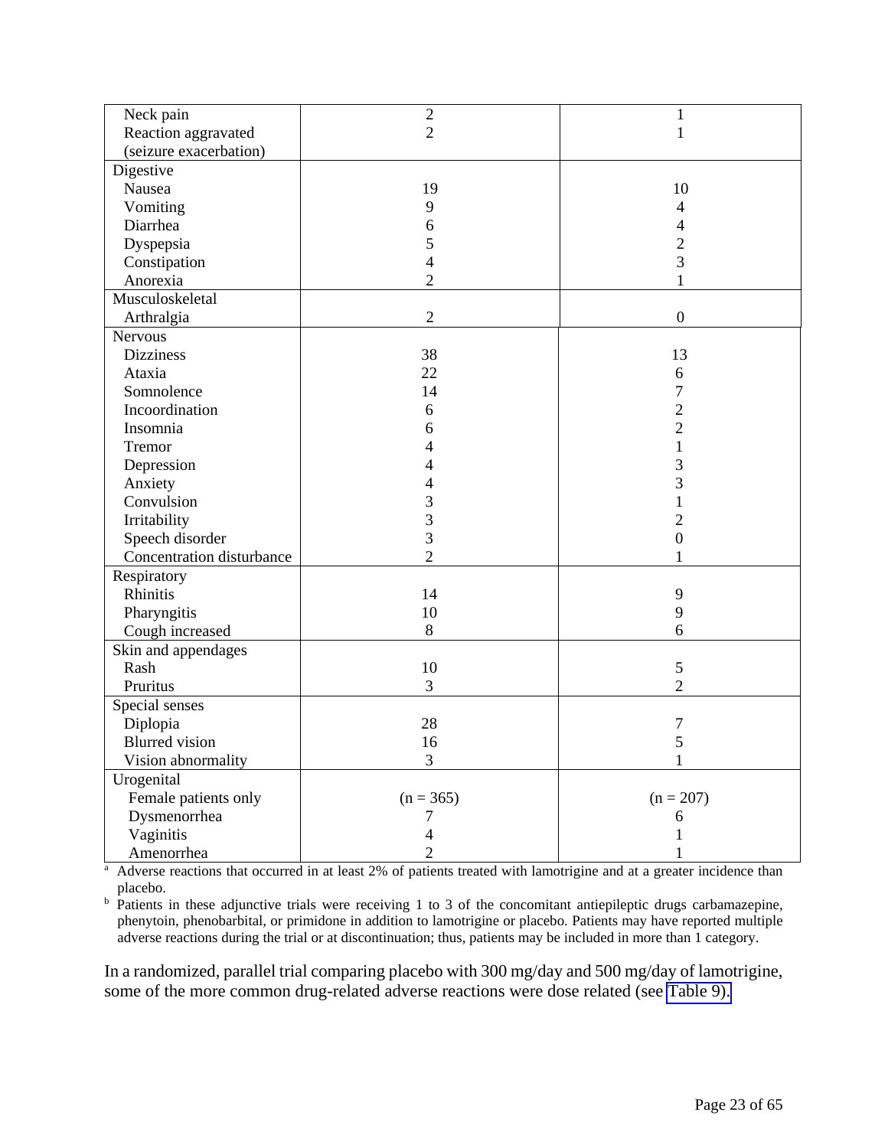| 1<br>$\overline{2}$<br>Reaction aggravated<br>$\mathbf{1}$<br>(seizure exacerbation)<br>Digestive<br>19<br>10<br>Nausea<br>Vomiting<br>9<br>$\overline{4}$<br>Diarrhea<br>6<br>4<br>$\overline{c}$<br>Dyspepsia<br>5<br>3<br>Constipation<br>4<br>Anorexia<br>$\overline{2}$<br>1<br>Musculoskeletal<br>$\overline{2}$<br>$\boldsymbol{0}$<br>Arthralgia<br><b>Nervous</b><br><b>Dizziness</b><br>38<br>13<br>Ataxia<br>22<br>6<br>Somnolence<br>7<br>14<br>Incoordination<br>$\overline{2}$<br>6<br>$\overline{c}$<br>Insomnia<br>6<br>1<br>Tremor<br>4<br>3<br>Depression<br>4<br>3<br>Anxiety<br>4<br>Convulsion<br>3<br>3<br>Irritability<br>$\overline{c}$<br>3<br>$\overline{0}$<br>Speech disorder<br>Concentration disturbance<br>$\overline{2}$<br>Respiratory<br>Rhinitis<br>9<br>14<br>9<br>10<br>Pharyngitis<br>Cough increased<br>8<br>6<br>Skin and appendages<br>Rash<br>10<br>5<br>Pruritus<br>3<br>$\overline{2}$<br>Special senses<br>Diplopia<br>28<br>7<br><b>Blurred</b> vision<br>5<br>16<br>Vision abnormality<br>3<br>1<br>Urogenital<br>Female patients only<br>$(n = 365)$<br>$(n = 207)$<br>Dysmenorrhea<br>7<br>6<br>Vaginitis<br>4<br>Amenorrhea<br>$\overline{2}$ |           |                |  |
|-------------------------------------------------------------------------------------------------------------------------------------------------------------------------------------------------------------------------------------------------------------------------------------------------------------------------------------------------------------------------------------------------------------------------------------------------------------------------------------------------------------------------------------------------------------------------------------------------------------------------------------------------------------------------------------------------------------------------------------------------------------------------------------------------------------------------------------------------------------------------------------------------------------------------------------------------------------------------------------------------------------------------------------------------------------------------------------------------------------------------------------------------------------------------------------------------|-----------|----------------|--|
|                                                                                                                                                                                                                                                                                                                                                                                                                                                                                                                                                                                                                                                                                                                                                                                                                                                                                                                                                                                                                                                                                                                                                                                                 | Neck pain | $\overline{c}$ |  |
|                                                                                                                                                                                                                                                                                                                                                                                                                                                                                                                                                                                                                                                                                                                                                                                                                                                                                                                                                                                                                                                                                                                                                                                                 |           |                |  |
|                                                                                                                                                                                                                                                                                                                                                                                                                                                                                                                                                                                                                                                                                                                                                                                                                                                                                                                                                                                                                                                                                                                                                                                                 |           |                |  |
|                                                                                                                                                                                                                                                                                                                                                                                                                                                                                                                                                                                                                                                                                                                                                                                                                                                                                                                                                                                                                                                                                                                                                                                                 |           |                |  |
|                                                                                                                                                                                                                                                                                                                                                                                                                                                                                                                                                                                                                                                                                                                                                                                                                                                                                                                                                                                                                                                                                                                                                                                                 |           |                |  |
|                                                                                                                                                                                                                                                                                                                                                                                                                                                                                                                                                                                                                                                                                                                                                                                                                                                                                                                                                                                                                                                                                                                                                                                                 |           |                |  |
|                                                                                                                                                                                                                                                                                                                                                                                                                                                                                                                                                                                                                                                                                                                                                                                                                                                                                                                                                                                                                                                                                                                                                                                                 |           |                |  |
|                                                                                                                                                                                                                                                                                                                                                                                                                                                                                                                                                                                                                                                                                                                                                                                                                                                                                                                                                                                                                                                                                                                                                                                                 |           |                |  |
|                                                                                                                                                                                                                                                                                                                                                                                                                                                                                                                                                                                                                                                                                                                                                                                                                                                                                                                                                                                                                                                                                                                                                                                                 |           |                |  |
|                                                                                                                                                                                                                                                                                                                                                                                                                                                                                                                                                                                                                                                                                                                                                                                                                                                                                                                                                                                                                                                                                                                                                                                                 |           |                |  |
|                                                                                                                                                                                                                                                                                                                                                                                                                                                                                                                                                                                                                                                                                                                                                                                                                                                                                                                                                                                                                                                                                                                                                                                                 |           |                |  |
|                                                                                                                                                                                                                                                                                                                                                                                                                                                                                                                                                                                                                                                                                                                                                                                                                                                                                                                                                                                                                                                                                                                                                                                                 |           |                |  |
|                                                                                                                                                                                                                                                                                                                                                                                                                                                                                                                                                                                                                                                                                                                                                                                                                                                                                                                                                                                                                                                                                                                                                                                                 |           |                |  |
|                                                                                                                                                                                                                                                                                                                                                                                                                                                                                                                                                                                                                                                                                                                                                                                                                                                                                                                                                                                                                                                                                                                                                                                                 |           |                |  |
|                                                                                                                                                                                                                                                                                                                                                                                                                                                                                                                                                                                                                                                                                                                                                                                                                                                                                                                                                                                                                                                                                                                                                                                                 |           |                |  |
|                                                                                                                                                                                                                                                                                                                                                                                                                                                                                                                                                                                                                                                                                                                                                                                                                                                                                                                                                                                                                                                                                                                                                                                                 |           |                |  |
|                                                                                                                                                                                                                                                                                                                                                                                                                                                                                                                                                                                                                                                                                                                                                                                                                                                                                                                                                                                                                                                                                                                                                                                                 |           |                |  |
|                                                                                                                                                                                                                                                                                                                                                                                                                                                                                                                                                                                                                                                                                                                                                                                                                                                                                                                                                                                                                                                                                                                                                                                                 |           |                |  |
|                                                                                                                                                                                                                                                                                                                                                                                                                                                                                                                                                                                                                                                                                                                                                                                                                                                                                                                                                                                                                                                                                                                                                                                                 |           |                |  |
|                                                                                                                                                                                                                                                                                                                                                                                                                                                                                                                                                                                                                                                                                                                                                                                                                                                                                                                                                                                                                                                                                                                                                                                                 |           |                |  |
|                                                                                                                                                                                                                                                                                                                                                                                                                                                                                                                                                                                                                                                                                                                                                                                                                                                                                                                                                                                                                                                                                                                                                                                                 |           |                |  |
|                                                                                                                                                                                                                                                                                                                                                                                                                                                                                                                                                                                                                                                                                                                                                                                                                                                                                                                                                                                                                                                                                                                                                                                                 |           |                |  |
|                                                                                                                                                                                                                                                                                                                                                                                                                                                                                                                                                                                                                                                                                                                                                                                                                                                                                                                                                                                                                                                                                                                                                                                                 |           |                |  |
|                                                                                                                                                                                                                                                                                                                                                                                                                                                                                                                                                                                                                                                                                                                                                                                                                                                                                                                                                                                                                                                                                                                                                                                                 |           |                |  |
|                                                                                                                                                                                                                                                                                                                                                                                                                                                                                                                                                                                                                                                                                                                                                                                                                                                                                                                                                                                                                                                                                                                                                                                                 |           |                |  |
|                                                                                                                                                                                                                                                                                                                                                                                                                                                                                                                                                                                                                                                                                                                                                                                                                                                                                                                                                                                                                                                                                                                                                                                                 |           |                |  |
|                                                                                                                                                                                                                                                                                                                                                                                                                                                                                                                                                                                                                                                                                                                                                                                                                                                                                                                                                                                                                                                                                                                                                                                                 |           |                |  |
|                                                                                                                                                                                                                                                                                                                                                                                                                                                                                                                                                                                                                                                                                                                                                                                                                                                                                                                                                                                                                                                                                                                                                                                                 |           |                |  |
|                                                                                                                                                                                                                                                                                                                                                                                                                                                                                                                                                                                                                                                                                                                                                                                                                                                                                                                                                                                                                                                                                                                                                                                                 |           |                |  |
|                                                                                                                                                                                                                                                                                                                                                                                                                                                                                                                                                                                                                                                                                                                                                                                                                                                                                                                                                                                                                                                                                                                                                                                                 |           |                |  |
|                                                                                                                                                                                                                                                                                                                                                                                                                                                                                                                                                                                                                                                                                                                                                                                                                                                                                                                                                                                                                                                                                                                                                                                                 |           |                |  |
|                                                                                                                                                                                                                                                                                                                                                                                                                                                                                                                                                                                                                                                                                                                                                                                                                                                                                                                                                                                                                                                                                                                                                                                                 |           |                |  |
|                                                                                                                                                                                                                                                                                                                                                                                                                                                                                                                                                                                                                                                                                                                                                                                                                                                                                                                                                                                                                                                                                                                                                                                                 |           |                |  |
|                                                                                                                                                                                                                                                                                                                                                                                                                                                                                                                                                                                                                                                                                                                                                                                                                                                                                                                                                                                                                                                                                                                                                                                                 |           |                |  |
|                                                                                                                                                                                                                                                                                                                                                                                                                                                                                                                                                                                                                                                                                                                                                                                                                                                                                                                                                                                                                                                                                                                                                                                                 |           |                |  |
|                                                                                                                                                                                                                                                                                                                                                                                                                                                                                                                                                                                                                                                                                                                                                                                                                                                                                                                                                                                                                                                                                                                                                                                                 |           |                |  |
|                                                                                                                                                                                                                                                                                                                                                                                                                                                                                                                                                                                                                                                                                                                                                                                                                                                                                                                                                                                                                                                                                                                                                                                                 |           |                |  |
|                                                                                                                                                                                                                                                                                                                                                                                                                                                                                                                                                                                                                                                                                                                                                                                                                                                                                                                                                                                                                                                                                                                                                                                                 |           |                |  |
|                                                                                                                                                                                                                                                                                                                                                                                                                                                                                                                                                                                                                                                                                                                                                                                                                                                                                                                                                                                                                                                                                                                                                                                                 |           |                |  |
|                                                                                                                                                                                                                                                                                                                                                                                                                                                                                                                                                                                                                                                                                                                                                                                                                                                                                                                                                                                                                                                                                                                                                                                                 |           |                |  |
|                                                                                                                                                                                                                                                                                                                                                                                                                                                                                                                                                                                                                                                                                                                                                                                                                                                                                                                                                                                                                                                                                                                                                                                                 |           |                |  |

<sup>a</sup> Adverse reactions that occurred in at least 2% of patients treated with lamotrigine and at a greater incidence than

placebo.<br><sup>b</sup> Patients in these adjunctive trials were receiving 1 to 3 of the concomitant antiepileptic drugs carbamazepine, phenytoin, phenobarbital, or primidone in addition to lamotrigine or placebo. Patients may have reported multiple adverse reactions during the trial or at discontinuation; thus, patients may be included in more than 1 category.

In a randomized, parallel trial comparing placebo with 300 mg/day and 500 mg/day of lamotrigine, some of the more common drug-related adverse reactions were dose related (see [Table 9\).](#page-23-0)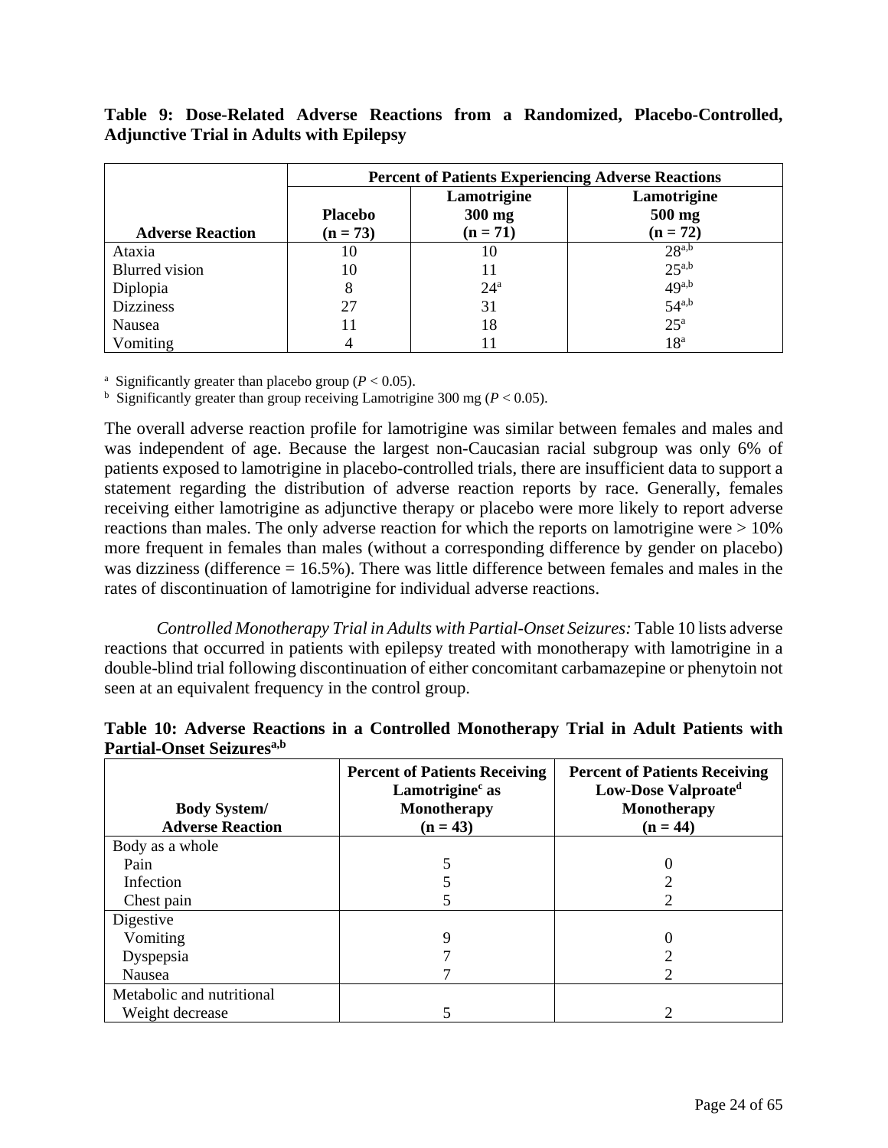# <span id="page-23-0"></span>**Table 9: Dose-Related Adverse Reactions from a Randomized, Placebo-Controlled, Adjunctive Trial in Adults with Epilepsy**

|                         | <b>Percent of Patients Experiencing Adverse Reactions</b> |                                     |                                     |  |
|-------------------------|-----------------------------------------------------------|-------------------------------------|-------------------------------------|--|
| <b>Adverse Reaction</b> | <b>Placebo</b><br>$(n = 73)$                              | Lamotrigine<br>300 mg<br>$(n = 71)$ | Lamotrigine<br>500 mg<br>$(n = 72)$ |  |
| Ataxia                  | 10                                                        | 10                                  | $28^{a,b}$                          |  |
| <b>Blurred</b> vision   | 10                                                        | 11                                  | $25^{a,b}$                          |  |
| Diplopia                | 8                                                         | $24^{\circ}$                        | $49^{a,b}$                          |  |
| <b>Dizziness</b>        | 27                                                        | 31                                  | $54^{a,b}$                          |  |
| Nausea                  |                                                           | 18                                  | $25^{\mathrm{a}}$                   |  |
| Vomiting                |                                                           | 11                                  | 18 <sup>a</sup>                     |  |

<sup>a</sup> Significantly greater than placebo group ( $P < 0.05$ ).

<sup>b</sup> Significantly greater than group receiving Lamotrigine 300 mg ( $P < 0.05$ ).

The overall adverse reaction profile for lamotrigine was similar between females and males and was independent of age. Because the largest non-Caucasian racial subgroup was only 6% of patients exposed to lamotrigine in placebo-controlled trials, there are insufficient data to support a statement regarding the distribution of adverse reaction reports by race. Generally, females receiving either lamotrigine as adjunctive therapy or placebo were more likely to report adverse reactions than males. The only adverse reaction for which the reports on lamotrigine were  $> 10\%$ more frequent in females than males (without a corresponding difference by gender on placebo) was dizziness (difference  $= 16.5\%$ ). There was little difference between females and males in the rates of discontinuation of lamotrigine for individual adverse reactions.

*Controlled Monotherapy Trial in Adults with Partial-Onset Seizures:* Table 10 lists adverse reactions that occurred in patients with epilepsy treated with monotherapy with lamotrigine in a double-blind trial following discontinuation of either concomitant carbamazepine or phenytoin not seen at an equivalent frequency in the control group.

| <b>Body System/</b><br><b>Adverse Reaction</b> | <b>Percent of Patients Receiving</b><br>Lamotrigine <sup>c</sup> as<br><b>Monotherapy</b><br>$(n = 43)$ | <b>Percent of Patients Receiving</b><br>Low-Dose Valproate <sup>d</sup><br>Monotherapy<br>$(n = 44)$ |
|------------------------------------------------|---------------------------------------------------------------------------------------------------------|------------------------------------------------------------------------------------------------------|
| Body as a whole                                |                                                                                                         |                                                                                                      |
| Pain                                           |                                                                                                         |                                                                                                      |
| Infection                                      |                                                                                                         |                                                                                                      |
| Chest pain                                     |                                                                                                         |                                                                                                      |
| Digestive                                      |                                                                                                         |                                                                                                      |
| Vomiting                                       |                                                                                                         |                                                                                                      |
| Dyspepsia                                      |                                                                                                         |                                                                                                      |
| Nausea                                         |                                                                                                         |                                                                                                      |
| Metabolic and nutritional                      |                                                                                                         |                                                                                                      |
| Weight decrease                                |                                                                                                         |                                                                                                      |

# **Table 10: Adverse Reactions in a Controlled Monotherapy Trial in Adult Patients with Partial-Onset Seizuresa,b**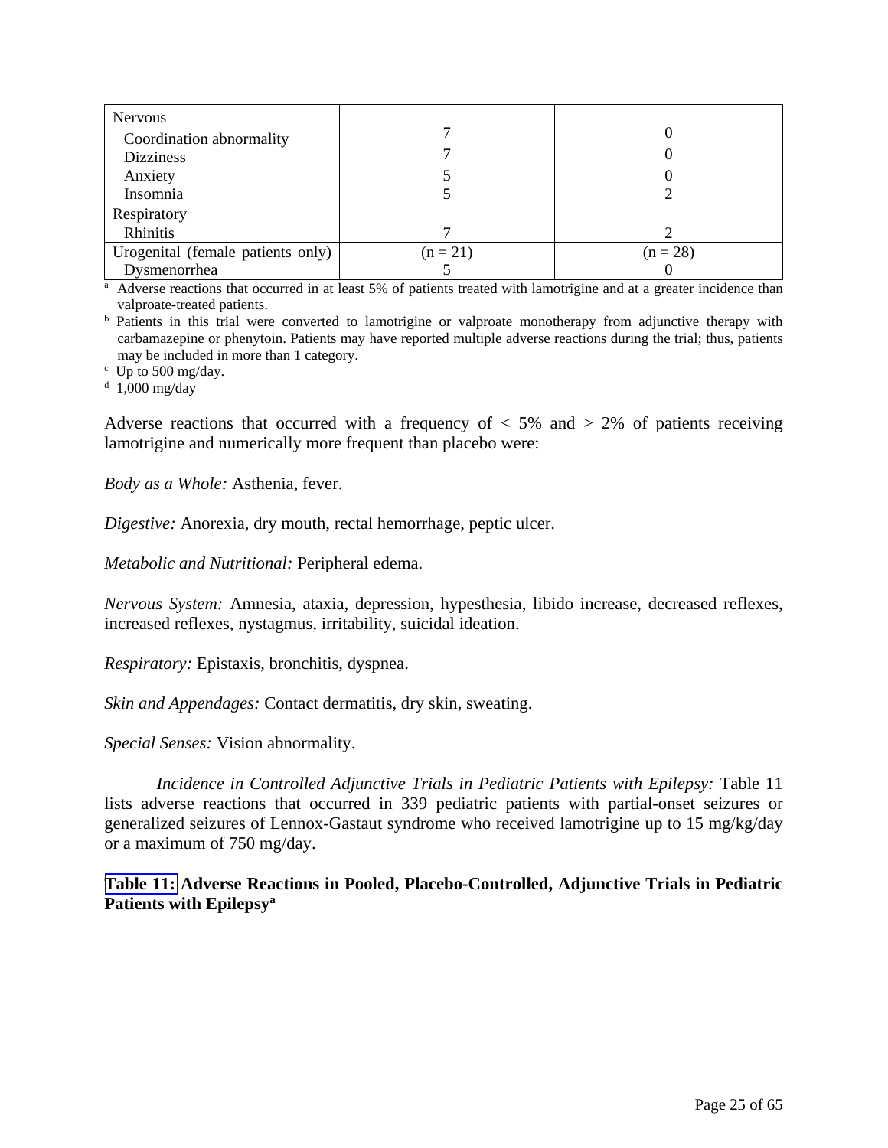| <b>Nervous</b>                    |            |            |
|-----------------------------------|------------|------------|
| Coordination abnormality          |            |            |
| <b>Dizziness</b>                  |            |            |
| Anxiety                           |            |            |
| Insomnia                          |            |            |
| Respiratory                       |            |            |
| Rhinitis                          |            |            |
| Urogenital (female patients only) | $(n = 21)$ | $(n = 28)$ |
| Dysmenorrhea                      |            |            |

Dysmenorrhea<br>
<sup>a</sup> Adverse reactions that occurred in at least 5% of patients treated with lamotrigine and at a greater incidence than

valproate-treated patients.<br><sup>b</sup> Patients in this trial were converted to lamotrigine or valproate monotherapy from adjunctive therapy with carbamazepine or phenytoin. Patients may have reported multiple adverse reactions during the trial; thus, patients may be included in more than 1 category.

 $\degree$  Up to 500 mg/day.

d 1,000 mg/day

Adverse reactions that occurred with a frequency of  $\langle 5\% \rangle$  and  $\langle 2\% \rangle$  of patients receiving lamotrigine and numerically more frequent than placebo were:

*Body as a Whole:* Asthenia, fever.

*Digestive:* Anorexia, dry mouth, rectal hemorrhage, peptic ulcer.

*Metabolic and Nutritional:* Peripheral edema.

*Nervous System:* Amnesia, ataxia, depression, hypesthesia, libido increase, decreased reflexes, increased reflexes, nystagmus, irritability, suicidal ideation.

*Respiratory:* Epistaxis, bronchitis, dyspnea.

*Skin and Appendages:* Contact dermatitis, dry skin, sweating.

*Special Senses:* Vision abnormality.

*Incidence in Controlled Adjunctive Trials in Pediatric Patients with Epilepsy:* Table 11 lists adverse reactions that occurred in 339 pediatric patients with partial-onset seizures or generalized seizures of Lennox-Gastaut syndrome who received lamotrigine up to 15 mg/kg/day or a maximum of 750 mg/day.

**[Table 11:](#page-25-0) Adverse Reactions in Pooled, Placebo-Controlled, Adjunctive Trials in Pediatric Patients with Epilepsya**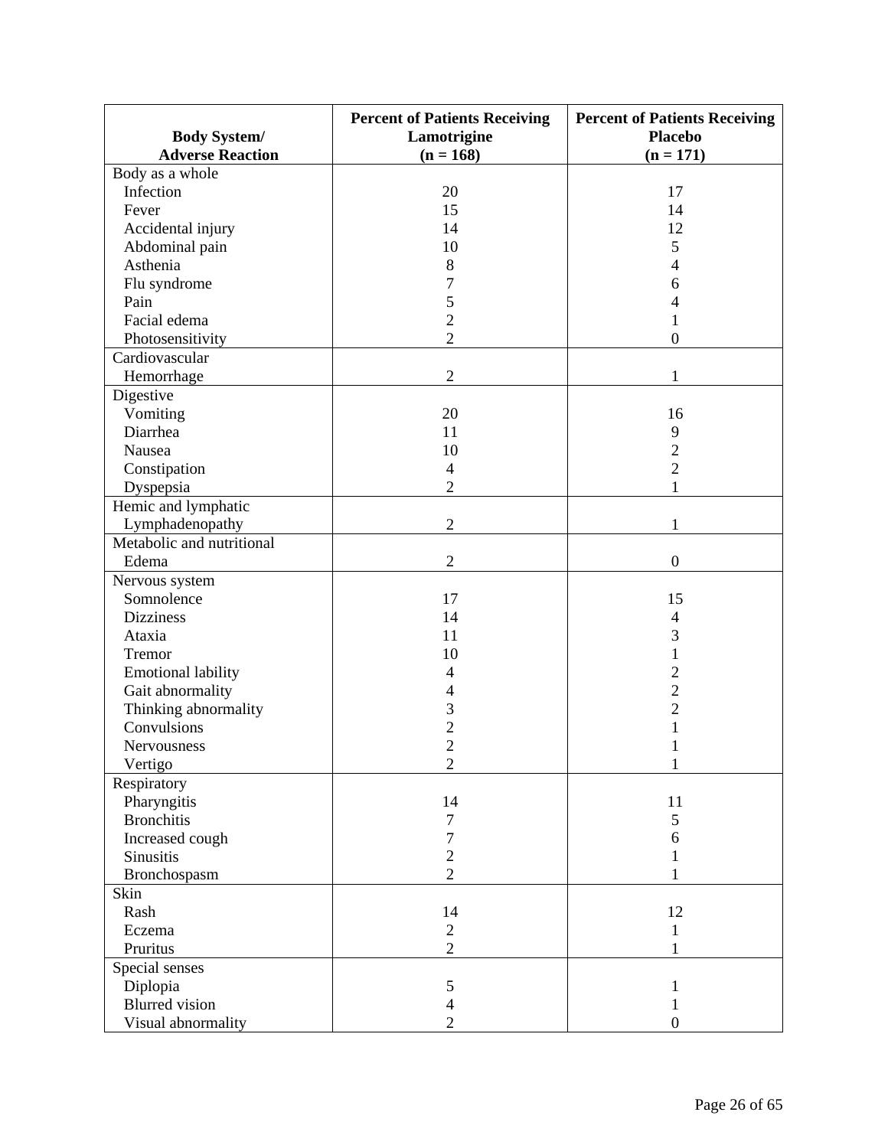<span id="page-25-0"></span>

|                           | <b>Percent of Patients Receiving</b> | <b>Percent of Patients Receiving</b> |
|---------------------------|--------------------------------------|--------------------------------------|
| <b>Body System/</b>       | Lamotrigine                          | <b>Placebo</b>                       |
| <b>Adverse Reaction</b>   | $(n = 168)$                          | $(n = 171)$                          |
| Body as a whole           |                                      |                                      |
| Infection                 | 20                                   | 17                                   |
| Fever                     | 15                                   | 14                                   |
| Accidental injury         | 14                                   | 12                                   |
| Abdominal pain            | 10                                   | 5                                    |
| Asthenia                  | 8                                    | 4                                    |
| Flu syndrome              | 7                                    | 6                                    |
| Pain                      | 5                                    | 4                                    |
| Facial edema              | $\overline{2}$                       | 1                                    |
| Photosensitivity          | $\overline{2}$                       | $\mathbf{0}$                         |
| Cardiovascular            |                                      |                                      |
| Hemorrhage                | $\overline{2}$                       | 1                                    |
| Digestive                 |                                      |                                      |
| Vomiting                  | 20                                   | 16                                   |
| Diarrhea                  | 11                                   | 9                                    |
| Nausea                    | 10                                   | $\overline{c}$                       |
| Constipation              | $\overline{4}$                       | $\overline{2}$                       |
| Dyspepsia                 | $\overline{2}$                       | 1                                    |
| Hemic and lymphatic       |                                      |                                      |
| Lymphadenopathy           | $\overline{2}$                       | 1                                    |
| Metabolic and nutritional |                                      |                                      |
|                           | $\overline{2}$                       | $\boldsymbol{0}$                     |
| Edema                     |                                      |                                      |
| Nervous system            |                                      |                                      |
| Somnolence                | 17                                   | 15                                   |
| <b>Dizziness</b>          | 14                                   | 4                                    |
| Ataxia                    | 11                                   | 3                                    |
| Tremor                    | 10                                   | $\mathbf{1}$                         |
| <b>Emotional lability</b> | 4                                    | $\overline{2}$                       |
| Gait abnormality          | 4                                    | $\overline{c}$                       |
| Thinking abnormality      | 3                                    | $\overline{c}$                       |
| Convulsions               | $\overline{c}$                       | $\mathbf{1}$                         |
| Nervousness               | $\overline{2}$                       | 1                                    |
| Vertigo                   | $\sqrt{2}$                           | 1                                    |
| Respiratory               |                                      |                                      |
| Pharyngitis               | 14                                   | 11                                   |
| <b>Bronchitis</b>         | 7                                    | 5                                    |
| Increased cough           | 7                                    | 6                                    |
| Sinusitis                 | $\overline{c}$                       | 1                                    |
| Bronchospasm              | $\overline{2}$                       | 1                                    |
| Skin                      |                                      |                                      |
| Rash                      | 14                                   | 12                                   |
| Eczema                    | $\overline{2}$                       | 1                                    |
| Pruritus                  | $\overline{2}$                       |                                      |
| Special senses            |                                      |                                      |
| Diplopia                  | $\mathfrak{S}$                       | 1                                    |
| <b>Blurred</b> vision     | 4                                    | 1                                    |
| Visual abnormality        | $\mathbf{2}$                         | $\boldsymbol{0}$                     |
|                           |                                      |                                      |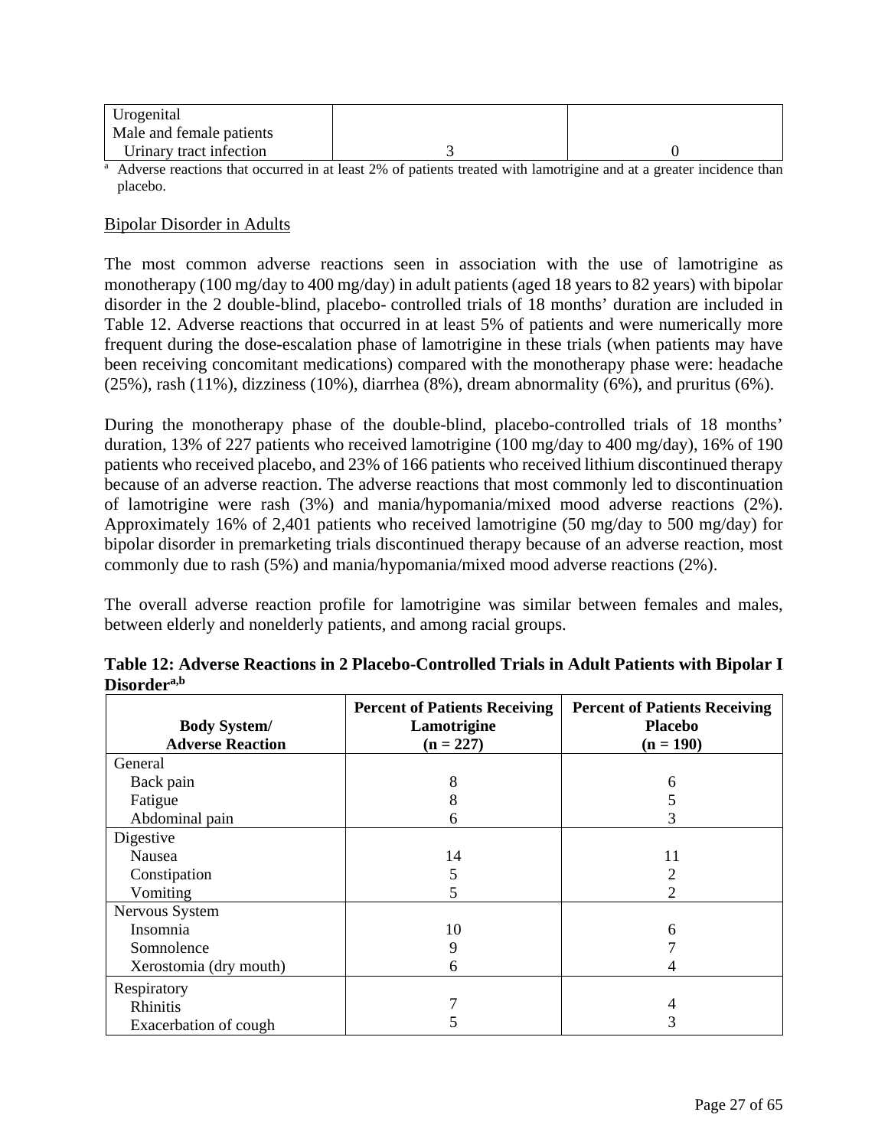| Urogenital               |  |
|--------------------------|--|
| Male and female patients |  |
| Urinary tract infection  |  |

Urinary tract infection 13<br>
<sup>a</sup> Adverse reactions that occurred in at least 2% of patients treated with lamotrigine and at a greater incidence than placebo.

### Bipolar Disorder in Adults

The most common adverse reactions seen in association with the use of lamotrigine as monotherapy (100 mg/day to 400 mg/day) in adult patients (aged 18 years to 82 years) with bipolar disorder in the 2 double-blind, placebo- controlled trials of 18 months' duration are included in Table 12. Adverse reactions that occurred in at least 5% of patients and were numerically more frequent during the dose-escalation phase of lamotrigine in these trials (when patients may have been receiving concomitant medications) compared with the monotherapy phase were: headache  $(25\%)$ , rash  $(11\%)$ , dizziness  $(10\%)$ , diarrhea  $(8\%)$ , dream abnormality  $(6\%)$ , and pruritus  $(6\%)$ .

During the monotherapy phase of the double-blind, placebo-controlled trials of 18 months' duration, 13% of 227 patients who received lamotrigine (100 mg/day to 400 mg/day), 16% of 190 patients who received placebo, and 23% of 166 patients who received lithium discontinued therapy because of an adverse reaction. The adverse reactions that most commonly led to discontinuation of lamotrigine were rash (3%) and mania/hypomania/mixed mood adverse reactions (2%). Approximately 16% of 2,401 patients who received lamotrigine (50 mg/day to 500 mg/day) for bipolar disorder in premarketing trials discontinued therapy because of an adverse reaction, most commonly due to rash (5%) and mania/hypomania/mixed mood adverse reactions (2%).

The overall adverse reaction profile for lamotrigine was similar between females and males, between elderly and nonelderly patients, and among racial groups.

|                                                | <b>Percent of Patients Receiving</b> | <b>Percent of Patients Receiving</b> |
|------------------------------------------------|--------------------------------------|--------------------------------------|
| <b>Body System/</b><br><b>Adverse Reaction</b> | Lamotrigine<br>$(n = 227)$           | <b>Placebo</b><br>$(n = 190)$        |
| General                                        |                                      |                                      |
| Back pain                                      | 8                                    | 6                                    |
| Fatigue                                        | 8                                    |                                      |
| Abdominal pain                                 | 6                                    | 3                                    |
| Digestive                                      |                                      |                                      |
| Nausea                                         | 14                                   | 11                                   |
| Constipation                                   | 5                                    |                                      |
| Vomiting                                       | 5                                    | 2                                    |
| Nervous System                                 |                                      |                                      |
| Insomnia                                       | 10                                   | 6                                    |
| Somnolence                                     | 9                                    |                                      |
| Xerostomia (dry mouth)                         | 6                                    |                                      |
| Respiratory                                    |                                      |                                      |
| Rhinitis                                       |                                      | 4                                    |
| Exacerbation of cough                          | 5                                    | 3                                    |

| Table 12: Adverse Reactions in 2 Placebo-Controlled Trials in Adult Patients with Bipolar I |  |  |
|---------------------------------------------------------------------------------------------|--|--|
| Disorder <sup>a,b</sup>                                                                     |  |  |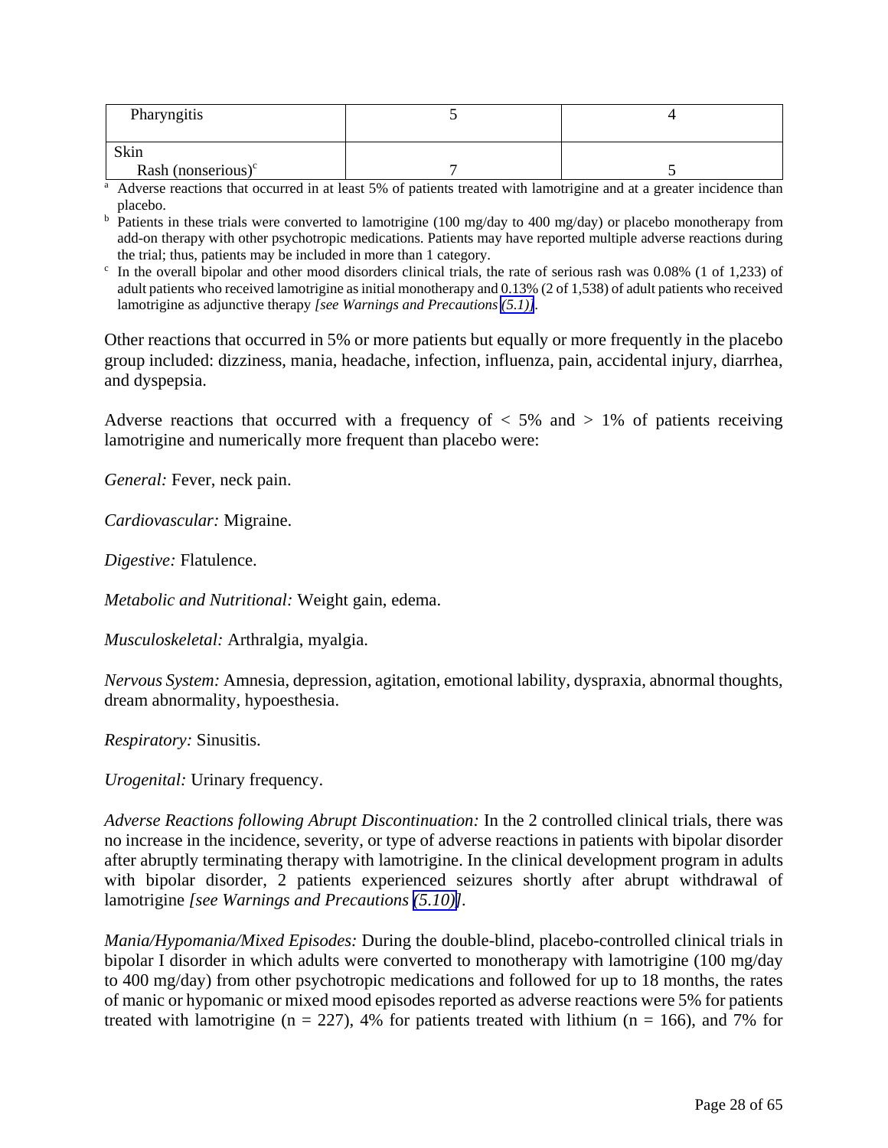| Pharyngitis                                                                                                                      |  |  |  |
|----------------------------------------------------------------------------------------------------------------------------------|--|--|--|
|                                                                                                                                  |  |  |  |
| Skin                                                                                                                             |  |  |  |
| Rash (nonserious) $\text{c}$                                                                                                     |  |  |  |
| <sup>a</sup> Adverse reactions that occurred in at least 5% of patients treated with lamotrigine and at a greater incidence than |  |  |  |

placebo.<br><sup>b</sup> Patients in these trials were converted to lamotrigine (100 mg/day to 400 mg/day) or placebo monotherapy from add-on therapy with other psychotropic medications. Patients may have reported multiple adverse reactions during the trial; thus, patients may be included in more than 1 category.

 $\epsilon$  In the overall bipolar and other mood disorders clinical trials, the rate of serious rash was 0.08% (1 of 1,233) of adult patients who received lamotrigine as initial monotherapy and 0.13% (2 of 1,538) of adult patients who received lamotrigine as adjunctive therapy *[see Warnings and Precautions [\(5.1\)\]](#page-13-4).* 

Other reactions that occurred in 5% or more patients but equally or more frequently in the placebo group included: dizziness, mania, headache, infection, influenza, pain, accidental injury, diarrhea, and dyspepsia.

Adverse reactions that occurred with a frequency of  $\lt$  5% and  $\gt$  1% of patients receiving lamotrigine and numerically more frequent than placebo were:

*General:* Fever, neck pain.

*Cardiovascular:* Migraine.

*Digestive:* Flatulence.

*Metabolic and Nutritional:* Weight gain, edema.

*Musculoskeletal:* Arthralgia, myalgia.

*Nervous System:* Amnesia, depression, agitation, emotional lability, dyspraxia, abnormal thoughts, dream abnormality, hypoesthesia.

*Respiratory:* Sinusitis.

*Urogenital:* Urinary frequency.

*Adverse Reactions following Abrupt Discontinuation:* In the 2 controlled clinical trials, there was no increase in the incidence, severity, or type of adverse reactions in patients with bipolar disorder after abruptly terminating therapy with lamotrigine. In the clinical development program in adults with bipolar disorder, 2 patients experienced seizures shortly after abrupt withdrawal of lamotrigine *[see Warnings and Precautions [\(5.10\)\]](#page-18-1).*

*Mania/Hypomania/Mixed Episodes:* During the double-blind, placebo-controlled clinical trials in bipolar I disorder in which adults were converted to monotherapy with lamotrigine (100 mg/day to 400 mg/day) from other psychotropic medications and followed for up to 18 months, the rates of manic or hypomanic or mixed mood episodes reported as adverse reactions were 5% for patients treated with lamotrigine ( $n = 227$ ), 4% for patients treated with lithium ( $n = 166$ ), and 7% for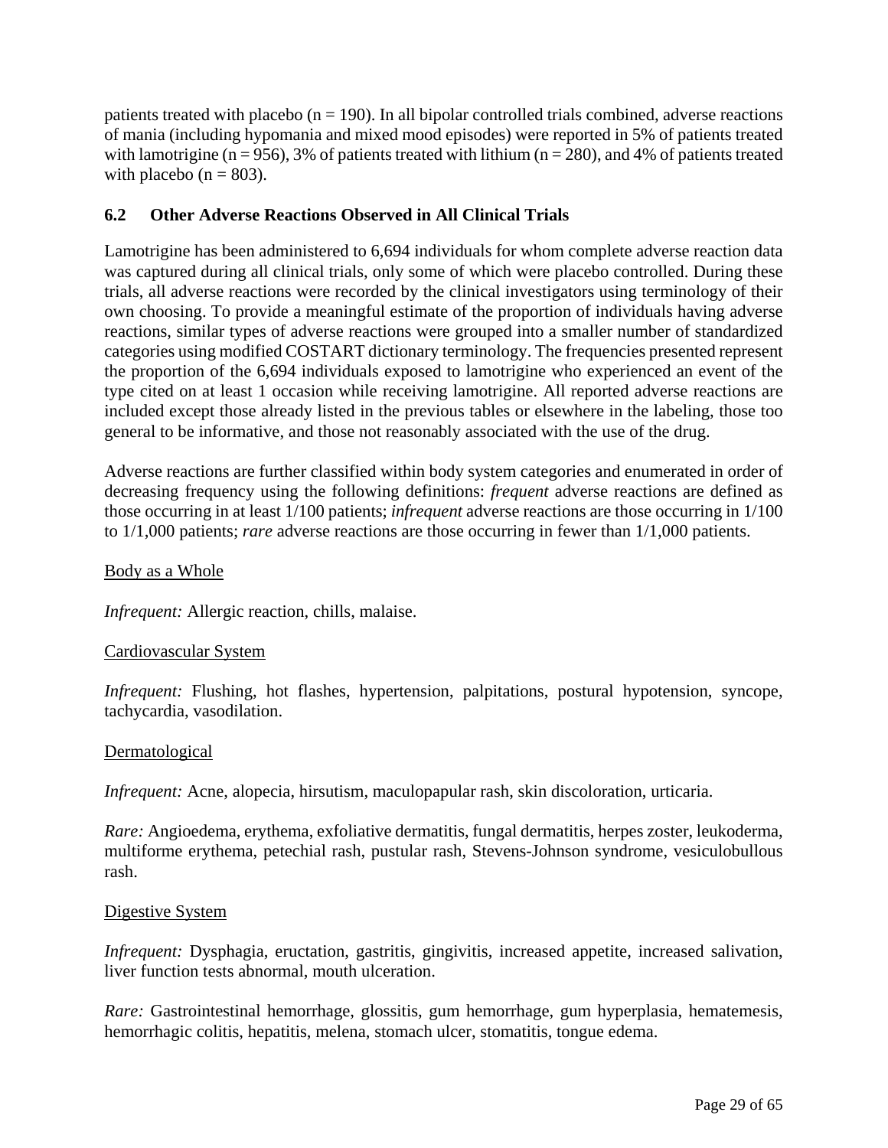<span id="page-28-0"></span>patients treated with placebo ( $n = 190$ ). In all bipolar controlled trials combined, adverse reactions of mania (including hypomania and mixed mood episodes) were reported in 5% of patients treated with lamotrigine ( $n = 956$ ), 3% of patients treated with lithium ( $n = 280$ ), and 4% of patients treated with placebo ( $n = 803$ ).

# **6.2 Other Adverse Reactions Observed in All Clinical Trials**

Lamotrigine has been administered to 6,694 individuals for whom complete adverse reaction data was captured during all clinical trials, only some of which were placebo controlled. During these trials, all adverse reactions were recorded by the clinical investigators using terminology of their own choosing. To provide a meaningful estimate of the proportion of individuals having adverse reactions, similar types of adverse reactions were grouped into a smaller number of standardized categories using modified COSTART dictionary terminology. The frequencies presented represent the proportion of the 6,694 individuals exposed to lamotrigine who experienced an event of the type cited on at least 1 occasion while receiving lamotrigine. All reported adverse reactions are included except those already listed in the previous tables or elsewhere in the labeling, those too general to be informative, and those not reasonably associated with the use of the drug.

Adverse reactions are further classified within body system categories and enumerated in order of decreasing frequency using the following definitions: *frequent* adverse reactions are defined as those occurring in at least 1/100 patients; *infrequent* adverse reactions are those occurring in 1/100 to 1/1,000 patients; *rare* adverse reactions are those occurring in fewer than 1/1,000 patients.

# Body as a Whole

*Infrequent:* Allergic reaction, chills, malaise.

# Cardiovascular System

*Infrequent:* Flushing, hot flashes, hypertension, palpitations, postural hypotension, syncope, tachycardia, vasodilation.

# Dermatological

*Infrequent:* Acne, alopecia, hirsutism, maculopapular rash, skin discoloration, urticaria.

*Rare:* Angioedema, erythema, exfoliative dermatitis, fungal dermatitis, herpes zoster, leukoderma, multiforme erythema, petechial rash, pustular rash, Stevens-Johnson syndrome, vesiculobullous rash.

# Digestive System

*Infrequent:* Dysphagia, eructation, gastritis, gingivitis, increased appetite, increased salivation, liver function tests abnormal, mouth ulceration.

*Rare:* Gastrointestinal hemorrhage, glossitis, gum hemorrhage, gum hyperplasia, hematemesis, hemorrhagic colitis, hepatitis, melena, stomach ulcer, stomatitis, tongue edema.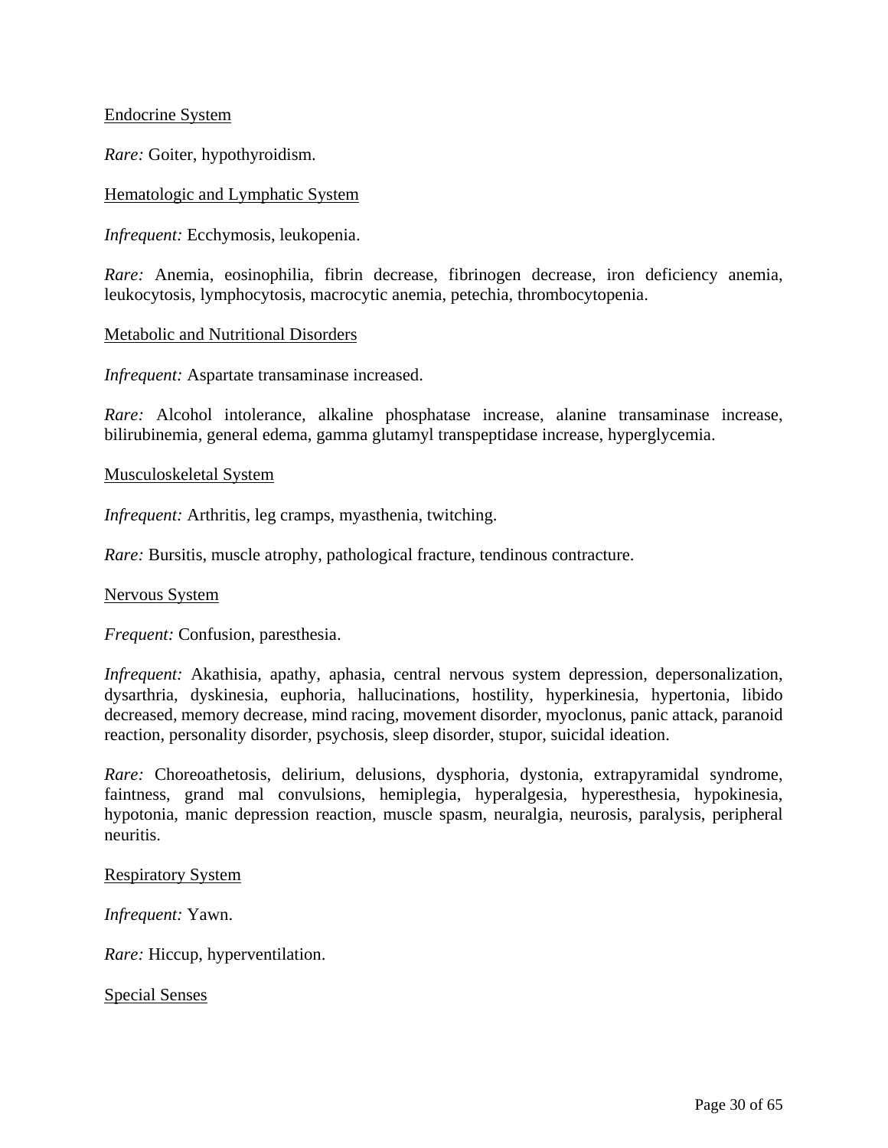### Endocrine System

*Rare:* Goiter, hypothyroidism.

### Hematologic and Lymphatic System

*Infrequent:* Ecchymosis, leukopenia.

*Rare:* Anemia, eosinophilia, fibrin decrease, fibrinogen decrease, iron deficiency anemia, leukocytosis, lymphocytosis, macrocytic anemia, petechia, thrombocytopenia.

#### Metabolic and Nutritional Disorders

*Infrequent:* Aspartate transaminase increased.

*Rare:* Alcohol intolerance, alkaline phosphatase increase, alanine transaminase increase, bilirubinemia, general edema, gamma glutamyl transpeptidase increase, hyperglycemia.

#### Musculoskeletal System

*Infrequent:* Arthritis, leg cramps, myasthenia, twitching.

*Rare:* Bursitis, muscle atrophy, pathological fracture, tendinous contracture.

#### Nervous System

*Frequent:* Confusion, paresthesia.

*Infrequent:* Akathisia, apathy, aphasia, central nervous system depression, depersonalization, dysarthria, dyskinesia, euphoria, hallucinations, hostility, hyperkinesia, hypertonia, libido decreased, memory decrease, mind racing, movement disorder, myoclonus, panic attack, paranoid reaction, personality disorder, psychosis, sleep disorder, stupor, suicidal ideation.

*Rare:* Choreoathetosis, delirium, delusions, dysphoria, dystonia, extrapyramidal syndrome, faintness, grand mal convulsions, hemiplegia, hyperalgesia, hyperesthesia, hypokinesia, hypotonia, manic depression reaction, muscle spasm, neuralgia, neurosis, paralysis, peripheral neuritis.

#### Respiratory System

*Infrequent:* Yawn.

*Rare:* Hiccup, hyperventilation.

Special Senses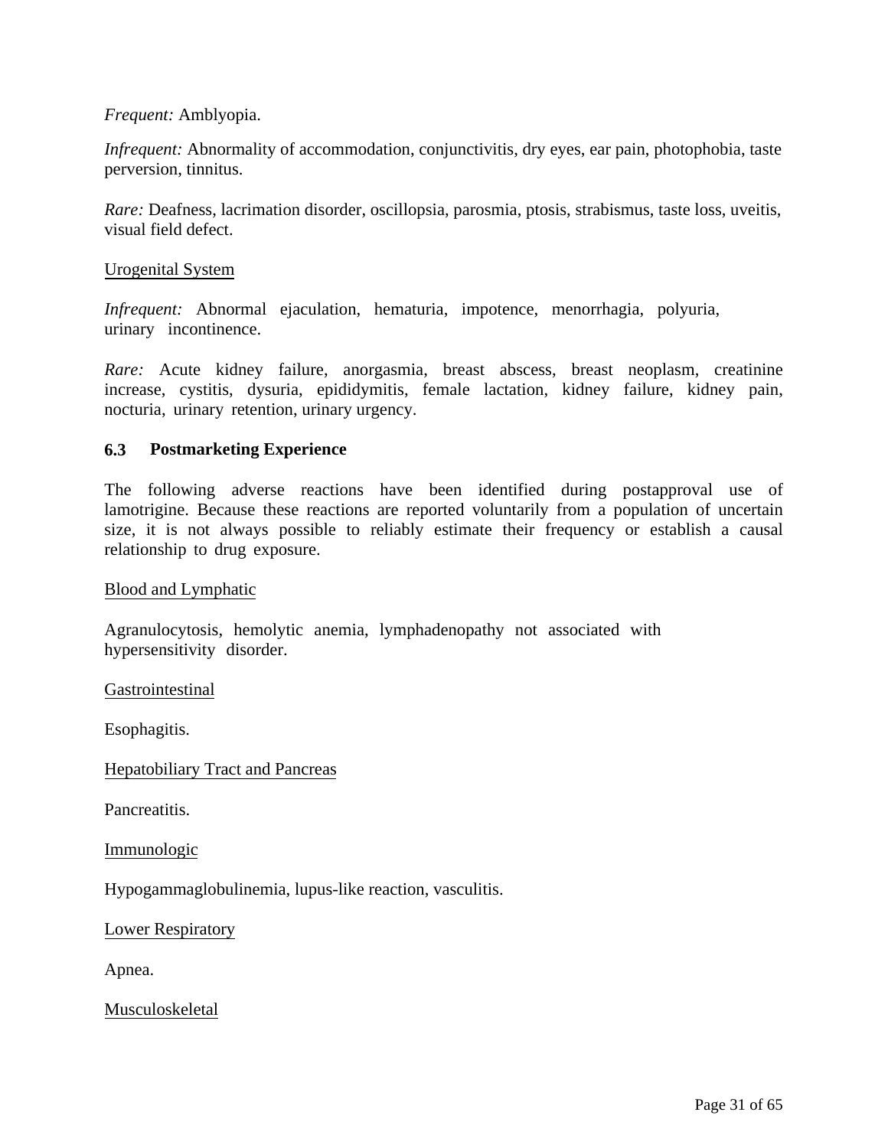# <span id="page-30-0"></span>*Frequent:* Amblyopia.

*Infrequent:* Abnormality of accommodation, conjunctivitis, dry eyes, ear pain, photophobia, taste perversion, tinnitus.

*Rare:* Deafness, lacrimation disorder, oscillopsia, parosmia, ptosis, strabismus, taste loss, uveitis, visual field defect.

### Urogenital System

*Infrequent:* Abnormal ejaculation, hematuria, impotence, menorrhagia, polyuria, urinary incontinence.

*Rare:* Acute kidney failure, anorgasmia, breast abscess, breast neoplasm, creatinine increase, cystitis, dysuria, epididymitis, female lactation, kidney failure, kidney pain, nocturia, urinary retention, urinary urgency.

# **6.3 Postmarketing Experience**

The following adverse reactions have been identified during postapproval use of lamotrigine. Because these reactions are reported voluntarily from a population of uncertain size, it is not always possible to reliably estimate their frequency or establish a causal relationship to drug exposure.

#### Blood and Lymphatic

Agranulocytosis, hemolytic anemia, lymphadenopathy not associated with hypersensitivity disorder.

Gastrointestinal

Esophagitis.

Hepatobiliary Tract and Pancreas

Pancreatitis.

Immunologic

Hypogammaglobulinemia, lupus-like reaction, vasculitis.

Lower Respiratory

Apnea.

Musculoskeletal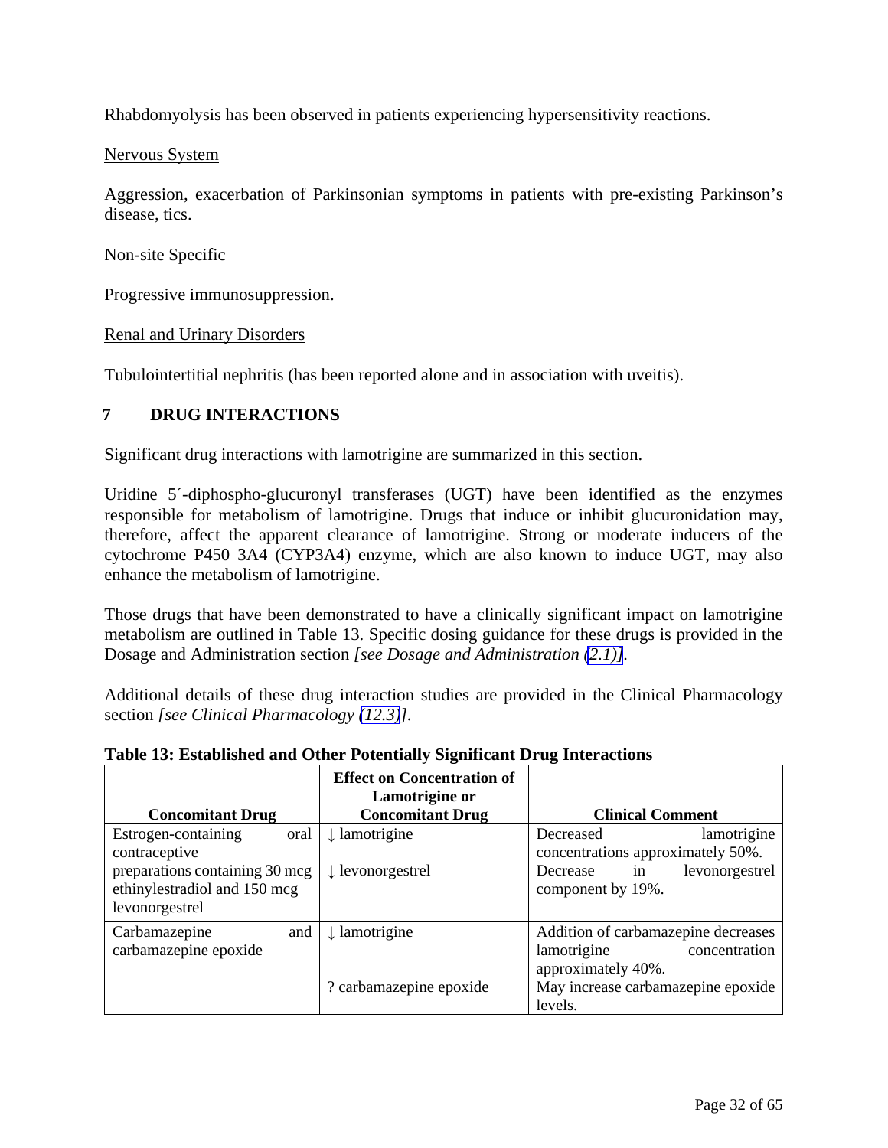<span id="page-31-3"></span><span id="page-31-2"></span><span id="page-31-1"></span><span id="page-31-0"></span>Rhabdomyolysis has been observed in patients experiencing hypersensitivity reactions.

### Nervous System

Aggression, exacerbation of Parkinsonian symptoms in patients with pre-existing Parkinson's disease, tics.

### Non-site Specific

Progressive immunosuppression.

### Renal and Urinary Disorders

Tubulointertitial nephritis (has been reported alone and in association with uveitis).

# **7 DRUG INTERACTIONS**

Significant drug interactions with lamotrigine are summarized in this section.

Uridine 5´-diphospho-glucuronyl transferases (UGT) have been identified as the enzymes responsible for metabolism of lamotrigine. Drugs that induce or inhibit glucuronidation may, therefore, affect the apparent clearance of lamotrigine. Strong or moderate inducers of the cytochrome P450 3A4 (CYP3A4) enzyme, which are also known to induce UGT, may also enhance the metabolism of lamotrigine.

Those drugs that have been demonstrated to have a clinically significant impact on lamotrigine metabolism are outlined in Table 13. Specific dosing guidance for these drugs is provided in the Dosage and Administration section *[see Dosage and Administration [\(2.1\)\]](#page-3-5).*

Additional details of these drug interaction studies are provided in the Clinical Pharmacology section *[see Clinical Pharmacology [\(12.3\)](#page-39-0)].*

| Table 19. Established and Other Totenham, biginneam DTug Interactions                                                            |                                                     |                                                                                                                                            |
|----------------------------------------------------------------------------------------------------------------------------------|-----------------------------------------------------|--------------------------------------------------------------------------------------------------------------------------------------------|
|                                                                                                                                  | <b>Effect on Concentration of</b><br>Lamotrigine or |                                                                                                                                            |
| <b>Concomitant Drug</b>                                                                                                          | <b>Concomitant Drug</b>                             | <b>Clinical Comment</b>                                                                                                                    |
| Estrogen-containing<br>oral<br>contraceptive<br>preparations containing 30 mcg<br>ethinylestradiol and 150 mcg<br>levonorgestrel | ↓ lamotrigine<br>$\downarrow$ levonorgestrel        | lamotrigine<br>Decreased<br>concentrations approximately 50%.<br>levonorgestrel<br>Decrease<br>in<br>component by 19%.                     |
| Carbamazepine<br>and<br>carbamazepine epoxide                                                                                    | $\downarrow$ lamotrigine<br>? carbamazepine epoxide | Addition of carbamazepine decreases<br>concentration<br>lamotrigine<br>approximately 40%.<br>May increase carbamazepine epoxide<br>levels. |

#### **Table 13: Established and Other Potentially Significant Drug Interactions**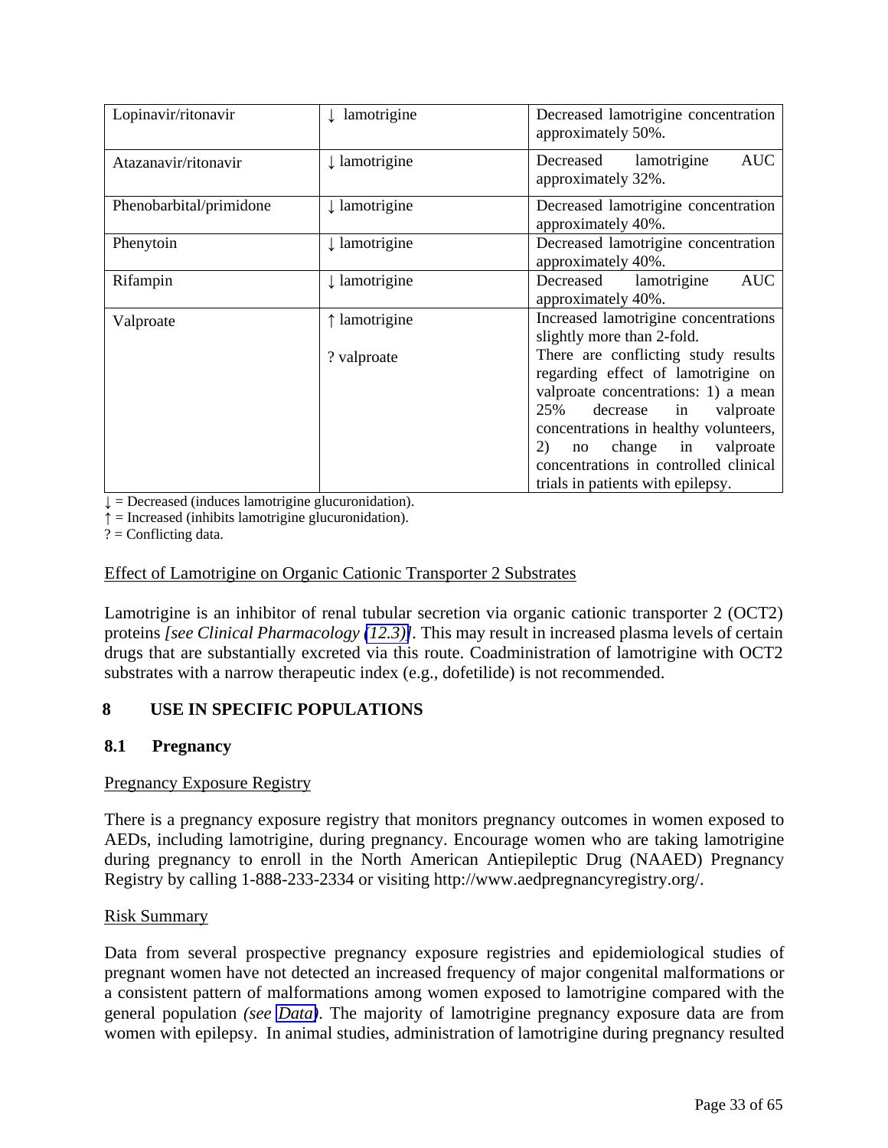<span id="page-32-1"></span><span id="page-32-0"></span>

| Lopinavir/ritonavir     | lamotrigine              | Decreased lamotrigine concentration<br>approximately 50%.                                                                                                                                                                                                                                                  |
|-------------------------|--------------------------|------------------------------------------------------------------------------------------------------------------------------------------------------------------------------------------------------------------------------------------------------------------------------------------------------------|
| Atazanavir/ritonavir    | $\downarrow$ lamotrigine | <b>AUC</b><br>Decreased lamotrigine<br>approximately 32%.                                                                                                                                                                                                                                                  |
| Phenobarbital/primidone | $\downarrow$ lamotrigine | Decreased lamotrigine concentration<br>approximately 40%.                                                                                                                                                                                                                                                  |
| Phenytoin               | ↓ lamotrigine            | Decreased lamotrigine concentration<br>approximately 40%.                                                                                                                                                                                                                                                  |
| Rifampin                | $\downarrow$ lamotrigine | Decreased lamotrigine<br><b>AUC</b><br>approximately 40%.                                                                                                                                                                                                                                                  |
| Valproate               | ↑ lamotrigine            | Increased lamotrigine concentrations<br>slightly more than 2-fold.                                                                                                                                                                                                                                         |
|                         | ? valproate              | There are conflicting study results<br>regarding effect of lamotrigine on<br>valproate concentrations: 1) a mean<br>25%<br>decrease<br>in valproate<br>concentrations in healthy volunteers,<br>no change in valproate<br>2)<br>concentrations in controlled clinical<br>trials in patients with epilepsy. |

 $\downarrow$  = Decreased (induces lamotrigine glucuronidation).

 $\uparrow$  = Increased (inhibits lamotrigine glucuronidation).

 $? =$  Conflicting data.

### Effect of Lamotrigine on Organic Cationic Transporter 2 Substrates

Lamotrigine is an inhibitor of renal tubular secretion via organic cationic transporter 2 (OCT2) proteins *[see Clinical Pharmacology [\(12.3\)\]](#page-39-0).* This may result in increased plasma levels of certain drugs that are substantially excreted via this route. Coadministration of lamotrigine with OCT2 substrates with a narrow therapeutic index (e.g., dofetilide) is not recommended.

# **8 USE IN SPECIFIC POPULATIONS**

# **8.1 Pregnancy**

# Pregnancy Exposure Registry

There is a pregnancy exposure registry that monitors pregnancy outcomes in women exposed to AEDs, including lamotrigine, during pregnancy. Encourage women who are taking lamotrigine during pregnancy to enroll in the North American Antiepileptic Drug (NAAED) Pregnancy Registry by calling 1-888-233-2334 or visiting http://www.aedpregnancyregistry.org/.

#### Risk Summary

Data from several prospective pregnancy exposure registries and epidemiological studies of pregnant women have not detected an increased frequency of major congenital malformations or a consistent pattern of malformations among women exposed to lamotrigine compared with the general population *(see [Data\)](#page-33-0)*. The majority of lamotrigine pregnancy exposure data are from women with epilepsy. In animal studies, administration of lamotrigine during pregnancy resulted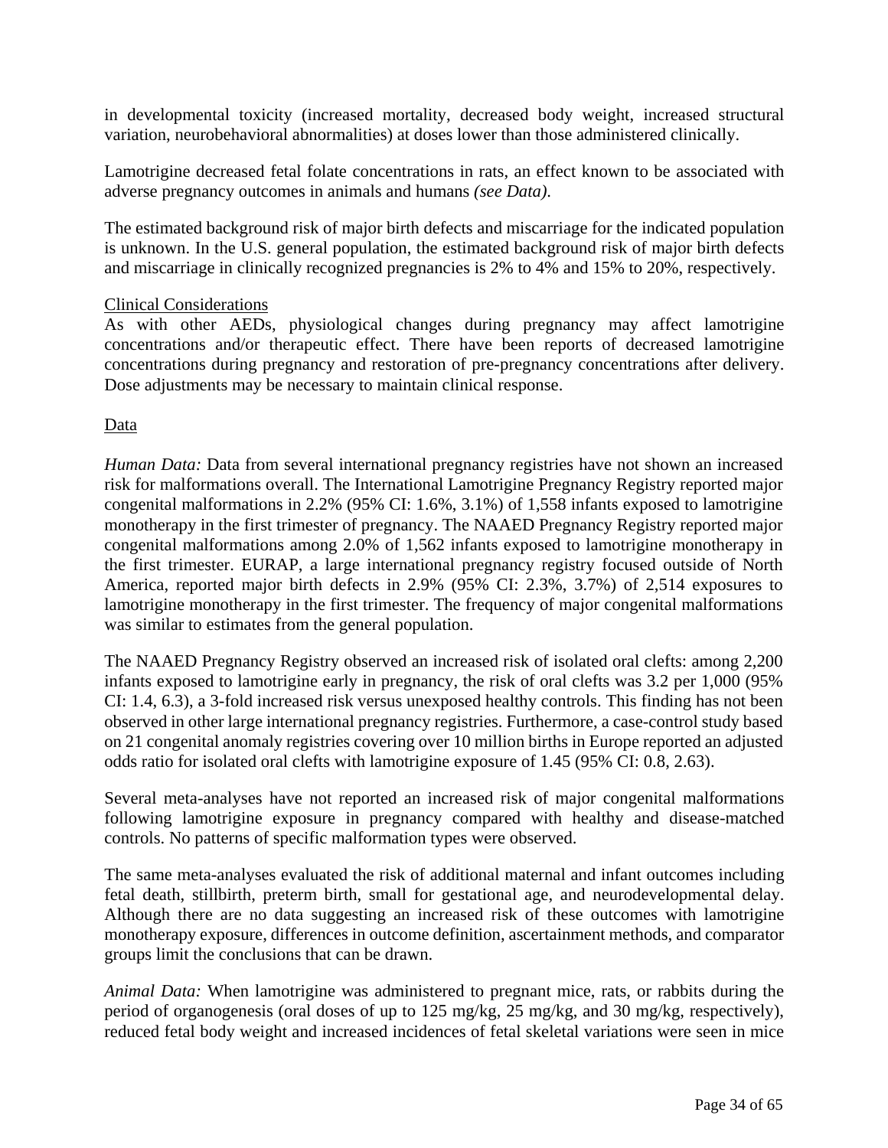<span id="page-33-0"></span>in developmental toxicity (increased mortality, decreased body weight, increased structural variation, neurobehavioral abnormalities) at doses lower than those administered clinically.

Lamotrigine decreased fetal folate concentrations in rats, an effect known to be associated with adverse pregnancy outcomes in animals and humans *(see Data)*.

The estimated background risk of major birth defects and miscarriage for the indicated population is unknown. In the U.S. general population, the estimated background risk of major birth defects and miscarriage in clinically recognized pregnancies is 2% to 4% and 15% to 20%, respectively.

# Clinical Considerations

As with other AEDs, physiological changes during pregnancy may affect lamotrigine concentrations and/or therapeutic effect. There have been reports of decreased lamotrigine concentrations during pregnancy and restoration of pre-pregnancy concentrations after delivery. Dose adjustments may be necessary to maintain clinical response.

### **Data**

*Human Data:* Data from several international pregnancy registries have not shown an increased risk for malformations overall. The International Lamotrigine Pregnancy Registry reported major congenital malformations in 2.2% (95% CI: 1.6%, 3.1%) of 1,558 infants exposed to lamotrigine monotherapy in the first trimester of pregnancy. The NAAED Pregnancy Registry reported major congenital malformations among 2.0% of 1,562 infants exposed to lamotrigine monotherapy in the first trimester. EURAP, a large international pregnancy registry focused outside of North America, reported major birth defects in 2.9% (95% CI: 2.3%, 3.7%) of 2,514 exposures to lamotrigine monotherapy in the first trimester. The frequency of major congenital malformations was similar to estimates from the general population.

The NAAED Pregnancy Registry observed an increased risk of isolated oral clefts: among 2,200 infants exposed to lamotrigine early in pregnancy, the risk of oral clefts was 3.2 per 1,000 (95% CI: 1.4, 6.3), a 3-fold increased risk versus unexposed healthy controls. This finding has not been observed in other large international pregnancy registries. Furthermore, a case-control study based on 21 congenital anomaly registries covering over 10 million births in Europe reported an adjusted odds ratio for isolated oral clefts with lamotrigine exposure of 1.45 (95% CI: 0.8, 2.63).

Several meta-analyses have not reported an increased risk of major congenital malformations following lamotrigine exposure in pregnancy compared with healthy and disease-matched controls. No patterns of specific malformation types were observed.

The same meta-analyses evaluated the risk of additional maternal and infant outcomes including fetal death, stillbirth, preterm birth, small for gestational age, and neurodevelopmental delay. Although there are no data suggesting an increased risk of these outcomes with lamotrigine monotherapy exposure, differences in outcome definition, ascertainment methods, and comparator groups limit the conclusions that can be drawn.

*Animal Data:* When lamotrigine was administered to pregnant mice, rats, or rabbits during the period of organogenesis (oral doses of up to 125 mg/kg, 25 mg/kg, and 30 mg/kg, respectively), reduced fetal body weight and increased incidences of fetal skeletal variations were seen in mice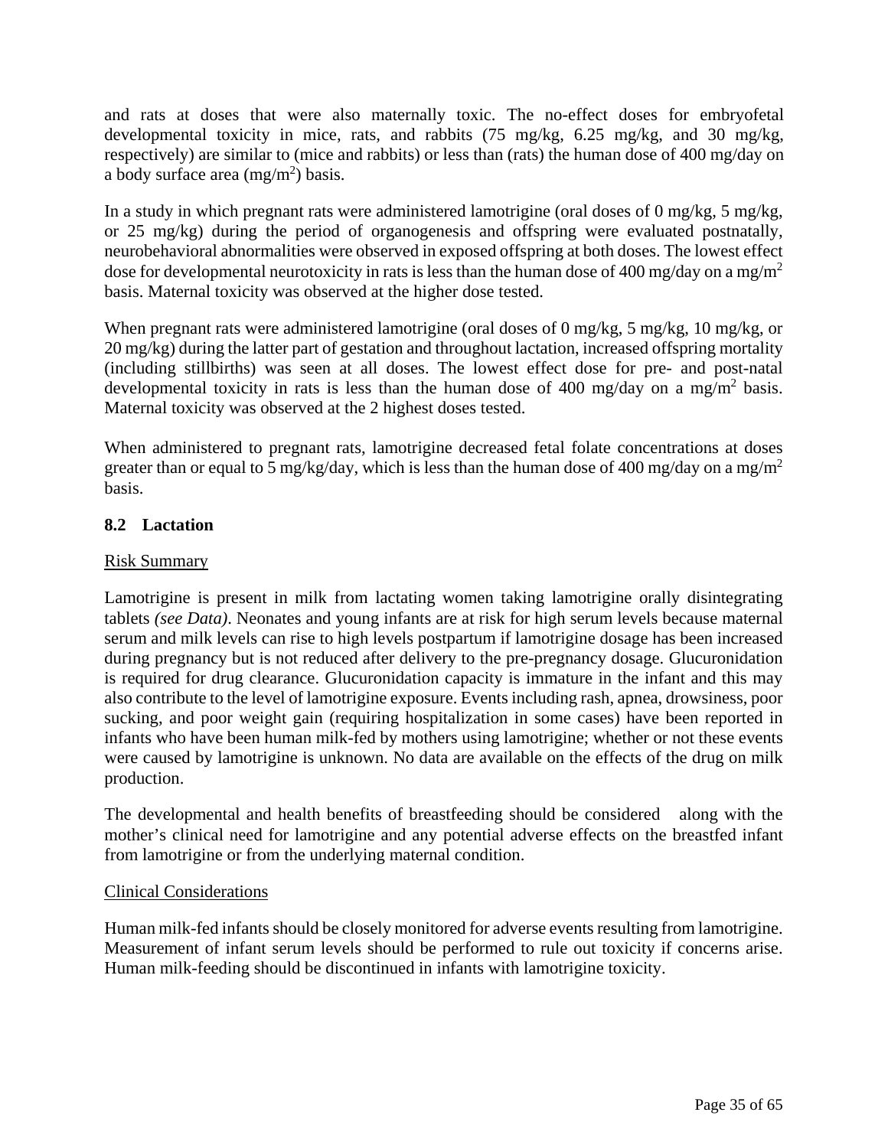<span id="page-34-0"></span>and rats at doses that were also maternally toxic. The no-effect doses for embryofetal developmental toxicity in mice, rats, and rabbits (75 mg/kg, 6.25 mg/kg, and 30 mg/kg, respectively) are similar to (mice and rabbits) or less than (rats) the human dose of 400 mg/day on a body surface area  $(mg/m^2)$  basis.

In a study in which pregnant rats were administered lamotrigine (oral doses of 0 mg/kg, 5 mg/kg, or 25 mg/kg) during the period of organogenesis and offspring were evaluated postnatally, neurobehavioral abnormalities were observed in exposed offspring at both doses. The lowest effect dose for developmental neurotoxicity in rats is less than the human dose of 400 mg/day on a mg/m<sup>2</sup> basis. Maternal toxicity was observed at the higher dose tested.

When pregnant rats were administered lamotrigine (oral doses of 0 mg/kg, 5 mg/kg, 10 mg/kg, or 20 mg/kg) during the latter part of gestation and throughout lactation, increased offspring mortality (including stillbirths) was seen at all doses. The lowest effect dose for pre- and post-natal developmental toxicity in rats is less than the human dose of 400 mg/day on a mg/m<sup>2</sup> basis. Maternal toxicity was observed at the 2 highest doses tested.

When administered to pregnant rats, lamotrigine decreased fetal folate concentrations at doses greater than or equal to 5 mg/kg/day, which is less than the human dose of 400 mg/day on a mg/m<sup>2</sup> basis.

# **8.2 Lactation**

# Risk Summary

Lamotrigine is present in milk from lactating women taking lamotrigine orally disintegrating tablets *(see Data)*. Neonates and young infants are at risk for high serum levels because maternal serum and milk levels can rise to high levels postpartum if lamotrigine dosage has been increased during pregnancy but is not reduced after delivery to the pre-pregnancy dosage. Glucuronidation is required for drug clearance. Glucuronidation capacity is immature in the infant and this may also contribute to the level of lamotrigine exposure. Events including rash, apnea, drowsiness, poor sucking, and poor weight gain (requiring hospitalization in some cases) have been reported in infants who have been human milk-fed by mothers using lamotrigine; whether or not these events were caused by lamotrigine is unknown. No data are available on the effects of the drug on milk production.

The developmental and health benefits of breastfeeding should be considered along with the mother's clinical need for lamotrigine and any potential adverse effects on the breastfed infant from lamotrigine or from the underlying maternal condition.

# Clinical Considerations

Human milk-fed infants should be closely monitored for adverse events resulting from lamotrigine. Measurement of infant serum levels should be performed to rule out toxicity if concerns arise. Human milk-feeding should be discontinued in infants with lamotrigine toxicity.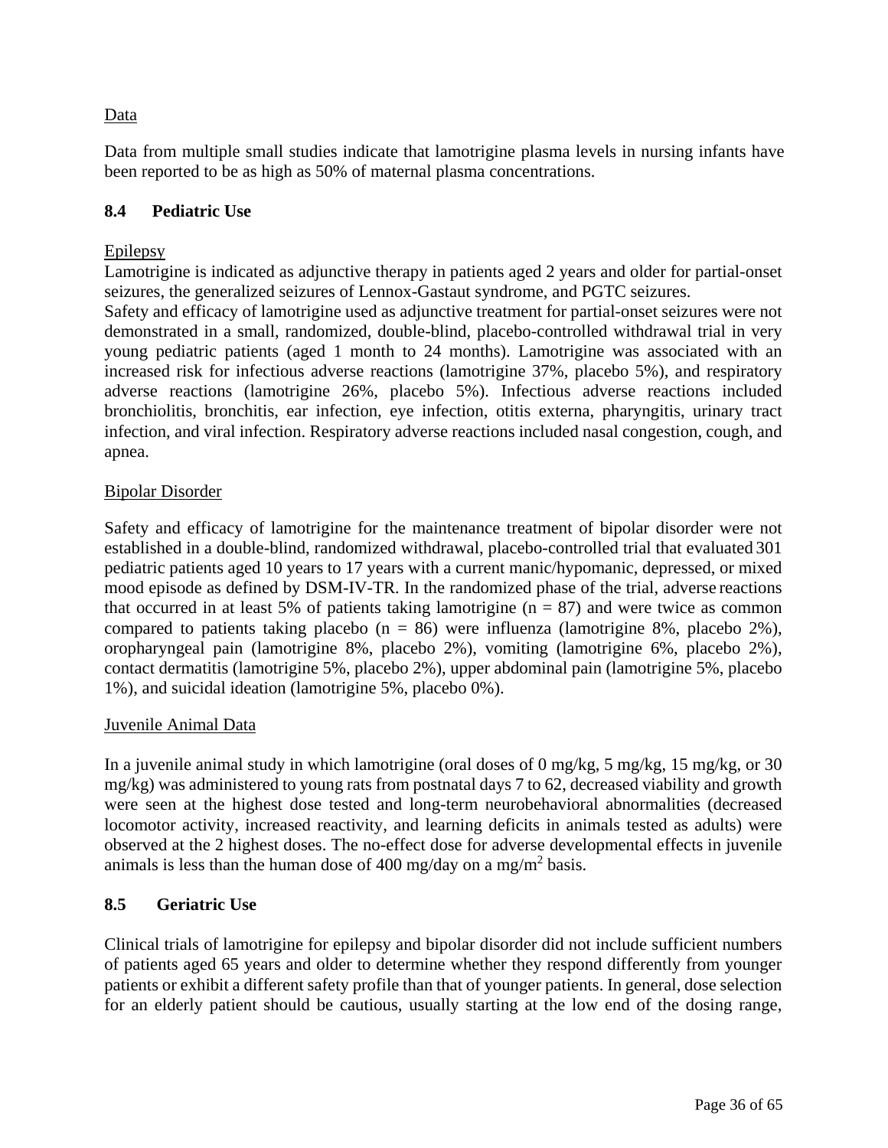# <span id="page-35-1"></span><span id="page-35-0"></span>Data

Data from multiple small studies indicate that lamotrigine plasma levels in nursing infants have been reported to be as high as 50% of maternal plasma concentrations.

# **8.4 Pediatric Use**

# Epilepsy

Lamotrigine is indicated as adjunctive therapy in patients aged 2 years and older for partial-onset seizures, the generalized seizures of Lennox-Gastaut syndrome, and PGTC seizures.

Safety and efficacy of lamotrigine used as adjunctive treatment for partial-onset seizures were not demonstrated in a small, randomized, double-blind, placebo-controlled withdrawal trial in very young pediatric patients (aged 1 month to 24 months). Lamotrigine was associated with an increased risk for infectious adverse reactions (lamotrigine 37%, placebo 5%), and respiratory adverse reactions (lamotrigine 26%, placebo 5%). Infectious adverse reactions included bronchiolitis, bronchitis, ear infection, eye infection, otitis externa, pharyngitis, urinary tract infection, and viral infection. Respiratory adverse reactions included nasal congestion, cough, and apnea.

# Bipolar Disorder

Safety and efficacy of lamotrigine for the maintenance treatment of bipolar disorder were not established in a double-blind, randomized withdrawal, placebo-controlled trial that evaluated 301 pediatric patients aged 10 years to 17 years with a current manic/hypomanic, depressed, or mixed mood episode as defined by DSM-IV-TR. In the randomized phase of the trial, adverse reactions that occurred in at least 5% of patients taking lamotrigine ( $n = 87$ ) and were twice as common compared to patients taking placebo ( $n = 86$ ) were influenza (lamotrigine 8%, placebo 2%), oropharyngeal pain (lamotrigine 8%, placebo 2%), vomiting (lamotrigine 6%, placebo 2%), contact dermatitis (lamotrigine 5%, placebo 2%), upper abdominal pain (lamotrigine 5%, placebo 1%), and suicidal ideation (lamotrigine 5%, placebo 0%).

# Juvenile Animal Data

In a juvenile animal study in which lamotrigine (oral doses of 0 mg/kg, 5 mg/kg, 15 mg/kg, or 30 mg/kg) was administered to young rats from postnatal days 7 to 62, decreased viability and growth were seen at the highest dose tested and long-term neurobehavioral abnormalities (decreased locomotor activity, increased reactivity, and learning deficits in animals tested as adults) were observed at the 2 highest doses. The no-effect dose for adverse developmental effects in juvenile animals is less than the human dose of 400 mg/day on a mg/m<sup>2</sup> basis.

# **8.5 Geriatric Use**

Clinical trials of lamotrigine for epilepsy and bipolar disorder did not include sufficient numbers of patients aged 65 years and older to determine whether they respond differently from younger patients or exhibit a different safety profile than that of younger patients. In general, dose selection for an elderly patient should be cautious, usually starting at the low end of the dosing range,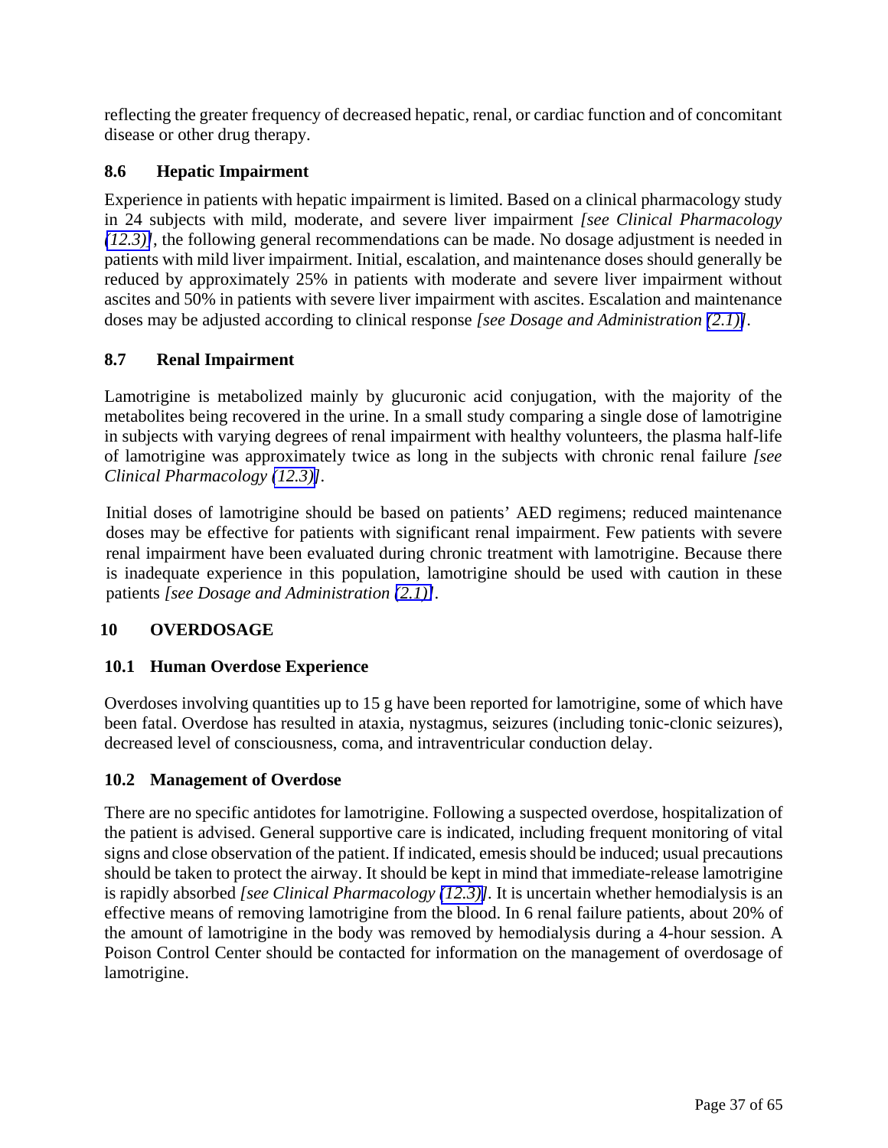<span id="page-36-1"></span><span id="page-36-0"></span>reflecting the greater frequency of decreased hepatic, renal, or cardiac function and of concomitant disease or other drug therapy.

# **8.6 Hepatic Impairment**

Experience in patients with hepatic impairment is limited. Based on a clinical pharmacology study in 24 subjects with mild, moderate, and severe liver impairment *[see Clinical Pharmacology [\(12.3\)\]](#page-39-0)*, the following general recommendations can be made. No dosage adjustment is needed in patients with mild liver impairment. Initial, escalation, and maintenance doses should generally be reduced by approximately 25% in patients with moderate and severe liver impairment without ascites and 50% in patients with severe liver impairment with ascites. Escalation and maintenance doses may be adjusted according to clinical response *[see Dosage and Administration [\(2.1\)\]](#page-3-2)*.

# **8.7 Renal Impairment**

Lamotrigine is metabolized mainly by glucuronic acid conjugation, with the majority of the metabolites being recovered in the urine. In a small study comparing a single dose of lamotrigine in subjects with varying degrees of renal impairment with healthy volunteers, the plasma half-life of lamotrigine was approximately twice as long in the subjects with chronic renal failure *[see Clinical Pharmacology [\(12.3\)\]](#page-39-0)*.

Initial doses of lamotrigine should be based on patients' AED regimens; reduced maintenance doses may be effective for patients with significant renal impairment. Few patients with severe renal impairment have been evaluated during chronic treatment with lamotrigine. Because there is inadequate experience in this population, lamotrigine should be used with caution in these patients *[see Dosage and Administration [\(2.1\)\]](#page-3-2)*.

# **10 OVERDOSAGE**

# **10.1 Human Overdose Experience**

Overdoses involving quantities up to 15 g have been reported for lamotrigine, some of which have been fatal. Overdose has resulted in ataxia, nystagmus, seizures (including tonic-clonic seizures), decreased level of consciousness, coma, and intraventricular conduction delay.

# **10.2 Management of Overdose**

There are no specific antidotes for lamotrigine. Following a suspected overdose, hospitalization of the patient is advised. General supportive care is indicated, including frequent monitoring of vital signs and close observation of the patient. If indicated, emesis should be induced; usual precautions should be taken to protect the airway. It should be kept in mind that immediate-release lamotrigine is rapidly absorbed *[see Clinical Pharmacology [\(12.3\)\]](#page-39-0).* It is uncertain whether hemodialysis is an effective means of removing lamotrigine from the blood. In 6 renal failure patients, about 20% of the amount of lamotrigine in the body was removed by hemodialysis during a 4-hour session. A Poison Control Center should be contacted for information on the management of overdosage of lamotrigine.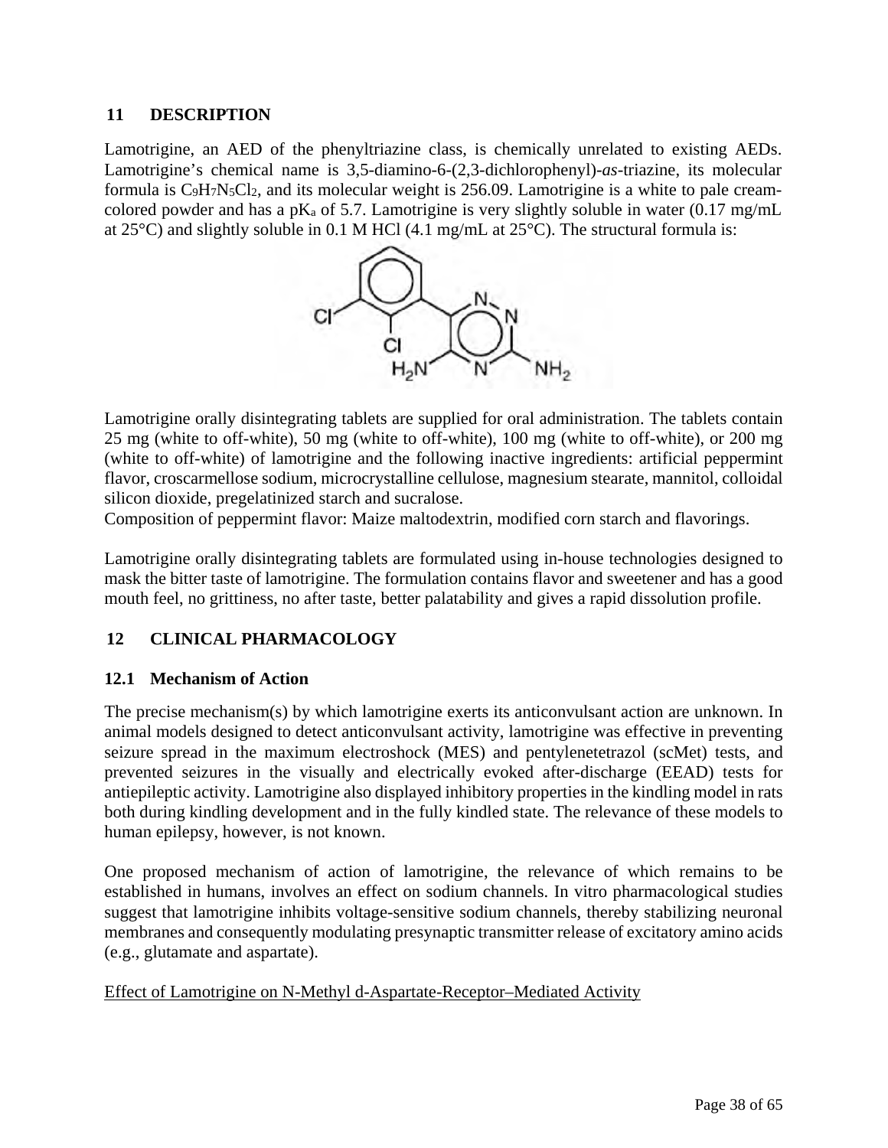# **11 DESCRIPTION**

Lamotrigine, an AED of the phenyltriazine class, is chemically unrelated to existing AEDs. Lamotrigine's chemical name is 3,5-diamino-6-(2,3-dichlorophenyl)-*as*-triazine, its molecular formula is C9H7N5Cl2, and its molecular weight is 256.09. Lamotrigine is a white to pale creamcolored powder and has a pK<sub>a</sub> of 5.7. Lamotrigine is very slightly soluble in water (0.17 mg/mL) at 25°C) and slightly soluble in 0.1 M HCl (4.1 mg/mL at 25°C). The structural formula is:

<span id="page-37-0"></span>

Lamotrigine orally disintegrating tablets are supplied for oral administration. The tablets contain 25 mg (white to off-white), 50 mg (white to off-white), 100 mg (white to off-white), or 200 mg (white to off-white) of lamotrigine and the following inactive ingredients: artificial peppermint flavor, croscarmellose sodium, microcrystalline cellulose, magnesium stearate, mannitol, colloidal silicon dioxide, pregelatinized starch and sucralose.

Composition of peppermint flavor: Maize maltodextrin, modified corn starch and flavorings.

Lamotrigine orally disintegrating tablets are formulated using in-house technologies designed to mask the bitter taste of lamotrigine. The formulation contains flavor and sweetener and has a good mouth feel, no grittiness, no after taste, better palatability and gives a rapid dissolution profile.

# **12 CLINICAL PHARMACOLOGY**

# **12.1 Mechanism of Action**

The precise mechanism(s) by which lamotrigine exerts its anticonvulsant action are unknown. In animal models designed to detect anticonvulsant activity, lamotrigine was effective in preventing seizure spread in the maximum electroshock (MES) and pentylenetetrazol (scMet) tests, and prevented seizures in the visually and electrically evoked after-discharge (EEAD) tests for antiepileptic activity. Lamotrigine also displayed inhibitory properties in the kindling model in rats both during kindling development and in the fully kindled state. The relevance of these models to human epilepsy, however, is not known.

One proposed mechanism of action of lamotrigine, the relevance of which remains to be established in humans, involves an effect on sodium channels. In vitro pharmacological studies suggest that lamotrigine inhibits voltage-sensitive sodium channels, thereby stabilizing neuronal membranes and consequently modulating presynaptic transmitter release of excitatory amino acids (e.g., glutamate and aspartate).

# Effect of Lamotrigine on N-Methyl d-Aspartate-Receptor–Mediated Activity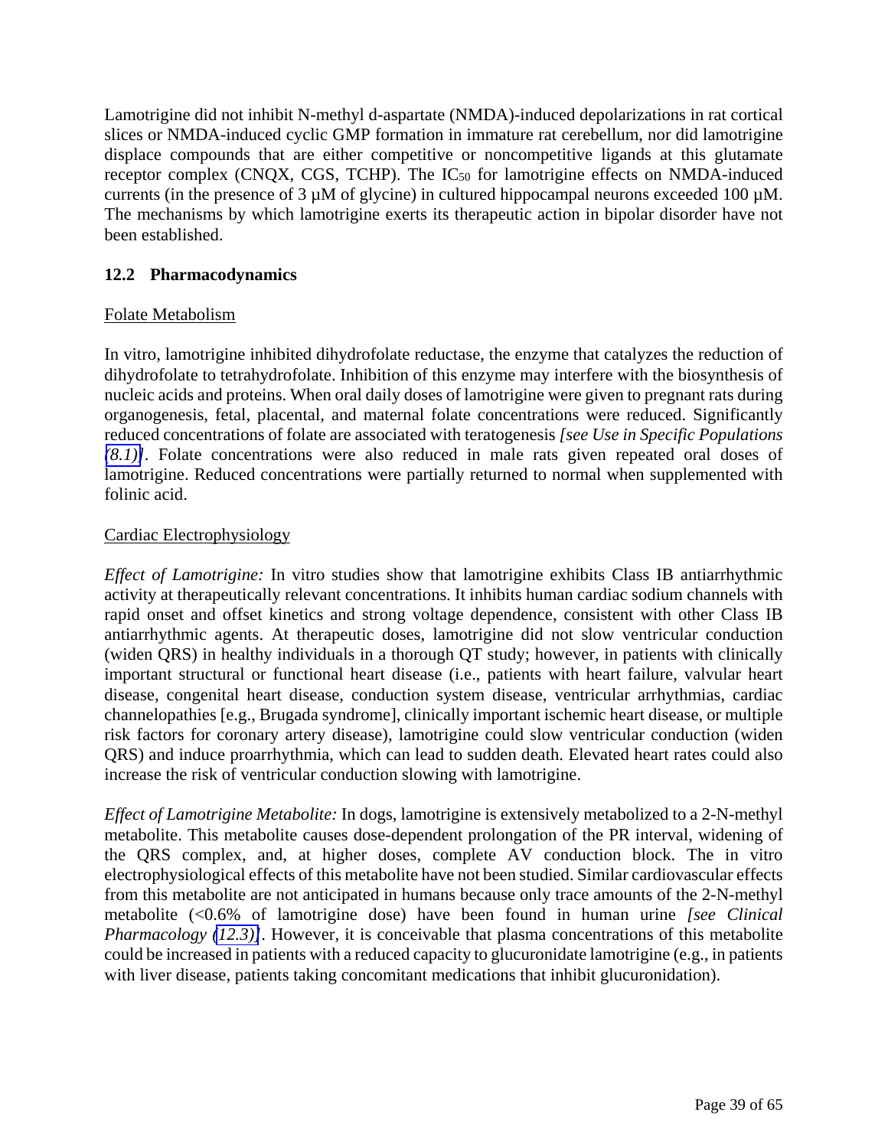<span id="page-38-1"></span><span id="page-38-0"></span>Lamotrigine did not inhibit N-methyl d-aspartate (NMDA)-induced depolarizations in rat cortical slices or NMDA-induced cyclic GMP formation in immature rat cerebellum, nor did lamotrigine displace compounds that are either competitive or noncompetitive ligands at this glutamate receptor complex (CNQX, CGS, TCHP). The IC50 for lamotrigine effects on NMDA-induced currents (in the presence of 3  $\mu$ M of glycine) in cultured hippocampal neurons exceeded 100  $\mu$ M. The mechanisms by which lamotrigine exerts its therapeutic action in bipolar disorder have not been established.

# **12.2 Pharmacodynamics**

# Folate Metabolism

In vitro, lamotrigine inhibited dihydrofolate reductase, the enzyme that catalyzes the reduction of dihydrofolate to tetrahydrofolate. Inhibition of this enzyme may interfere with the biosynthesis of nucleic acids and proteins. When oral daily doses of lamotrigine were given to pregnant rats during organogenesis, fetal, placental, and maternal folate concentrations were reduced. Significantly reduced concentrations of folate are associated with teratogenesis *[see Use in Specific Populations [\(8.1\)\]](#page-32-1)*. Folate concentrations were also reduced in male rats given repeated oral doses of lamotrigine. Reduced concentrations were partially returned to normal when supplemented with folinic acid.

# Cardiac Electrophysiology

*Effect of Lamotrigine:* In vitro studies show that lamotrigine exhibits Class IB antiarrhythmic activity at therapeutically relevant concentrations. It inhibits human cardiac sodium channels with rapid onset and offset kinetics and strong voltage dependence, consistent with other Class IB antiarrhythmic agents. At therapeutic doses, lamotrigine did not slow ventricular conduction (widen QRS) in healthy individuals in a thorough QT study; however, in patients with clinically important structural or functional heart disease (i.e., patients with heart failure, valvular heart disease, congenital heart disease, conduction system disease, ventricular arrhythmias, cardiac channelopathies [e.g., Brugada syndrome], clinically important ischemic heart disease, or multiple risk factors for coronary artery disease), lamotrigine could slow ventricular conduction (widen QRS) and induce proarrhythmia, which can lead to sudden death. Elevated heart rates could also increase the risk of ventricular conduction slowing with lamotrigine.

*Effect of Lamotrigine Metabolite:* In dogs, lamotrigine is extensively metabolized to a 2-N-methyl metabolite. This metabolite causes dose-dependent prolongation of the PR interval, widening of the QRS complex, and, at higher doses, complete AV conduction block. The in vitro electrophysiological effects of this metabolite have not been studied. Similar cardiovascular effects from this metabolite are not anticipated in humans because only trace amounts of the 2-N-methyl metabolite (<0.6% of lamotrigine dose) have been found in human urine *[see Clinical Pharmacology [\(12.3\)\]](#page-39-0)*. However, it is conceivable that plasma concentrations of this metabolite could be increased in patients with a reduced capacity to glucuronidate lamotrigine (e.g., in patients with liver disease, patients taking concomitant medications that inhibit glucuronidation).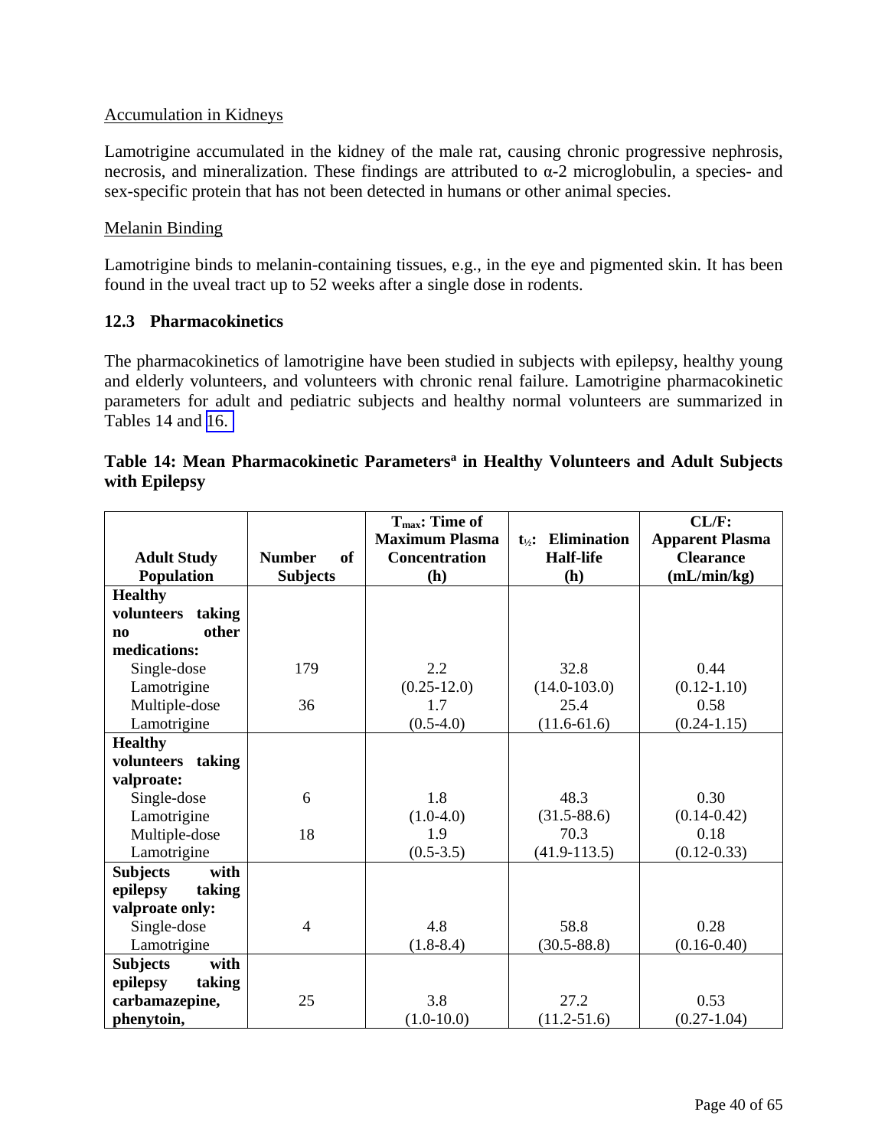# <span id="page-39-0"></span>Accumulation in Kidneys

Lamotrigine accumulated in the kidney of the male rat, causing chronic progressive nephrosis, necrosis, and mineralization. These findings are attributed to  $\alpha$ -2 microglobulin, a species- and sex-specific protein that has not been detected in humans or other animal species.

# Melanin Binding

Lamotrigine binds to melanin-containing tissues, e.g., in the eye and pigmented skin. It has been found in the uveal tract up to 52 weeks after a single dose in rodents.

# **12.3 Pharmacokinetics**

The pharmacokinetics of lamotrigine have been studied in subjects with epilepsy, healthy young and elderly volunteers, and volunteers with chronic renal failure. Lamotrigine pharmacokinetic parameters for adult and pediatric subjects and healthy normal volunteers are summarized in Tables 14 and [16.](#page-48-0) 

|                         |                     | T <sub>max</sub> : Time of |                                           | CL/F:                  |
|-------------------------|---------------------|----------------------------|-------------------------------------------|------------------------|
|                         |                     | <b>Maximum Plasma</b>      | <b>Elimination</b><br>$t_{\frac{1}{2}}$ : | <b>Apparent Plasma</b> |
| <b>Adult Study</b>      | <b>Number</b><br>of | <b>Concentration</b>       | <b>Half-life</b>                          | <b>Clearance</b>       |
| <b>Population</b>       | <b>Subjects</b>     | (h)                        | (h)                                       | (mL/min/kg)            |
| <b>Healthy</b>          |                     |                            |                                           |                        |
| volunteers<br>taking    |                     |                            |                                           |                        |
| other<br>$\mathbf{n}$   |                     |                            |                                           |                        |
| medications:            |                     |                            |                                           |                        |
| Single-dose             | 179                 | 2.2                        | 32.8                                      | 0.44                   |
| Lamotrigine             |                     | $(0.25 - 12.0)$            | $(14.0 - 103.0)$                          | $(0.12 - 1.10)$        |
| Multiple-dose           | 36                  | 1.7                        | 25.4                                      | 0.58                   |
| Lamotrigine             |                     | $(0.5-4.0)$                | $(11.6-61.6)$                             | $(0.24 - 1.15)$        |
| <b>Healthy</b>          |                     |                            |                                           |                        |
| volunteers taking       |                     |                            |                                           |                        |
| valproate:              |                     |                            |                                           |                        |
| Single-dose             | 6                   | 1.8                        | 48.3                                      | 0.30                   |
| Lamotrigine             |                     | $(1.0-4.0)$                | $(31.5 - 88.6)$                           | $(0.14 - 0.42)$        |
| Multiple-dose           | 18                  | 1.9                        | 70.3                                      | 0.18                   |
| Lamotrigine             |                     | $(0.5-3.5)$                | $(41.9 - 113.5)$                          | $(0.12 - 0.33)$        |
| with<br><b>Subjects</b> |                     |                            |                                           |                        |
| epilepsy<br>taking      |                     |                            |                                           |                        |
| valproate only:         |                     |                            |                                           |                        |
| Single-dose             | $\overline{4}$      | 4.8                        | 58.8                                      | 0.28                   |
| Lamotrigine             |                     | $(1.8-8.4)$                | $(30.5 - 88.8)$                           | $(0.16 - 0.40)$        |
| with<br><b>Subjects</b> |                     |                            |                                           |                        |
| epilepsy<br>taking      |                     |                            |                                           |                        |
| carbamazepine,          | 25                  | 3.8                        | 27.2                                      | 0.53                   |
| phenytoin,              |                     | $(1.0-10.0)$               | $(11.2 - 51.6)$                           | $(0.27 - 1.04)$        |

# Table 14: Mean Pharmacokinetic Parameters<sup>a</sup> in Healthy Volunteers and Adult Subjects **with Epilepsy**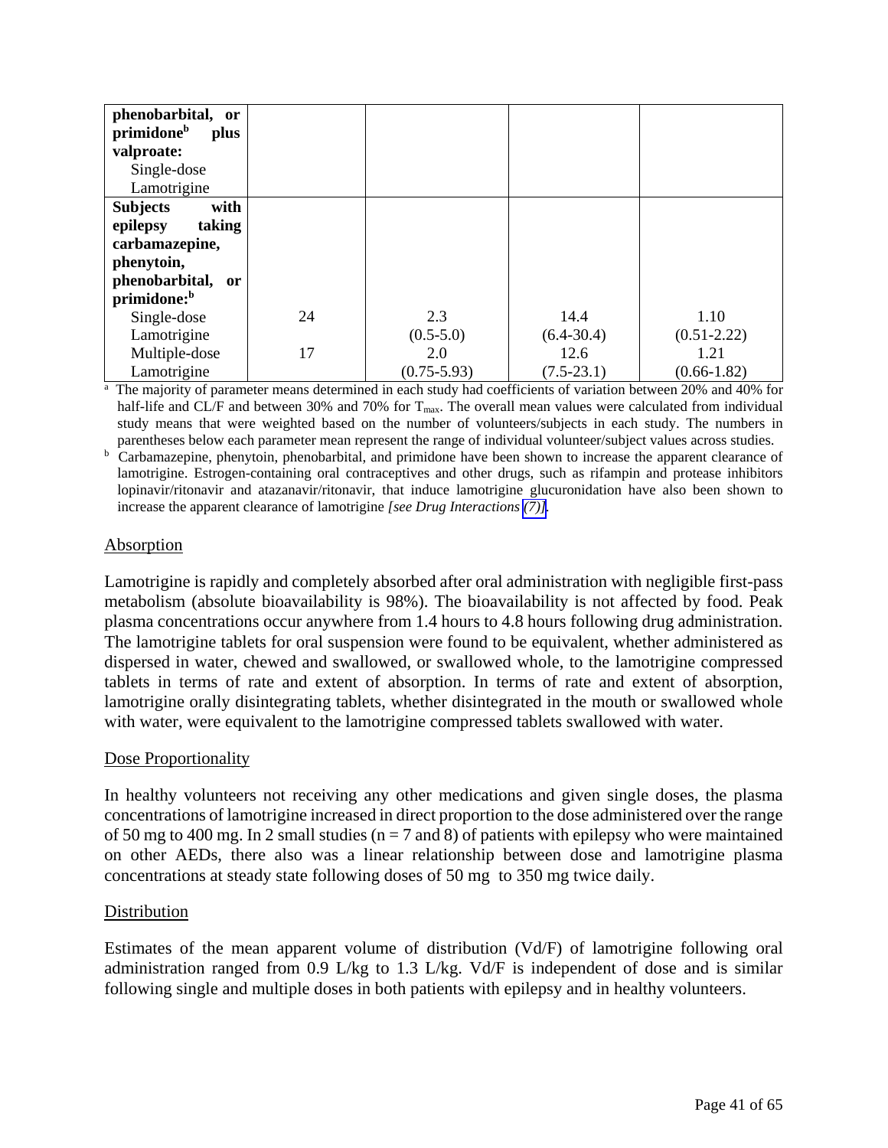| phenobarbital, or<br>primidone <sup>b</sup><br>plus |    |                 |                |                 |
|-----------------------------------------------------|----|-----------------|----------------|-----------------|
| valproate:                                          |    |                 |                |                 |
| Single-dose                                         |    |                 |                |                 |
| Lamotrigine                                         |    |                 |                |                 |
| <b>Subjects</b><br>with                             |    |                 |                |                 |
| taking<br>epilepsy                                  |    |                 |                |                 |
| carbamazepine,                                      |    |                 |                |                 |
| phenytoin,                                          |    |                 |                |                 |
| phenobarbital, or                                   |    |                 |                |                 |
| primidone: <sup>b</sup>                             |    |                 |                |                 |
| Single-dose                                         | 24 | 2.3             | 14.4           | 1.10            |
| Lamotrigine                                         |    | $(0.5 - 5.0)$   | $(6.4 - 30.4)$ | $(0.51 - 2.22)$ |
| Multiple-dose                                       | 17 | 2.0             | 12.6           | 1.21            |
| Lamotrigine                                         |    | $(0.75 - 5.93)$ | $(7.5 - 23.1)$ | $(0.66 - 1.82)$ |

Lamotrigine (0.75-5.93) (7.5-23.1) (0.66-1.82) half-life and CL/F and between 30% and 70% for  $T_{\text{max}}$ . The overall mean values were calculated from individual study means that were weighted based on the number of volunteers/subjects in each study. The numbers in

parentheses below each parameter mean represent the range of individual volunteer/subject values across studies.<br><sup>b</sup> Carbamazepine, phenytoin, phenobarbital, and primidone have been shown to increase the apparent clearance lamotrigine. Estrogen-containing oral contraceptives and other drugs, such as rifampin and protease inhibitors lopinavir/ritonavir and atazanavir/ritonavir, that induce lamotrigine glucuronidation have also been shown to increase the apparent clearance of lamotrigine *[see Drug Interactions [\(7\)\]](#page-31-1).* 

# Absorption

Lamotrigine is rapidly and completely absorbed after oral administration with negligible first-pass metabolism (absolute bioavailability is 98%). The bioavailability is not affected by food. Peak plasma concentrations occur anywhere from 1.4 hours to 4.8 hours following drug administration. The lamotrigine tablets for oral suspension were found to be equivalent, whether administered as dispersed in water, chewed and swallowed, or swallowed whole, to the lamotrigine compressed tablets in terms of rate and extent of absorption. In terms of rate and extent of absorption, lamotrigine orally disintegrating tablets, whether disintegrated in the mouth or swallowed whole with water, were equivalent to the lamotrigine compressed tablets swallowed with water.

# Dose Proportionality

In healthy volunteers not receiving any other medications and given single doses, the plasma concentrations of lamotrigine increased in direct proportion to the dose administered over the range of 50 mg to 400 mg. In 2 small studies ( $n = 7$  and 8) of patients with epilepsy who were maintained on other AEDs, there also was a linear relationship between dose and lamotrigine plasma concentrations at steady state following doses of 50 mg to 350 mg twice daily.

# **Distribution**

Estimates of the mean apparent volume of distribution (Vd/F) of lamotrigine following oral administration ranged from 0.9 L/kg to 1.3 L/kg. Vd/F is independent of dose and is similar following single and multiple doses in both patients with epilepsy and in healthy volunteers.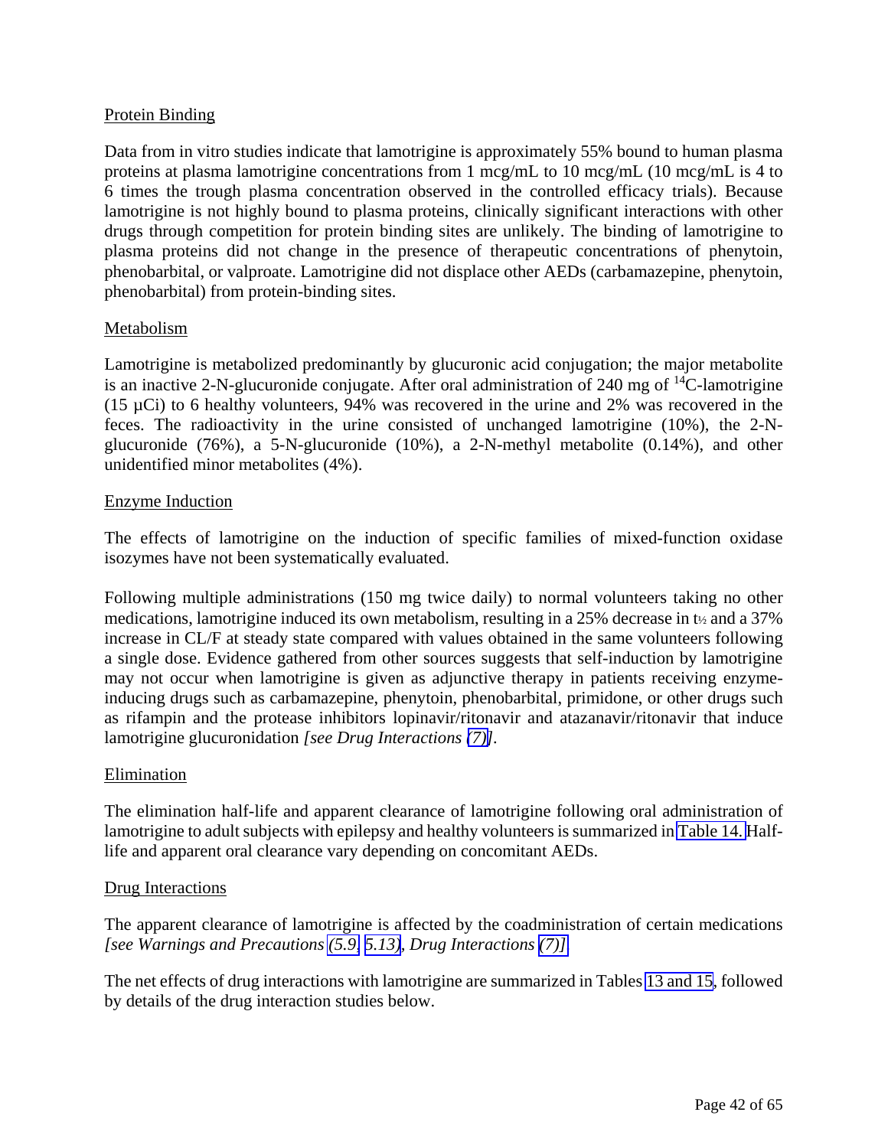# Protein Binding

Data from in vitro studies indicate that lamotrigine is approximately 55% bound to human plasma proteins at plasma lamotrigine concentrations from 1 mcg/mL to 10 mcg/mL (10 mcg/mL is 4 to 6 times the trough plasma concentration observed in the controlled efficacy trials). Because lamotrigine is not highly bound to plasma proteins, clinically significant interactions with other drugs through competition for protein binding sites are unlikely. The binding of lamotrigine to plasma proteins did not change in the presence of therapeutic concentrations of phenytoin, phenobarbital, or valproate. Lamotrigine did not displace other AEDs (carbamazepine, phenytoin, phenobarbital) from protein-binding sites.

# Metabolism

Lamotrigine is metabolized predominantly by glucuronic acid conjugation; the major metabolite is an inactive 2-N-glucuronide conjugate. After oral administration of 240 mg of  $^{14}$ C-lamotrigine (15  $\mu$ Ci) to 6 healthy volunteers, 94% was recovered in the urine and 2% was recovered in the feces. The radioactivity in the urine consisted of unchanged lamotrigine (10%), the 2-Nglucuronide (76%), a 5-N-glucuronide (10%), a 2-N-methyl metabolite (0.14%), and other unidentified minor metabolites (4%).

# Enzyme Induction

The effects of lamotrigine on the induction of specific families of mixed-function oxidase isozymes have not been systematically evaluated.

Following multiple administrations (150 mg twice daily) to normal volunteers taking no other medications, lamotrigine induced its own metabolism, resulting in a 25% decrease in t½ and a 37% increase in CL/F at steady state compared with values obtained in the same volunteers following a single dose. Evidence gathered from other sources suggests that self-induction by lamotrigine may not occur when lamotrigine is given as adjunctive therapy in patients receiving enzymeinducing drugs such as carbamazepine, phenytoin, phenobarbital, primidone, or other drugs such as rifampin and the protease inhibitors lopinavir/ritonavir and atazanavir/ritonavir that induce lamotrigine glucuronidation *[see Drug Interactions [\(7\)\]](#page-31-0).*

# Elimination

The elimination half-life and apparent clearance of lamotrigine following oral administration of lamotrigine to adult subjects with epilepsy and healthy volunteers is summarized in [Table 14.](#page-39-0) Halflife and apparent oral clearance vary depending on concomitant AEDs.

# Drug Interactions

The apparent clearance of lamotrigine is affected by the coadministration of certain medications *[see Warnings and Precautions [\(5.9,](#page-18-1) [5.13\)](#page-19-1), Drug Interactions [\(7\)\].](#page-31-2)*

The net effects of drug interactions with lamotrigine are summarized in Tables [13 and 15,](#page-31-2) followed by details of the drug interaction studies below.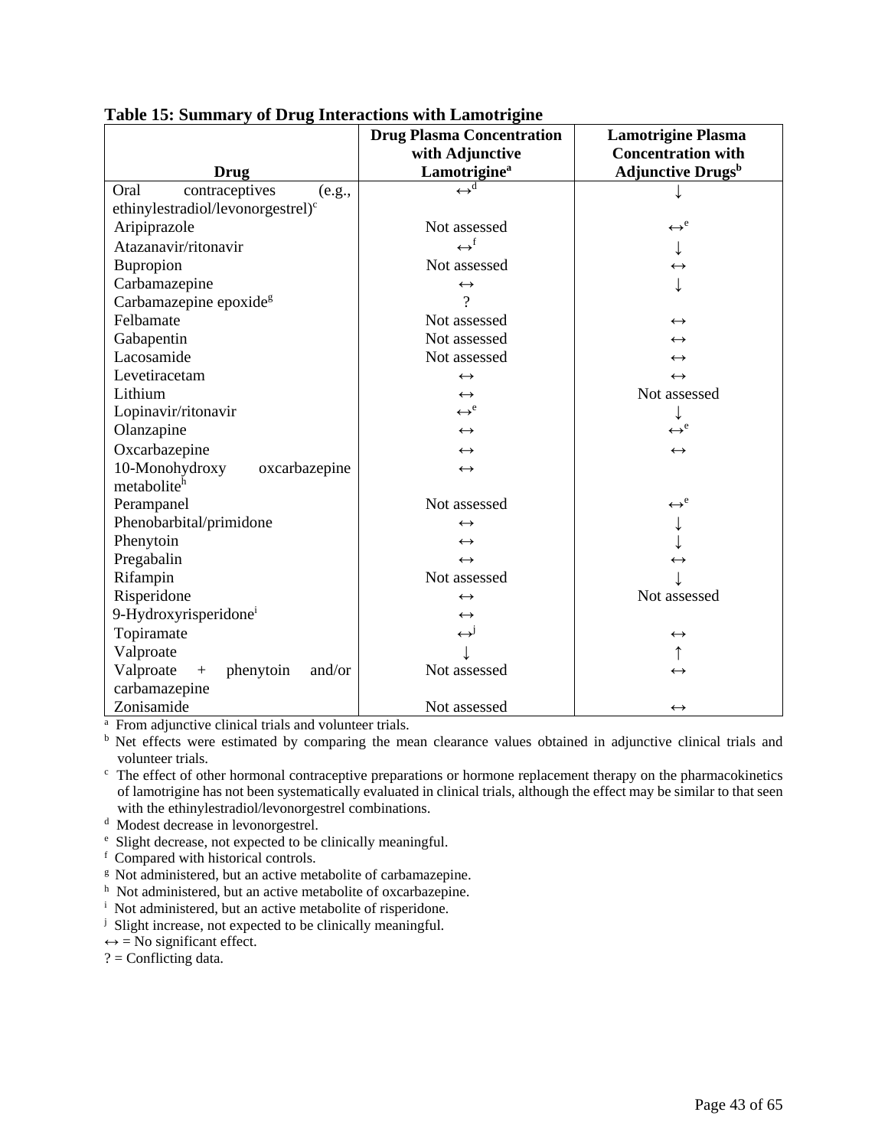|                                               | <b>Drug Plasma Concentration</b> | <b>Lamotrigine Plasma</b>            |  |
|-----------------------------------------------|----------------------------------|--------------------------------------|--|
|                                               | with Adjunctive                  | <b>Concentration with</b>            |  |
| Drug                                          | Lamotrigine <sup>a</sup>         | <b>Adjunctive Drugs</b> <sup>b</sup> |  |
| contraceptives<br>Oral<br>(e.g.,              | $\leftrightarrow^{\overline{d}}$ |                                      |  |
| ethinylestradiol/levonorgestrel) <sup>c</sup> |                                  |                                      |  |
| Aripiprazole                                  | Not assessed                     | $\leftrightarrow^e$                  |  |
| Atazanavir/ritonavir                          | $\leftrightarrow^{\text{f}}$     |                                      |  |
| Bupropion                                     | Not assessed                     | $\leftrightarrow$                    |  |
| Carbamazepine                                 | $\leftrightarrow$                |                                      |  |
| Carbamazepine epoxide <sup>g</sup>            | ?                                |                                      |  |
| Felbamate                                     | Not assessed                     | $\leftrightarrow$                    |  |
| Gabapentin                                    | Not assessed                     | $\leftrightarrow$                    |  |
| Lacosamide                                    | Not assessed                     | $\leftrightarrow$                    |  |
| Levetiracetam                                 | $\leftrightarrow$                | $\leftrightarrow$                    |  |
| Lithium                                       | $\leftrightarrow$                | Not assessed                         |  |
| Lopinavir/ritonavir                           | $\leftrightarrow^e$              |                                      |  |
| Olanzapine                                    | $\leftrightarrow$                | $\leftrightarrow^e$                  |  |
| Oxcarbazepine                                 | $\leftrightarrow$                | $\leftrightarrow$                    |  |
| 10-Monohydroxy<br>oxcarbazepine               | $\leftrightarrow$                |                                      |  |
| metabolite <sup>h</sup>                       |                                  |                                      |  |
| Perampanel                                    | Not assessed                     | $\leftrightarrow^e$                  |  |
| Phenobarbital/primidone                       | $\leftrightarrow$                |                                      |  |
| Phenytoin                                     | $\leftrightarrow$                |                                      |  |
| Pregabalin                                    | $\leftrightarrow$                | $\leftrightarrow$                    |  |
| Rifampin                                      | Not assessed                     |                                      |  |
| Risperidone                                   | $\leftrightarrow$                | Not assessed                         |  |
| 9-Hydroxyrisperidone <sup>i</sup>             | $\leftrightarrow$                |                                      |  |
| Topiramate                                    | $\leftrightarrow^{\text{J}}$     | $\leftrightarrow$                    |  |
| Valproate                                     |                                  |                                      |  |
| Valproate<br>and/or<br>phenytoin<br>$+$       | Not assessed                     | $\leftrightarrow$                    |  |
| carbamazepine                                 |                                  |                                      |  |
| Zonisamide                                    | Not assessed                     | $\leftrightarrow$                    |  |

# **Table 15: Summary of Drug Interactions with Lamotrigine**

<sup>a</sup> From adjunctive clinical trials and volunteer trials.

<sup>b</sup> Net effects were estimated by comparing the mean clearance values obtained in adjunctive clinical trials and

volunteer trials.<br><sup>c</sup> The effect of other hormonal contraceptive preparations or hormone replacement therapy on the pharmacokinetics of lamotrigine has not been systematically evaluated in clinical trials, although the effect may be similar to that seen with the ethinylestradiol/levonorgestrel combinations.<br>d Modest decrease in levonorgestrel.

- 
- <sup>d</sup> Modest decrease in levonorgestrel.<br>
<sup>e</sup> Slight decrease, not expected to be clinically meaningful.
- f Compared with historical controls.
- <sup>g</sup> Not administered, but an active metabolite of carbamazepine.
- <sup>h</sup> Not administered, but an active metabolite of oxcarbazepine.
- <sup>i</sup> Not administered, but an active metabolite of risperidone.
- <sup>j</sup> Slight increase, not expected to be clinically meaningful.
- $\leftrightarrow$  = No significant effect.
- $? =$  Conflicting data.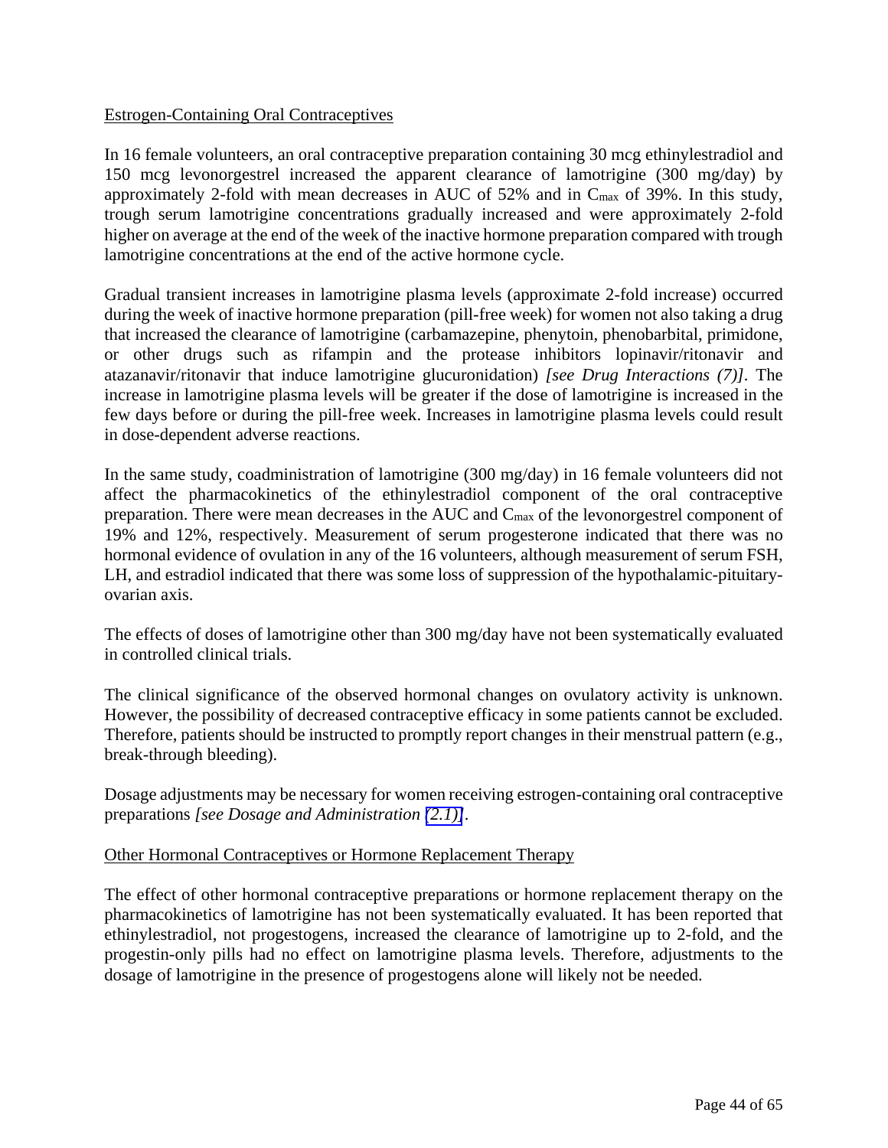# Estrogen-Containing Oral Contraceptives

In 16 female volunteers, an oral contraceptive preparation containing 30 mcg ethinylestradiol and 150 mcg levonorgestrel increased the apparent clearance of lamotrigine (300 mg/day) by approximately 2-fold with mean decreases in AUC of 52% and in Cmax of 39%. In this study, trough serum lamotrigine concentrations gradually increased and were approximately 2-fold higher on average at the end of the week of the inactive hormone preparation compared with trough lamotrigine concentrations at the end of the active hormone cycle.

Gradual transient increases in lamotrigine plasma levels (approximate 2-fold increase) occurred during the week of inactive hormone preparation (pill-free week) for women not also taking a drug that increased the clearance of lamotrigine (carbamazepine, phenytoin, phenobarbital, primidone, or other drugs such as rifampin and the protease inhibitors lopinavir/ritonavir and atazanavir/ritonavir that induce lamotrigine glucuronidation) *[see Drug Interactions (7)].* The increase in lamotrigine plasma levels will be greater if the dose of lamotrigine is increased in the few days before or during the pill-free week. Increases in lamotrigine plasma levels could result in dose-dependent adverse reactions.

In the same study, coadministration of lamotrigine (300 mg/day) in 16 female volunteers did not affect the pharmacokinetics of the ethinylestradiol component of the oral contraceptive preparation. There were mean decreases in the AUC and Cmax of the levonorgestrel component of 19% and 12%, respectively. Measurement of serum progesterone indicated that there was no hormonal evidence of ovulation in any of the 16 volunteers, although measurement of serum FSH, LH, and estradiol indicated that there was some loss of suppression of the hypothalamic-pituitaryovarian axis.

The effects of doses of lamotrigine other than 300 mg/day have not been systematically evaluated in controlled clinical trials.

The clinical significance of the observed hormonal changes on ovulatory activity is unknown. However, the possibility of decreased contraceptive efficacy in some patients cannot be excluded. Therefore, patients should be instructed to promptly report changes in their menstrual pattern (e.g., break-through bleeding).

Dosage adjustments may be necessary for women receiving estrogen-containing oral contraceptive preparations *[see Dosage and Administration [\(2.1\)\]](#page-3-2).*

# Other Hormonal Contraceptives or Hormone Replacement Therapy

The effect of other hormonal contraceptive preparations or hormone replacement therapy on the pharmacokinetics of lamotrigine has not been systematically evaluated. It has been reported that ethinylestradiol, not progestogens, increased the clearance of lamotrigine up to 2-fold, and the progestin-only pills had no effect on lamotrigine plasma levels. Therefore, adjustments to the dosage of lamotrigine in the presence of progestogens alone will likely not be needed.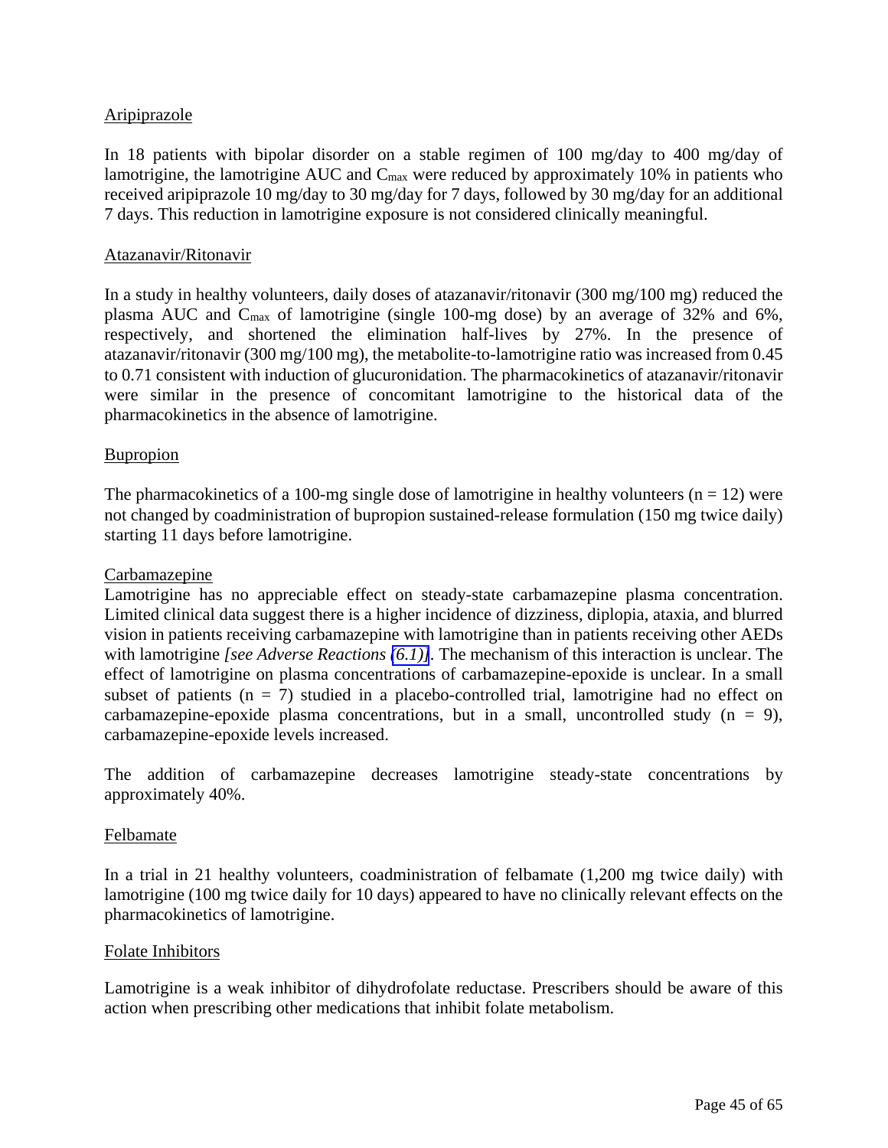# Aripiprazole

In 18 patients with bipolar disorder on a stable regimen of 100 mg/day to 400 mg/day of lamotrigine, the lamotrigine AUC and Cmax were reduced by approximately 10% in patients who received aripiprazole 10 mg/day to 30 mg/day for 7 days, followed by 30 mg/day for an additional 7 days. This reduction in lamotrigine exposure is not considered clinically meaningful.

### Atazanavir/Ritonavir

In a study in healthy volunteers, daily doses of atazanavir/ritonavir (300 mg/100 mg) reduced the plasma AUC and Cmax of lamotrigine (single 100-mg dose) by an average of 32% and 6%, respectively, and shortened the elimination half-lives by 27%. In the presence of atazanavir/ritonavir (300 mg/100 mg), the metabolite-to-lamotrigine ratio was increased from 0.45 to 0.71 consistent with induction of glucuronidation. The pharmacokinetics of atazanavir/ritonavir were similar in the presence of concomitant lamotrigine to the historical data of the pharmacokinetics in the absence of lamotrigine.

### **Bupropion**

The pharmacokinetics of a 100-mg single dose of lamotrigine in healthy volunteers ( $n = 12$ ) were not changed by coadministration of bupropion sustained-release formulation (150 mg twice daily) starting 11 days before lamotrigine.

#### Carbamazepine

Lamotrigine has no appreciable effect on steady-state carbamazepine plasma concentration. Limited clinical data suggest there is a higher incidence of dizziness, diplopia, ataxia, and blurred vision in patients receiving carbamazepine with lamotrigine than in patients receiving other AEDs with lamotrigine *[see Adverse Reactions [\(6.1\)\]](#page-20-0).* The mechanism of this interaction is unclear. The effect of lamotrigine on plasma concentrations of carbamazepine-epoxide is unclear. In a small subset of patients ( $n = 7$ ) studied in a placebo-controlled trial, lamotrigine had no effect on carbamazepine-epoxide plasma concentrations, but in a small, uncontrolled study  $(n = 9)$ , carbamazepine-epoxide levels increased.

The addition of carbamazepine decreases lamotrigine steady-state concentrations by approximately 40%.

#### Felbamate

In a trial in 21 healthy volunteers, coadministration of felbamate (1,200 mg twice daily) with lamotrigine (100 mg twice daily for 10 days) appeared to have no clinically relevant effects on the pharmacokinetics of lamotrigine.

#### Folate Inhibitors

Lamotrigine is a weak inhibitor of dihydrofolate reductase. Prescribers should be aware of this action when prescribing other medications that inhibit folate metabolism.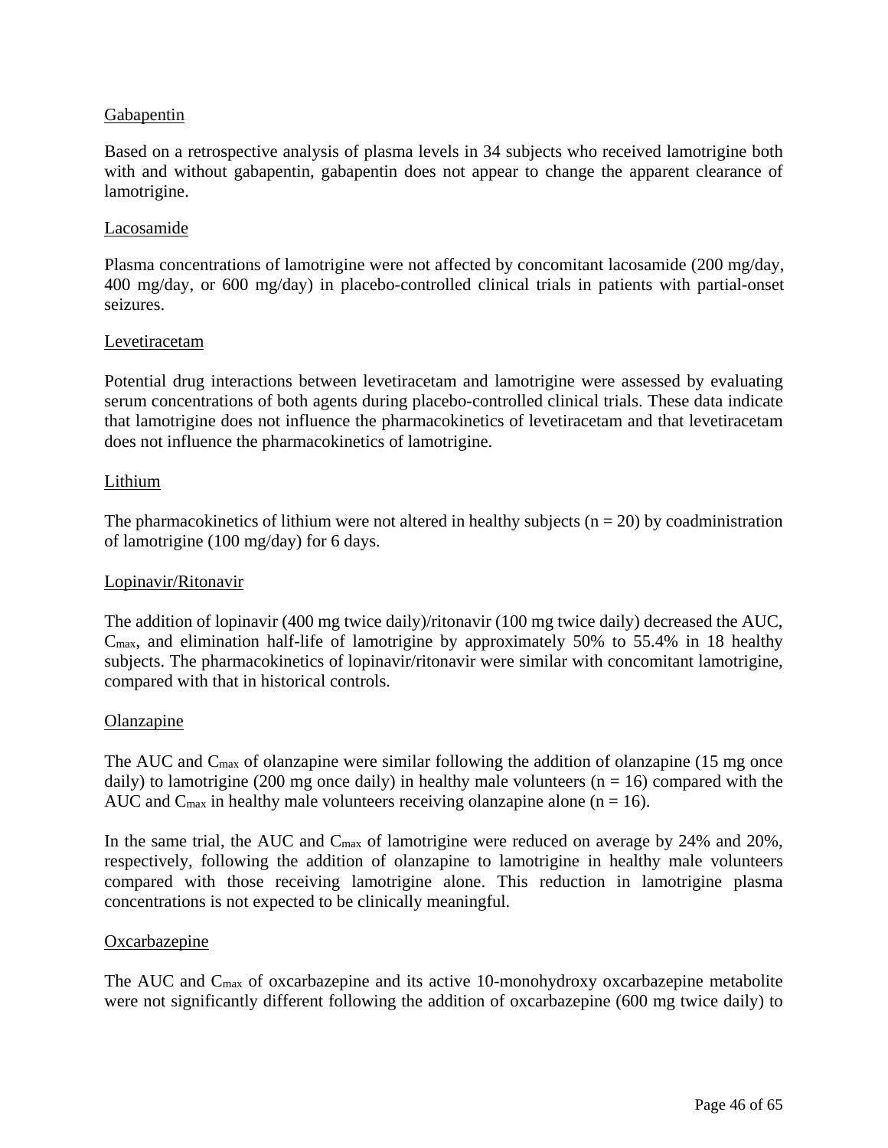# **Gabapentin**

Based on a retrospective analysis of plasma levels in 34 subjects who received lamotrigine both with and without gabapentin, gabapentin does not appear to change the apparent clearance of lamotrigine.

### Lacosamide

Plasma concentrations of lamotrigine were not affected by concomitant lacosamide (200 mg/day, 400 mg/day, or 600 mg/day) in placebo-controlled clinical trials in patients with partial-onset seizures.

#### Levetiracetam

Potential drug interactions between levetiracetam and lamotrigine were assessed by evaluating serum concentrations of both agents during placebo-controlled clinical trials. These data indicate that lamotrigine does not influence the pharmacokinetics of levetiracetam and that levetiracetam does not influence the pharmacokinetics of lamotrigine.

### Lithium

The pharmacokinetics of lithium were not altered in healthy subjects ( $n = 20$ ) by coadministration of lamotrigine (100 mg/day) for 6 days.

### Lopinavir/Ritonavir

The addition of lopinavir (400 mg twice daily)/ritonavir (100 mg twice daily) decreased the AUC, Cmax, and elimination half-life of lamotrigine by approximately 50% to 55.4% in 18 healthy subjects. The pharmacokinetics of lopinavir/ritonavir were similar with concomitant lamotrigine, compared with that in historical controls.

#### **Olanzapine**

The AUC and  $C_{\text{max}}$  of olanzapine were similar following the addition of olanzapine (15 mg once daily) to lamotrigine (200 mg once daily) in healthy male volunteers ( $n = 16$ ) compared with the AUC and  $C_{\text{max}}$  in healthy male volunteers receiving olanzapine alone (n = 16).

In the same trial, the AUC and C<sub>max</sub> of lamotrigine were reduced on average by 24% and 20%, respectively, following the addition of olanzapine to lamotrigine in healthy male volunteers compared with those receiving lamotrigine alone. This reduction in lamotrigine plasma concentrations is not expected to be clinically meaningful.

#### **Oxcarbazepine**

The AUC and Cmax of oxcarbazepine and its active 10-monohydroxy oxcarbazepine metabolite were not significantly different following the addition of oxcarbazepine (600 mg twice daily) to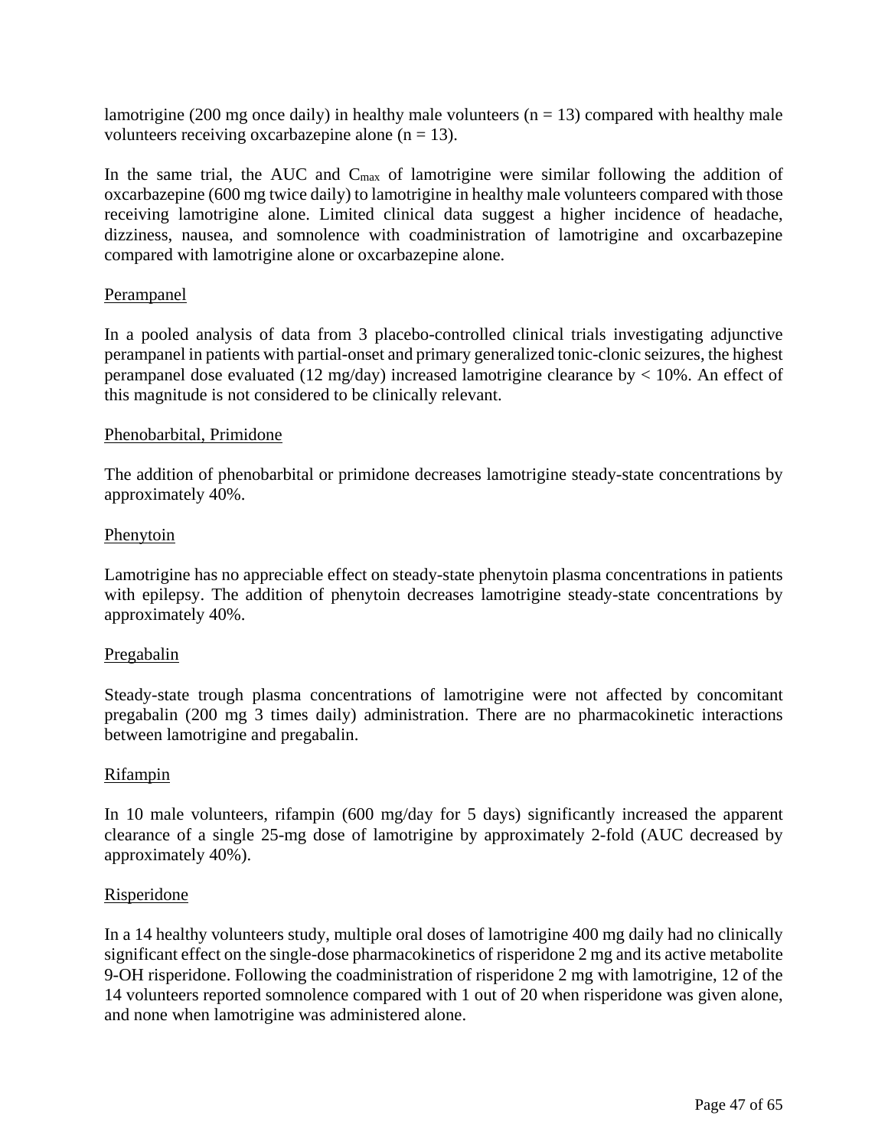lamotrigine (200 mg once daily) in healthy male volunteers ( $n = 13$ ) compared with healthy male volunteers receiving oxcarbazepine alone  $(n = 13)$ .

In the same trial, the AUC and C<sub>max</sub> of lamotrigine were similar following the addition of oxcarbazepine (600 mg twice daily) to lamotrigine in healthy male volunteers compared with those receiving lamotrigine alone. Limited clinical data suggest a higher incidence of headache, dizziness, nausea, and somnolence with coadministration of lamotrigine and oxcarbazepine compared with lamotrigine alone or oxcarbazepine alone.

# Perampanel

In a pooled analysis of data from 3 placebo-controlled clinical trials investigating adjunctive perampanel in patients with partial-onset and primary generalized tonic-clonic seizures, the highest perampanel dose evaluated (12 mg/day) increased lamotrigine clearance by < 10%. An effect of this magnitude is not considered to be clinically relevant.

### Phenobarbital, Primidone

The addition of phenobarbital or primidone decreases lamotrigine steady-state concentrations by approximately 40%.

### Phenytoin

Lamotrigine has no appreciable effect on steady-state phenytoin plasma concentrations in patients with epilepsy. The addition of phenytoin decreases lamotrigine steady-state concentrations by approximately 40%.

#### Pregabalin

Steady-state trough plasma concentrations of lamotrigine were not affected by concomitant pregabalin (200 mg 3 times daily) administration. There are no pharmacokinetic interactions between lamotrigine and pregabalin.

#### Rifampin

In 10 male volunteers, rifampin (600 mg/day for 5 days) significantly increased the apparent clearance of a single 25-mg dose of lamotrigine by approximately 2-fold (AUC decreased by approximately 40%).

#### Risperidone

In a 14 healthy volunteers study, multiple oral doses of lamotrigine 400 mg daily had no clinically significant effect on the single-dose pharmacokinetics of risperidone 2 mg and its active metabolite 9-OH risperidone. Following the coadministration of risperidone 2 mg with lamotrigine, 12 of the 14 volunteers reported somnolence compared with 1 out of 20 when risperidone was given alone, and none when lamotrigine was administered alone.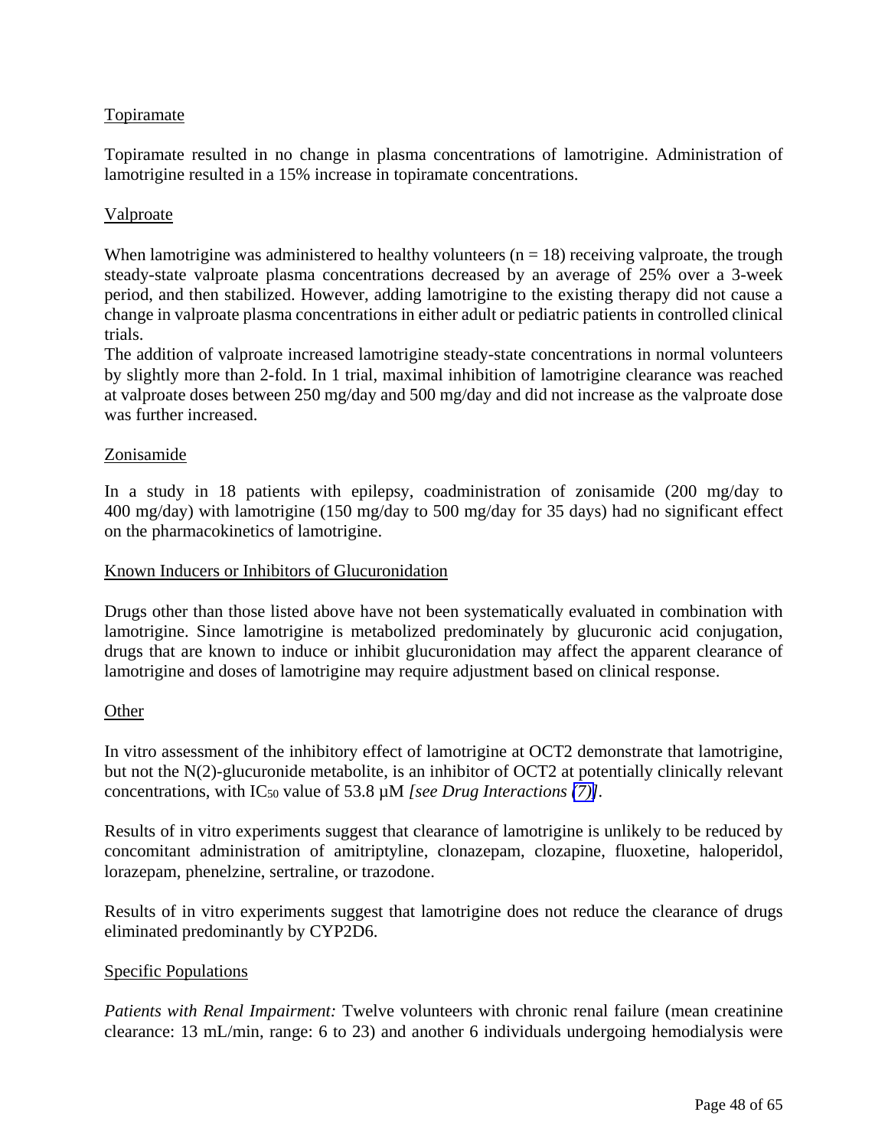# **Topiramate**

Topiramate resulted in no change in plasma concentrations of lamotrigine. Administration of lamotrigine resulted in a 15% increase in topiramate concentrations.

### Valproate

When lamotrigine was administered to healthy volunteers ( $n = 18$ ) receiving valproate, the trough steady-state valproate plasma concentrations decreased by an average of 25% over a 3-week period, and then stabilized. However, adding lamotrigine to the existing therapy did not cause a change in valproate plasma concentrations in either adult or pediatric patients in controlled clinical trials.

The addition of valproate increased lamotrigine steady-state concentrations in normal volunteers by slightly more than 2-fold. In 1 trial, maximal inhibition of lamotrigine clearance was reached at valproate doses between 250 mg/day and 500 mg/day and did not increase as the valproate dose was further increased.

### Zonisamide

In a study in 18 patients with epilepsy, coadministration of zonisamide (200 mg/day to 400 mg/day) with lamotrigine (150 mg/day to 500 mg/day for 35 days) had no significant effect on the pharmacokinetics of lamotrigine.

#### Known Inducers or Inhibitors of Glucuronidation

Drugs other than those listed above have not been systematically evaluated in combination with lamotrigine. Since lamotrigine is metabolized predominately by glucuronic acid conjugation, drugs that are known to induce or inhibit glucuronidation may affect the apparent clearance of lamotrigine and doses of lamotrigine may require adjustment based on clinical response.

#### **Other**

In vitro assessment of the inhibitory effect of lamotrigine at OCT2 demonstrate that lamotrigine, but not the N(2)-glucuronide metabolite, is an inhibitor of OCT2 at potentially clinically relevant concentrations, with IC<sub>50</sub> value of 53.8  $\mu$ M *[see Drug Interactions [\(7\)\]](#page-31-0)*.

Results of in vitro experiments suggest that clearance of lamotrigine is unlikely to be reduced by concomitant administration of amitriptyline, clonazepam, clozapine, fluoxetine, haloperidol, lorazepam, phenelzine, sertraline, or trazodone.

Results of in vitro experiments suggest that lamotrigine does not reduce the clearance of drugs eliminated predominantly by CYP2D6.

# Specific Populations

*Patients with Renal Impairment:* Twelve volunteers with chronic renal failure (mean creatinine clearance: 13 mL/min, range: 6 to 23) and another 6 individuals undergoing hemodialysis were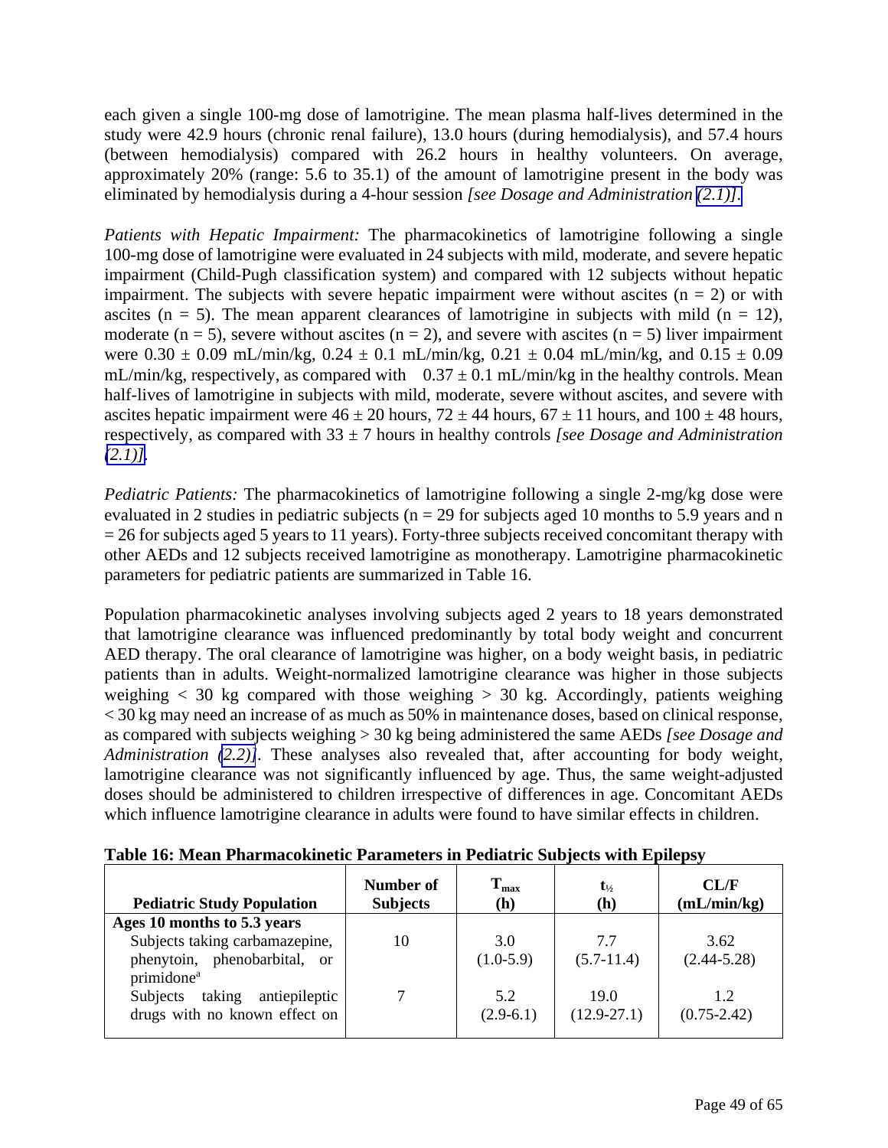<span id="page-48-0"></span>each given a single 100-mg dose of lamotrigine. The mean plasma half-lives determined in the study were 42.9 hours (chronic renal failure), 13.0 hours (during hemodialysis), and 57.4 hours (between hemodialysis) compared with 26.2 hours in healthy volunteers. On average, approximately 20% (range: 5.6 to 35.1) of the amount of lamotrigine present in the body was eliminated by hemodialysis during a 4-hour session *[see Dosage and Administration [\(2.1\)\].](#page-3-6)* 

*Patients with Hepatic Impairment:* The pharmacokinetics of lamotrigine following a single 100-mg dose of lamotrigine were evaluated in 24 subjects with mild, moderate, and severe hepatic impairment (Child-Pugh classification system) and compared with 12 subjects without hepatic impairment. The subjects with severe hepatic impairment were without ascites  $(n = 2)$  or with ascites ( $n = 5$ ). The mean apparent clearances of lamotrigine in subjects with mild ( $n = 12$ ), moderate ( $n = 5$ ), severe without ascites ( $n = 2$ ), and severe with ascites ( $n = 5$ ) liver impairment were  $0.30 \pm 0.09$  mL/min/kg,  $0.24 \pm 0.1$  mL/min/kg,  $0.21 \pm 0.04$  mL/min/kg, and  $0.15 \pm 0.09$ mL/min/kg, respectively, as compared with  $0.37 \pm 0.1$  mL/min/kg in the healthy controls. Mean half-lives of lamotrigine in subjects with mild, moderate, severe without ascites, and severe with ascites hepatic impairment were  $46 \pm 20$  hours,  $72 \pm 44$  hours,  $67 \pm 11$  hours, and  $100 \pm 48$  hours, respectively, as compared with 33 ± 7 hours in healthy controls *[see Dosage and Administration*   $(2.1)$ ].

*Pediatric Patients:* The pharmacokinetics of lamotrigine following a single 2-mg/kg dose were evaluated in 2 studies in pediatric subjects ( $n = 29$  for subjects aged 10 months to 5.9 years and n  $= 26$  for subjects aged 5 years to 11 years). Forty-three subjects received concomitant therapy with other AEDs and 12 subjects received lamotrigine as monotherapy. Lamotrigine pharmacokinetic parameters for pediatric patients are summarized in Table 16.

Population pharmacokinetic analyses involving subjects aged 2 years to 18 years demonstrated that lamotrigine clearance was influenced predominantly by total body weight and concurrent AED therapy. The oral clearance of lamotrigine was higher, on a body weight basis, in pediatric patients than in adults. Weight-normalized lamotrigine clearance was higher in those subjects weighing  $\langle 30 \text{ kg} \rangle$  compared with those weighing  $> 30 \text{ kg}$ . Accordingly, patients weighing < 30 kg may need an increase of as much as 50% in maintenance doses, based on clinical response, as compared with subjects weighing > 30 kg being administered the same AEDs *[see Dosage and Administration [\(2.2\)\]](#page-7-2).* These analyses also revealed that, after accounting for body weight, lamotrigine clearance was not significantly influenced by age. Thus, the same weight-adjusted doses should be administered to children irrespective of differences in age. Concomitant AEDs which influence lamotrigine clearance in adults were found to have similar effects in children.

| <b>Pediatric Study Population</b>          | Number of<br><b>Subjects</b> | $T_{max}$<br>(h) | $t_{\frac{1}{2}}$<br>(h) | CL/F<br>(mL/min/kg) |
|--------------------------------------------|------------------------------|------------------|--------------------------|---------------------|
| Ages 10 months to 5.3 years                |                              |                  |                          |                     |
| Subjects taking carbamazepine,             | 10                           | 3.0              | 7.7                      | 3.62                |
| phenytoin, phenobarbital, or               |                              | $(1.0-5.9)$      | $(5.7-11.4)$             | $(2.44 - 5.28)$     |
| primidone <sup>a</sup>                     |                              |                  |                          |                     |
| taking<br>antiepileptic<br><b>Subjects</b> |                              | 5.2              | 19.0                     | 1.2                 |
| drugs with no known effect on              |                              | $(2.9-6.1)$      | $(12.9 - 27.1)$          | $(0.75 - 2.42)$     |
|                                            |                              |                  |                          |                     |

**Table 16: Mean Pharmacokinetic Parameters in Pediatric Subjects with Epilepsy**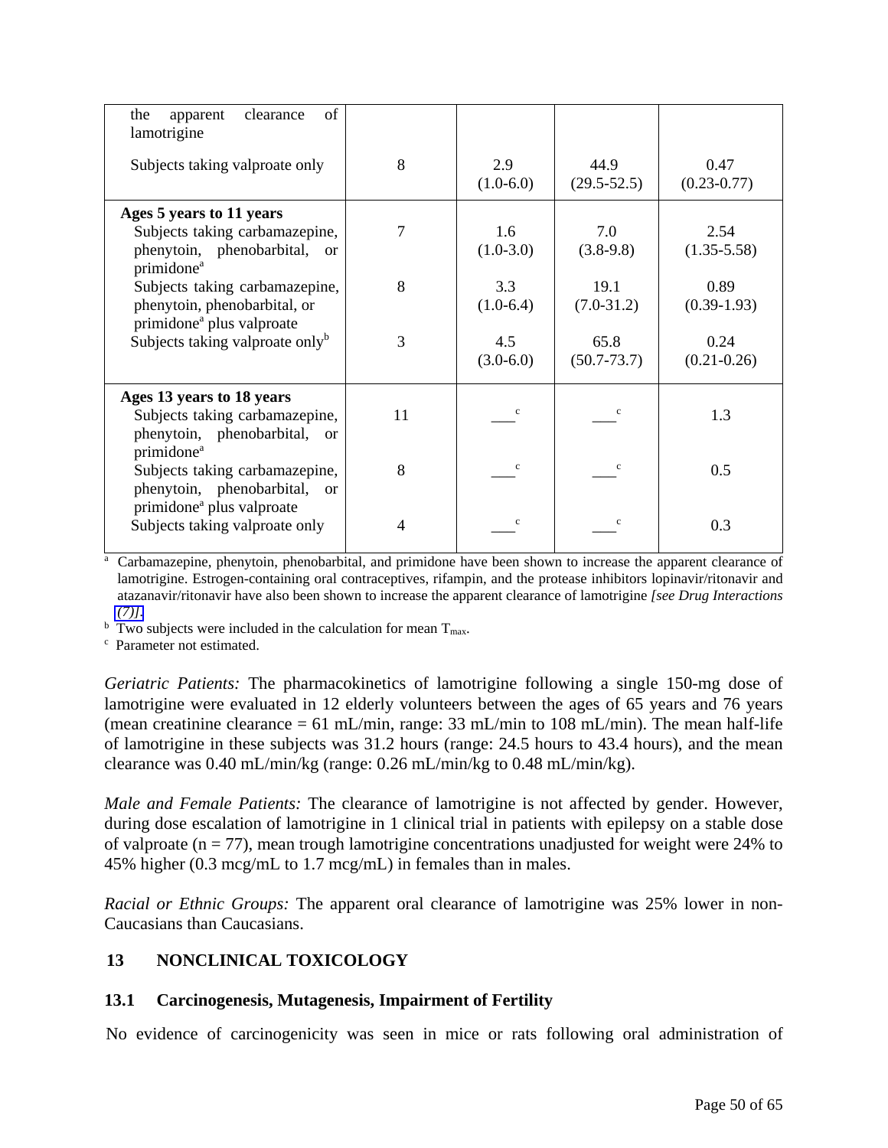<span id="page-49-0"></span>

| of<br>clearance<br>the<br>apparent<br>lamotrigine                                        |    |                    |                         |                         |
|------------------------------------------------------------------------------------------|----|--------------------|-------------------------|-------------------------|
| Subjects taking valproate only                                                           | 8  | 2.9<br>$(1.0-6.0)$ | 44.9<br>$(29.5 - 52.5)$ | 0.47<br>$(0.23 - 0.77)$ |
| Ages 5 years to 11 years<br>Subjects taking carbamazepine,                               | 7  | 1.6                | 7.0                     | 2.54                    |
| phenytoin, phenobarbital, or<br>primidone <sup>a</sup>                                   |    | $(1.0-3.0)$        | $(3.8-9.8)$             | $(1.35 - 5.58)$         |
| Subjects taking carbamazepine,<br>phenytoin, phenobarbital, or                           | 8  | 3.3<br>$(1.0-6.4)$ | 19.1<br>$(7.0-31.2)$    | 0.89<br>$(0.39-1.93)$   |
| primidone <sup>a</sup> plus valproate<br>Subjects taking valproate only <sup>b</sup>     | 3  | 4.5                | 65.8                    | 0.24                    |
|                                                                                          |    | $(3.0-6.0)$        | $(50.7 - 73.7)$         | $(0.21 - 0.26)$         |
| Ages 13 years to 18 years                                                                |    |                    |                         |                         |
| Subjects taking carbamazepine,<br>phenytoin, phenobarbital, or<br>primidone <sup>a</sup> | 11 | c                  | $\mathbf c$             | 1.3                     |
| Subjects taking carbamazepine,<br>phenytoin, phenobarbital, or                           | 8  |                    | $\mathbf c$             | 0.5                     |
| primidone <sup>a</sup> plus valproate<br>Subjects taking valproate only                  | 4  | $\mathbf c$        | c                       | 0.3                     |

<sup>a</sup> Carbamazepine, phenytoin, phenobarbital, and primidone have been shown to increase the apparent clearance of lamotrigine. Estrogen-containing oral contraceptives, rifampin, and the protease inhibitors lopinavir/ritonavir and atazanavir/ritonavir have also been shown to increase the apparent clearance of lamotrigine *[see Drug Interactions*   $(7)$ ].

<sup>b</sup> Two subjects were included in the calculation for mean  $T_{\text{max}}$ .<br><sup>c</sup> Parameter not estimated

Parameter not estimated.

*Geriatric Patients:* The pharmacokinetics of lamotrigine following a single 150-mg dose of lamotrigine were evaluated in 12 elderly volunteers between the ages of 65 years and 76 years (mean creatinine clearance = 61 mL/min, range:  $33$  mL/min to  $108$  mL/min). The mean half-life of lamotrigine in these subjects was 31.2 hours (range: 24.5 hours to 43.4 hours), and the mean clearance was 0.40 mL/min/kg (range: 0.26 mL/min/kg to 0.48 mL/min/kg).

*Male and Female Patients:* The clearance of lamotrigine is not affected by gender. However, during dose escalation of lamotrigine in 1 clinical trial in patients with epilepsy on a stable dose of valproate ( $n = 77$ ), mean trough lamotrigine concentrations unadjusted for weight were 24% to 45% higher (0.3 mcg/mL to 1.7 mcg/mL) in females than in males.

*Racial or Ethnic Groups:* The apparent oral clearance of lamotrigine was 25% lower in non-Caucasians than Caucasians.

# **13 NONCLINICAL TOXICOLOGY**

# **13.1 Carcinogenesis, Mutagenesis, Impairment of Fertility**

No evidence of carcinogenicity was seen in mice or rats following oral administration of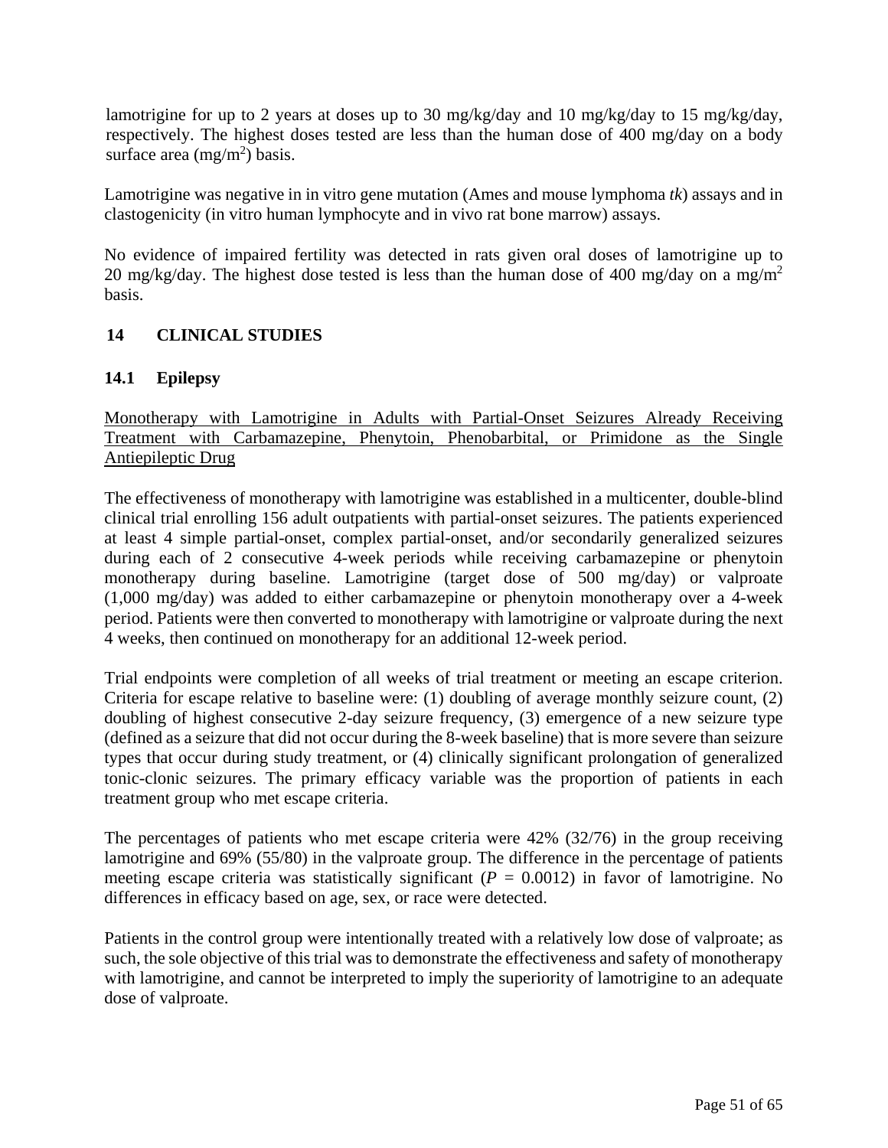<span id="page-50-0"></span>lamotrigine for up to 2 years at doses up to 30 mg/kg/day and 10 mg/kg/day to 15 mg/kg/day, respectively. The highest doses tested are less than the human dose of 400 mg/day on a body surface area  $(mg/m^2)$  basis.

Lamotrigine was negative in in vitro gene mutation (Ames and mouse lymphoma *tk*) assays and in clastogenicity (in vitro human lymphocyte and in vivo rat bone marrow) assays.

No evidence of impaired fertility was detected in rats given oral doses of lamotrigine up to 20 mg/kg/day. The highest dose tested is less than the human dose of 400 mg/day on a mg/m<sup>2</sup> basis.

# **14 CLINICAL STUDIES**

# **14.1 Epilepsy**

Monotherapy with Lamotrigine in Adults with Partial-Onset Seizures Already Receiving Treatment with Carbamazepine, Phenytoin, Phenobarbital, or Primidone as the Single Antiepileptic Drug

The effectiveness of monotherapy with lamotrigine was established in a multicenter, double-blind clinical trial enrolling 156 adult outpatients with partial-onset seizures. The patients experienced at least 4 simple partial-onset, complex partial-onset, and/or secondarily generalized seizures during each of 2 consecutive 4-week periods while receiving carbamazepine or phenytoin monotherapy during baseline. Lamotrigine (target dose of 500 mg/day) or valproate (1,000 mg/day) was added to either carbamazepine or phenytoin monotherapy over a 4-week period. Patients were then converted to monotherapy with lamotrigine or valproate during the next 4 weeks, then continued on monotherapy for an additional 12-week period.

Trial endpoints were completion of all weeks of trial treatment or meeting an escape criterion. Criteria for escape relative to baseline were: (1) doubling of average monthly seizure count, (2) doubling of highest consecutive 2-day seizure frequency, (3) emergence of a new seizure type (defined as a seizure that did not occur during the 8-week baseline) that is more severe than seizure types that occur during study treatment, or (4) clinically significant prolongation of generalized tonic-clonic seizures. The primary efficacy variable was the proportion of patients in each treatment group who met escape criteria.

The percentages of patients who met escape criteria were 42% (32/76) in the group receiving lamotrigine and 69% (55/80) in the valproate group. The difference in the percentage of patients meeting escape criteria was statistically significant ( $P = 0.0012$ ) in favor of lamotrigine. No differences in efficacy based on age, sex, or race were detected.

Patients in the control group were intentionally treated with a relatively low dose of valproate; as such, the sole objective of this trial was to demonstrate the effectiveness and safety of monotherapy with lamotrigine, and cannot be interpreted to imply the superiority of lamotrigine to an adequate dose of valproate.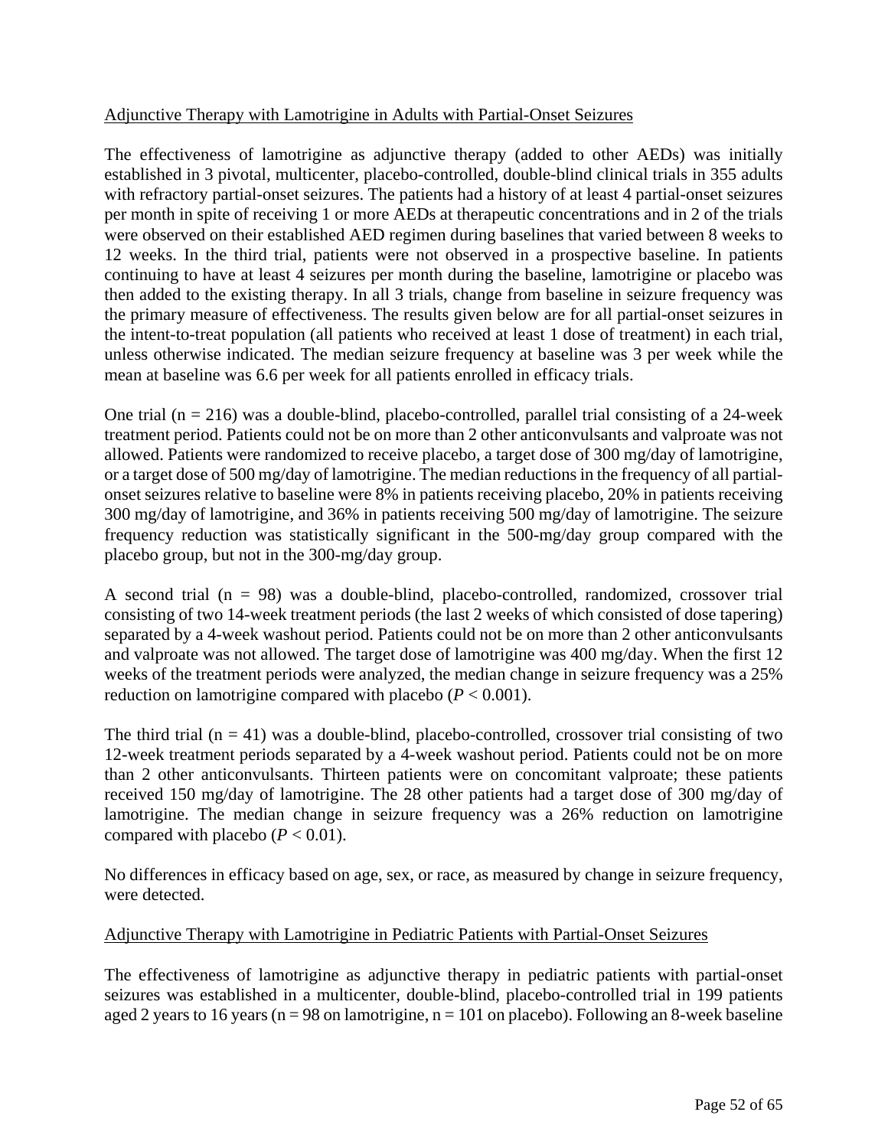# Adjunctive Therapy with Lamotrigine in Adults with Partial-Onset Seizures

The effectiveness of lamotrigine as adjunctive therapy (added to other AEDs) was initially established in 3 pivotal, multicenter, placebo-controlled, double-blind clinical trials in 355 adults with refractory partial-onset seizures. The patients had a history of at least 4 partial-onset seizures per month in spite of receiving 1 or more AEDs at therapeutic concentrations and in 2 of the trials were observed on their established AED regimen during baselines that varied between 8 weeks to 12 weeks. In the third trial, patients were not observed in a prospective baseline. In patients continuing to have at least 4 seizures per month during the baseline, lamotrigine or placebo was then added to the existing therapy. In all 3 trials, change from baseline in seizure frequency was the primary measure of effectiveness. The results given below are for all partial-onset seizures in the intent-to-treat population (all patients who received at least 1 dose of treatment) in each trial, unless otherwise indicated. The median seizure frequency at baseline was 3 per week while the mean at baseline was 6.6 per week for all patients enrolled in efficacy trials.

One trial ( $n = 216$ ) was a double-blind, placebo-controlled, parallel trial consisting of a 24-week treatment period. Patients could not be on more than 2 other anticonvulsants and valproate was not allowed. Patients were randomized to receive placebo, a target dose of 300 mg/day of lamotrigine, or a target dose of 500 mg/day of lamotrigine. The median reductions in the frequency of all partialonset seizures relative to baseline were 8% in patients receiving placebo, 20% in patients receiving 300 mg/day of lamotrigine, and 36% in patients receiving 500 mg/day of lamotrigine. The seizure frequency reduction was statistically significant in the 500-mg/day group compared with the placebo group, but not in the 300-mg/day group.

A second trial  $(n = 98)$  was a double-blind, placebo-controlled, randomized, crossover trial consisting of two 14-week treatment periods (the last 2 weeks of which consisted of dose tapering) separated by a 4-week washout period. Patients could not be on more than 2 other anticonvulsants and valproate was not allowed. The target dose of lamotrigine was 400 mg/day. When the first 12 weeks of the treatment periods were analyzed, the median change in seizure frequency was a 25% reduction on lamotrigine compared with placebo  $(P < 0.001)$ .

The third trial  $(n = 41)$  was a double-blind, placebo-controlled, crossover trial consisting of two 12-week treatment periods separated by a 4-week washout period. Patients could not be on more than 2 other anticonvulsants. Thirteen patients were on concomitant valproate; these patients received 150 mg/day of lamotrigine. The 28 other patients had a target dose of 300 mg/day of lamotrigine. The median change in seizure frequency was a 26% reduction on lamotrigine compared with placebo  $(P < 0.01)$ .

No differences in efficacy based on age, sex, or race, as measured by change in seizure frequency, were detected.

# Adjunctive Therapy with Lamotrigine in Pediatric Patients with Partial-Onset Seizures

The effectiveness of lamotrigine as adjunctive therapy in pediatric patients with partial-onset seizures was established in a multicenter, double-blind, placebo-controlled trial in 199 patients aged 2 years to 16 years ( $n = 98$  on lamotrigine,  $n = 101$  on placebo). Following an 8-week baseline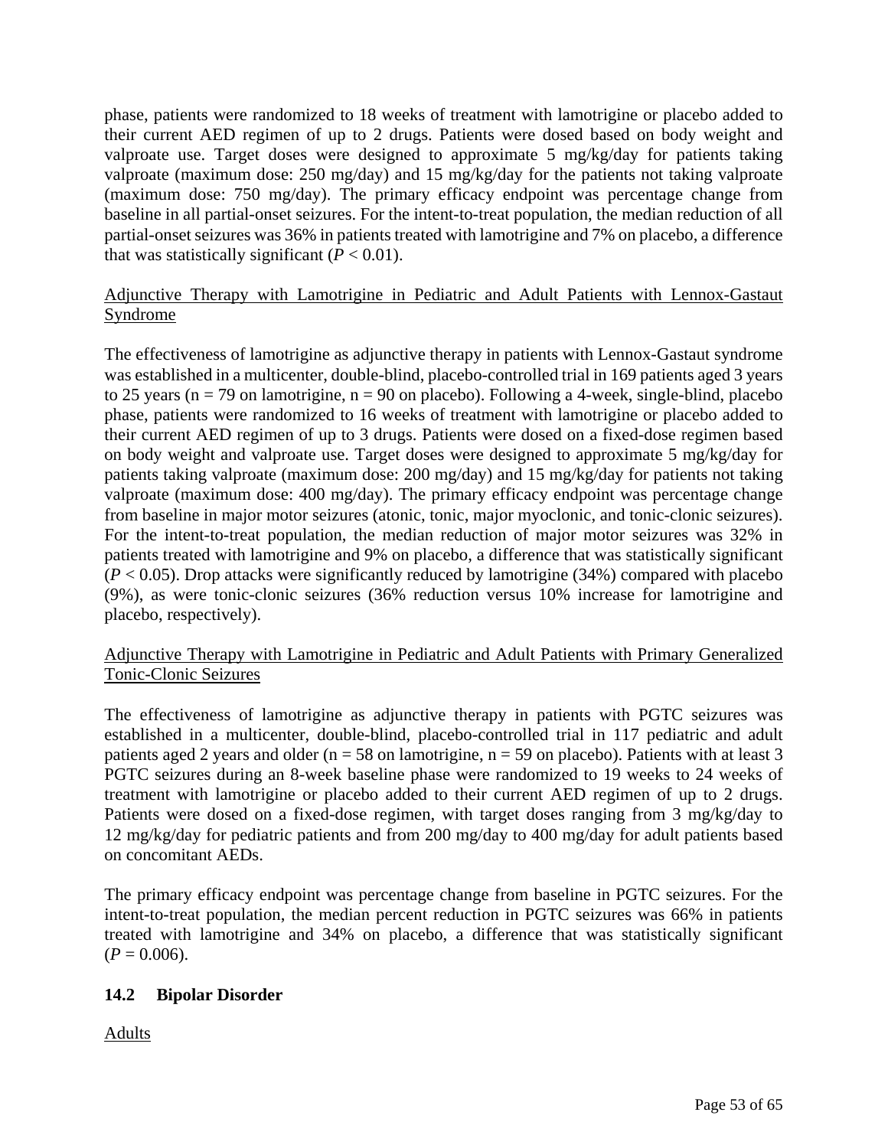<span id="page-52-1"></span><span id="page-52-0"></span>phase, patients were randomized to 18 weeks of treatment with lamotrigine or placebo added to their current AED regimen of up to 2 drugs. Patients were dosed based on body weight and valproate use. Target doses were designed to approximate 5 mg/kg/day for patients taking valproate (maximum dose: 250 mg/day) and 15 mg/kg/day for the patients not taking valproate (maximum dose: 750 mg/day). The primary efficacy endpoint was percentage change from baseline in all partial-onset seizures. For the intent-to-treat population, the median reduction of all partial-onset seizures was 36% in patients treated with lamotrigine and 7% on placebo, a difference that was statistically significant  $(P < 0.01)$ .

# Adjunctive Therapy with Lamotrigine in Pediatric and Adult Patients with Lennox-Gastaut Syndrome

The effectiveness of lamotrigine as adjunctive therapy in patients with Lennox-Gastaut syndrome was established in a multicenter, double-blind, placebo-controlled trial in 169 patients aged 3 years to 25 years ( $n = 79$  on lamotrigine,  $n = 90$  on placebo). Following a 4-week, single-blind, placebo phase, patients were randomized to 16 weeks of treatment with lamotrigine or placebo added to their current AED regimen of up to 3 drugs. Patients were dosed on a fixed-dose regimen based on body weight and valproate use. Target doses were designed to approximate 5 mg/kg/day for patients taking valproate (maximum dose: 200 mg/day) and 15 mg/kg/day for patients not taking valproate (maximum dose: 400 mg/day). The primary efficacy endpoint was percentage change from baseline in major motor seizures (atonic, tonic, major myoclonic, and tonic-clonic seizures). For the intent-to-treat population, the median reduction of major motor seizures was 32% in patients treated with lamotrigine and 9% on placebo, a difference that was statistically significant  $(P < 0.05)$ . Drop attacks were significantly reduced by lamotrigine (34%) compared with placebo (9%), as were tonic-clonic seizures (36% reduction versus 10% increase for lamotrigine and placebo, respectively).

# Adjunctive Therapy with Lamotrigine in Pediatric and Adult Patients with Primary Generalized Tonic-Clonic Seizures

The effectiveness of lamotrigine as adjunctive therapy in patients with PGTC seizures was established in a multicenter, double-blind, placebo-controlled trial in 117 pediatric and adult patients aged 2 years and older ( $n = 58$  on lamotrigine,  $n = 59$  on placebo). Patients with at least 3 PGTC seizures during an 8-week baseline phase were randomized to 19 weeks to 24 weeks of treatment with lamotrigine or placebo added to their current AED regimen of up to 2 drugs. Patients were dosed on a fixed-dose regimen, with target doses ranging from 3 mg/kg/day to 12 mg/kg/day for pediatric patients and from 200 mg/day to 400 mg/day for adult patients based on concomitant AEDs.

The primary efficacy endpoint was percentage change from baseline in PGTC seizures. For the intent-to-treat population, the median percent reduction in PGTC seizures was 66% in patients treated with lamotrigine and 34% on placebo, a difference that was statistically significant  $(P = 0.006)$ .

# **14.2 Bipolar Disorder**

Adults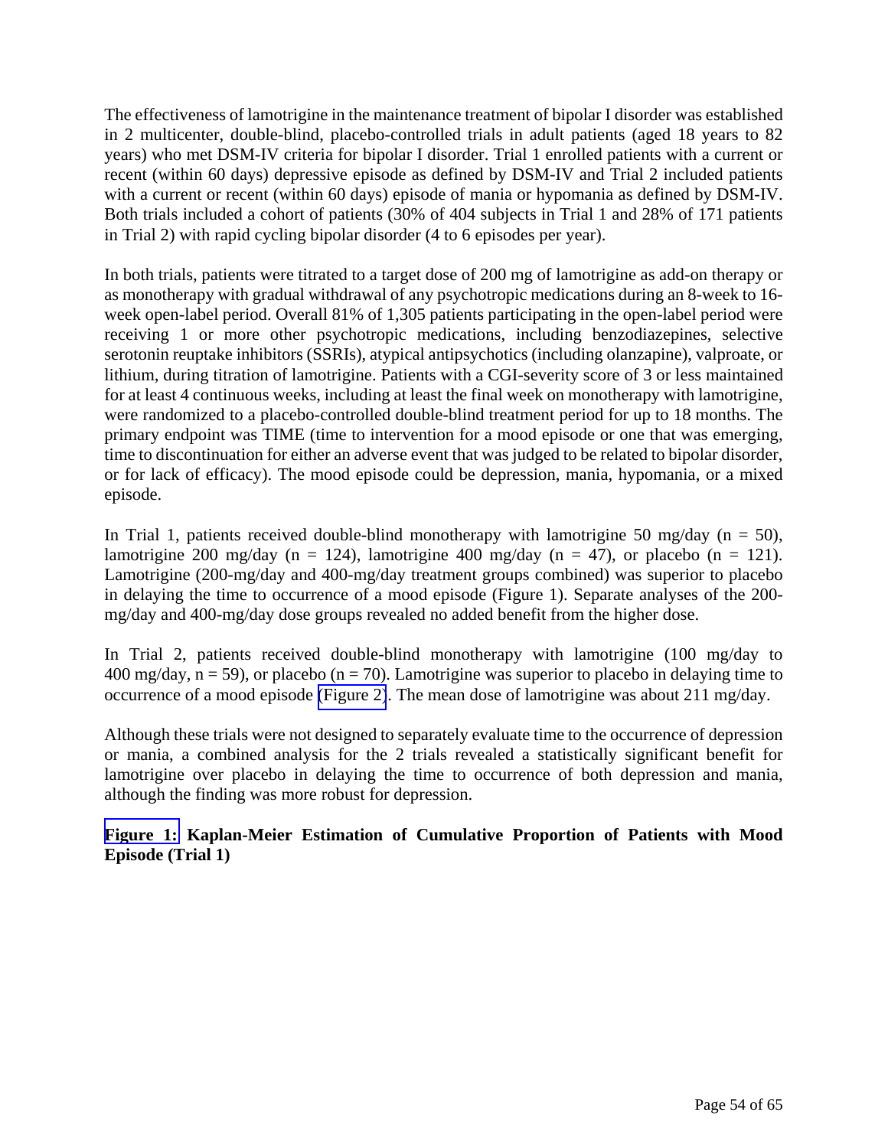The effectiveness of lamotrigine in the maintenance treatment of bipolar I disorder was established in 2 multicenter, double-blind, placebo-controlled trials in adult patients (aged 18 years to 82 years) who met DSM-IV criteria for bipolar I disorder. Trial 1 enrolled patients with a current or recent (within 60 days) depressive episode as defined by DSM-IV and Trial 2 included patients with a current or recent (within 60 days) episode of mania or hypomania as defined by DSM-IV. Both trials included a cohort of patients (30% of 404 subjects in Trial 1 and 28% of 171 patients in Trial 2) with rapid cycling bipolar disorder (4 to 6 episodes per year).

In both trials, patients were titrated to a target dose of 200 mg of lamotrigine as add-on therapy or as monotherapy with gradual withdrawal of any psychotropic medications during an 8-week to 16 week open-label period. Overall 81% of 1,305 patients participating in the open-label period were receiving 1 or more other psychotropic medications, including benzodiazepines, selective serotonin reuptake inhibitors (SSRIs), atypical antipsychotics (including olanzapine), valproate, or lithium, during titration of lamotrigine. Patients with a CGI-severity score of 3 or less maintained for at least 4 continuous weeks, including at least the final week on monotherapy with lamotrigine, were randomized to a placebo-controlled double-blind treatment period for up to 18 months. The primary endpoint was TIME (time to intervention for a mood episode or one that was emerging, time to discontinuation for either an adverse event that was judged to be related to bipolar disorder, or for lack of efficacy). The mood episode could be depression, mania, hypomania, or a mixed episode.

In Trial 1, patients received double-blind monotherapy with lamotrigine 50 mg/day ( $n = 50$ ), lamotrigine 200 mg/day (n = 124), lamotrigine 400 mg/day (n = 47), or placebo (n = 121). Lamotrigine (200-mg/day and 400-mg/day treatment groups combined) was superior to placebo in delaying the time to occurrence of a mood episode (Figure 1). Separate analyses of the 200 mg/day and 400-mg/day dose groups revealed no added benefit from the higher dose.

In Trial 2, patients received double-blind monotherapy with lamotrigine (100 mg/day to 400 mg/day,  $n = 59$ ), or placebo ( $n = 70$ ). Lamotrigine was superior to placebo in delaying time to occurrence of a mood episode [\(Figure 2\)](#page-54-1). The mean dose of lamotrigine was about 211 mg/day.

Although these trials were not designed to separately evaluate time to the occurrence of depression or mania, a combined analysis for the 2 trials revealed a statistically significant benefit for lamotrigine over placebo in delaying the time to occurrence of both depression and mania, although the finding was more robust for depression.

**[Figure 1:](#page-54-0) Kaplan-Meier Estimation of Cumulative Proportion of Patients with Mood Episode (Trial 1)**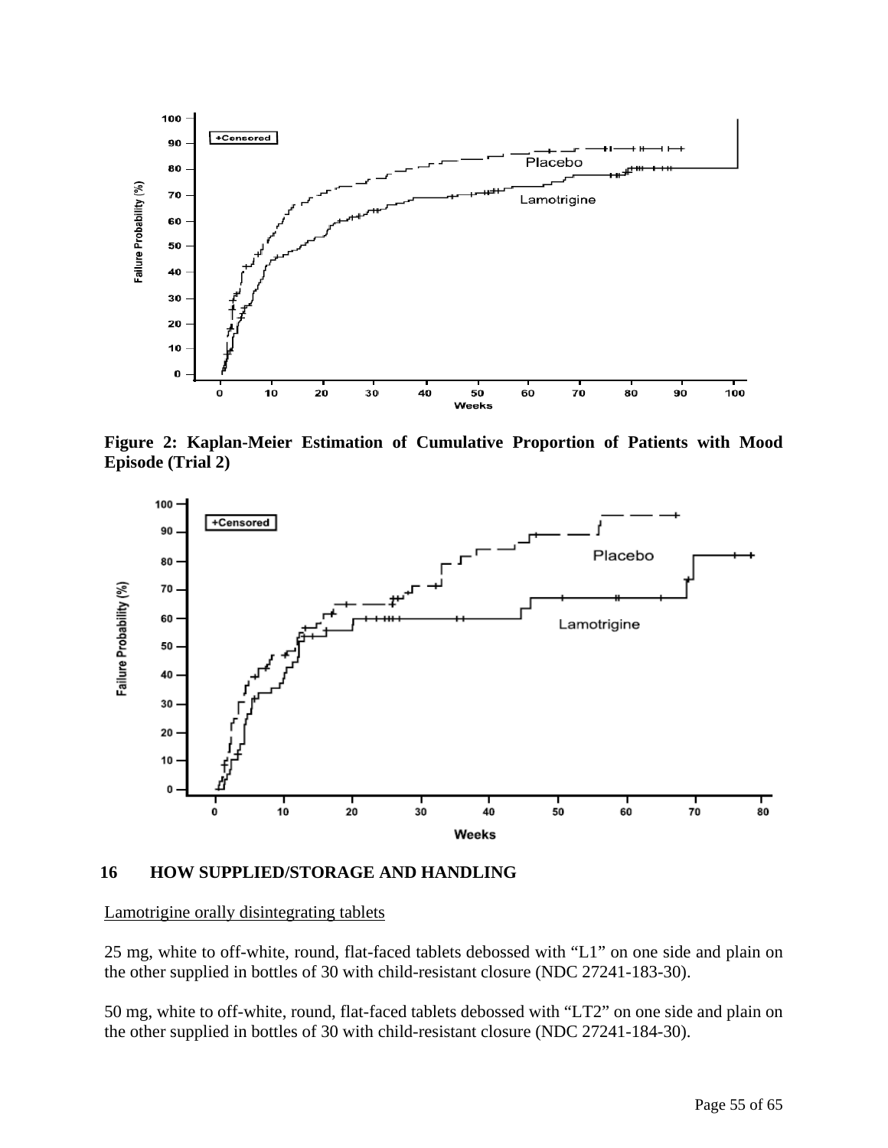<span id="page-54-2"></span><span id="page-54-1"></span><span id="page-54-0"></span>

**Figure 2: Kaplan-Meier Estimation of Cumulative Proportion of Patients with Mood Episode (Trial 2)** 



# **16 HOW SUPPLIED/STORAGE AND HANDLING**

#### Lamotrigine orally disintegrating tablets

25 mg, white to off-white, round, flat-faced tablets debossed with "L1" on one side and plain on the other supplied in bottles of 30 with child-resistant closure (NDC 27241-183-30).

50 mg, white to off-white, round, flat-faced tablets debossed with "LT2" on one side and plain on the other supplied in bottles of 30 with child-resistant closure (NDC 27241-184-30).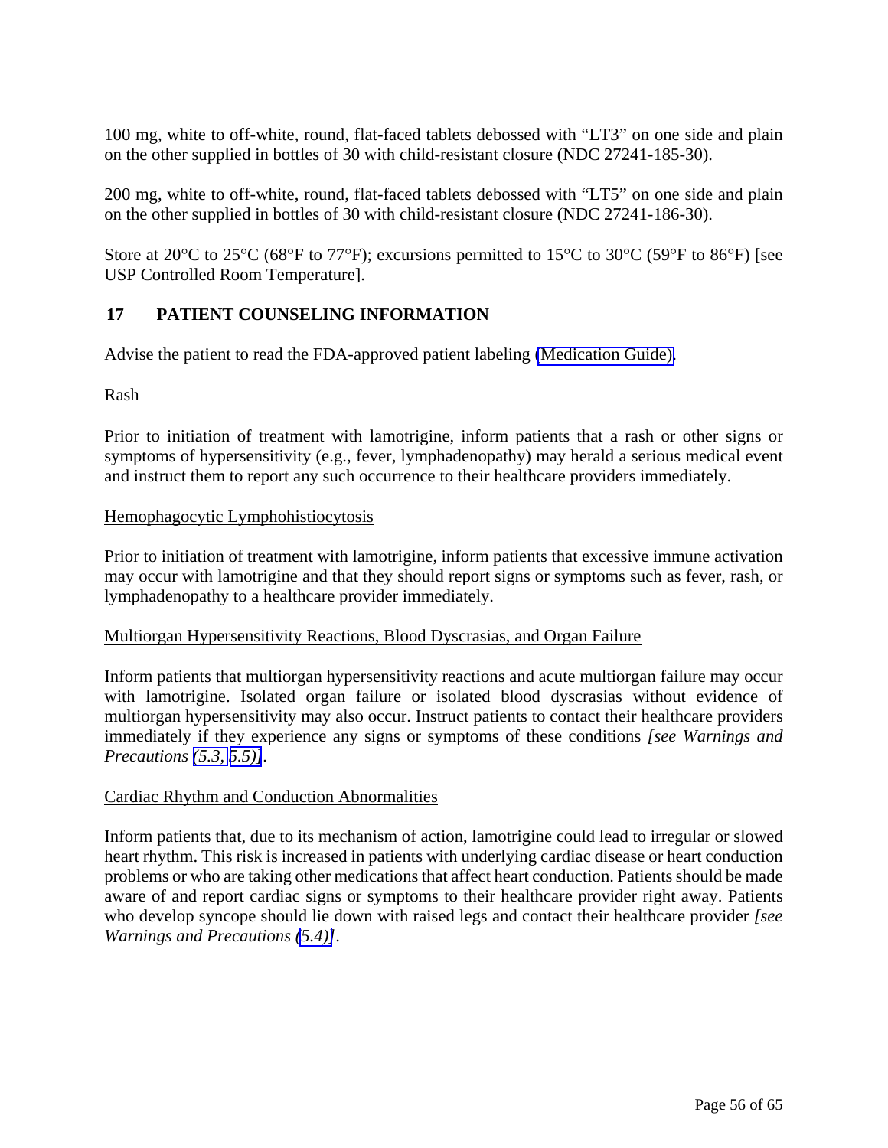100 mg, white to off-white, round, flat-faced tablets debossed with "LT3" on one side and plain on the other supplied in bottles of 30 with child-resistant closure (NDC 27241-185-30).

200 mg, white to off-white, round, flat-faced tablets debossed with "LT5" on one side and plain on the other supplied in bottles of 30 with child-resistant closure (NDC 27241-186-30).

Store at 20 $^{\circ}$ C to 25 $^{\circ}$ C (68 $^{\circ}$ F to 77 $^{\circ}$ F); excursions permitted to 15 $^{\circ}$ C to 30 $^{\circ}$ C (59 $^{\circ}$ F to 86 $^{\circ}$ F) [see USP Controlled Room Temperature].

# **17 PATIENT COUNSELING INFORMATION**

Advise the patient to read the FDA-approved patient labeling [\(Medication Guide\).](#page-58-1)

# Rash

Prior to initiation of treatment with lamotrigine, inform patients that a rash or other signs or symptoms of hypersensitivity (e.g., fever, lymphadenopathy) may herald a serious medical event and instruct them to report any such occurrence to their healthcare providers immediately.

# Hemophagocytic Lymphohistiocytosis

Prior to initiation of treatment with lamotrigine, inform patients that excessive immune activation may occur with lamotrigine and that they should report signs or symptoms such as fever, rash, or lymphadenopathy to a healthcare provider immediately.

# Multiorgan Hypersensitivity Reactions, Blood Dyscrasias, and Organ Failure

Inform patients that multiorgan hypersensitivity reactions and acute multiorgan failure may occur with lamotrigine. Isolated organ failure or isolated blood dyscrasias without evidence of multiorgan hypersensitivity may also occur. Instruct patients to contact their healthcare providers immediately if they experience any signs or symptoms of these conditions *[see Warnings and Precautions [\(5.3,](#page-15-2) [5.5\)\]](#page-15-1).* 

# Cardiac Rhythm and Conduction Abnormalities

Inform patients that, due to its mechanism of action, lamotrigine could lead to irregular or slowed heart rhythm. This risk is increased in patients with underlying cardiac disease or heart conduction problems or who are taking other medications that affect heart conduction. Patients should be made aware of and report cardiac signs or symptoms to their healthcare provider right away. Patients who develop syncope should lie down with raised legs and contact their healthcare provider *[see Warnings and Precautions [\(5.4\)\]](#page-15-1)*.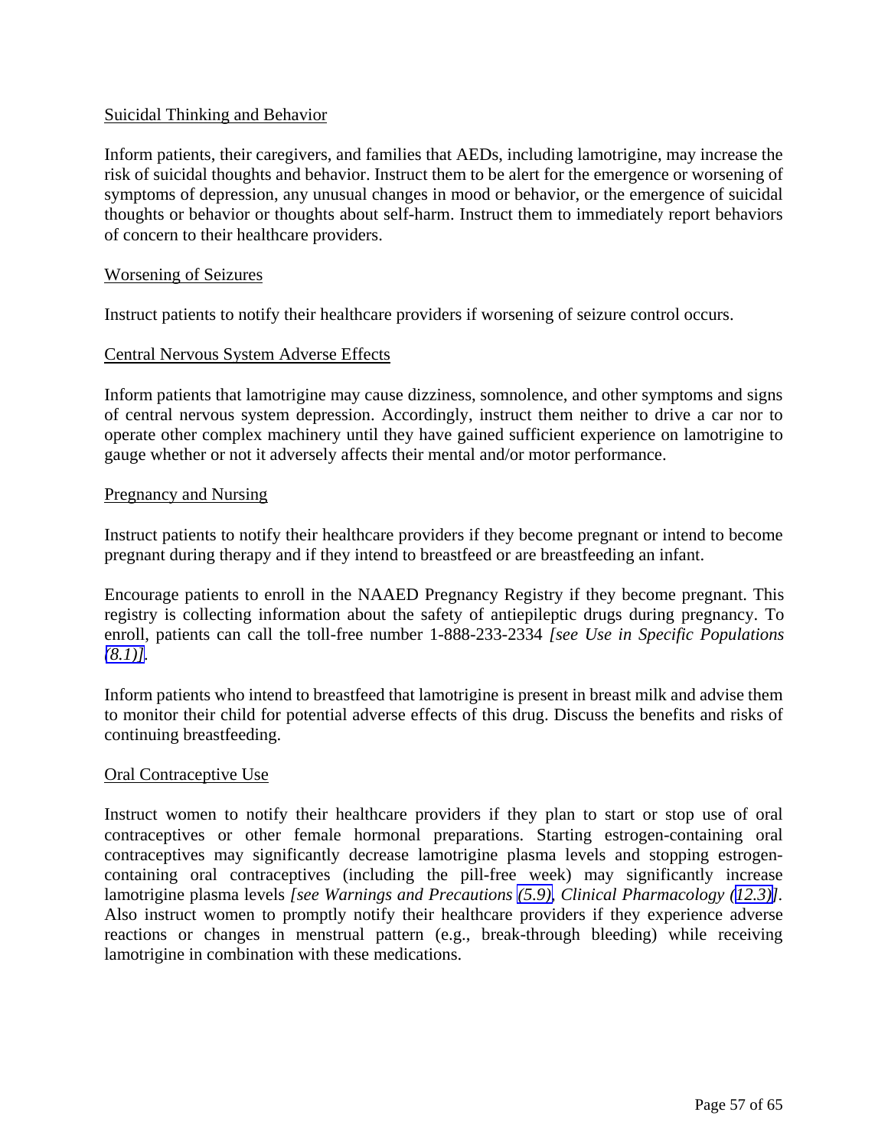# Suicidal Thinking and Behavior

Inform patients, their caregivers, and families that AEDs, including lamotrigine, may increase the risk of suicidal thoughts and behavior. Instruct them to be alert for the emergence or worsening of symptoms of depression, any unusual changes in mood or behavior, or the emergence of suicidal thoughts or behavior or thoughts about self-harm. Instruct them to immediately report behaviors of concern to their healthcare providers.

### Worsening of Seizures

Instruct patients to notify their healthcare providers if worsening of seizure control occurs.

### Central Nervous System Adverse Effects

Inform patients that lamotrigine may cause dizziness, somnolence, and other symptoms and signs of central nervous system depression. Accordingly, instruct them neither to drive a car nor to operate other complex machinery until they have gained sufficient experience on lamotrigine to gauge whether or not it adversely affects their mental and/or motor performance.

### Pregnancy and Nursing

Instruct patients to notify their healthcare providers if they become pregnant or intend to become pregnant during therapy and if they intend to breastfeed or are breastfeeding an infant.

Encourage patients to enroll in the NAAED Pregnancy Registry if they become pregnant. This registry is collecting information about the safety of antiepileptic drugs during pregnancy. To enroll, patients can call the toll-free number 1-888-233-2334 *[see Use in Specific Populations*   $(8.1)$ ].

Inform patients who intend to breastfeed that lamotrigine is present in breast milk and advise them to monitor their child for potential adverse effects of this drug. Discuss the benefits and risks of continuing breastfeeding.

#### Oral Contraceptive Use

Instruct women to notify their healthcare providers if they plan to start or stop use of oral contraceptives or other female hormonal preparations. Starting estrogen-containing oral contraceptives may significantly decrease lamotrigine plasma levels and stopping estrogencontaining oral contraceptives (including the pill-free week) may significantly increase lamotrigine plasma levels *[see Warnings and Precautions [\(5.9\),](#page-18-1) Clinical Pharmacology [\(12.3\)\]](#page-39-0).* Also instruct women to promptly notify their healthcare providers if they experience adverse reactions or changes in menstrual pattern (e.g., break-through bleeding) while receiving lamotrigine in combination with these medications.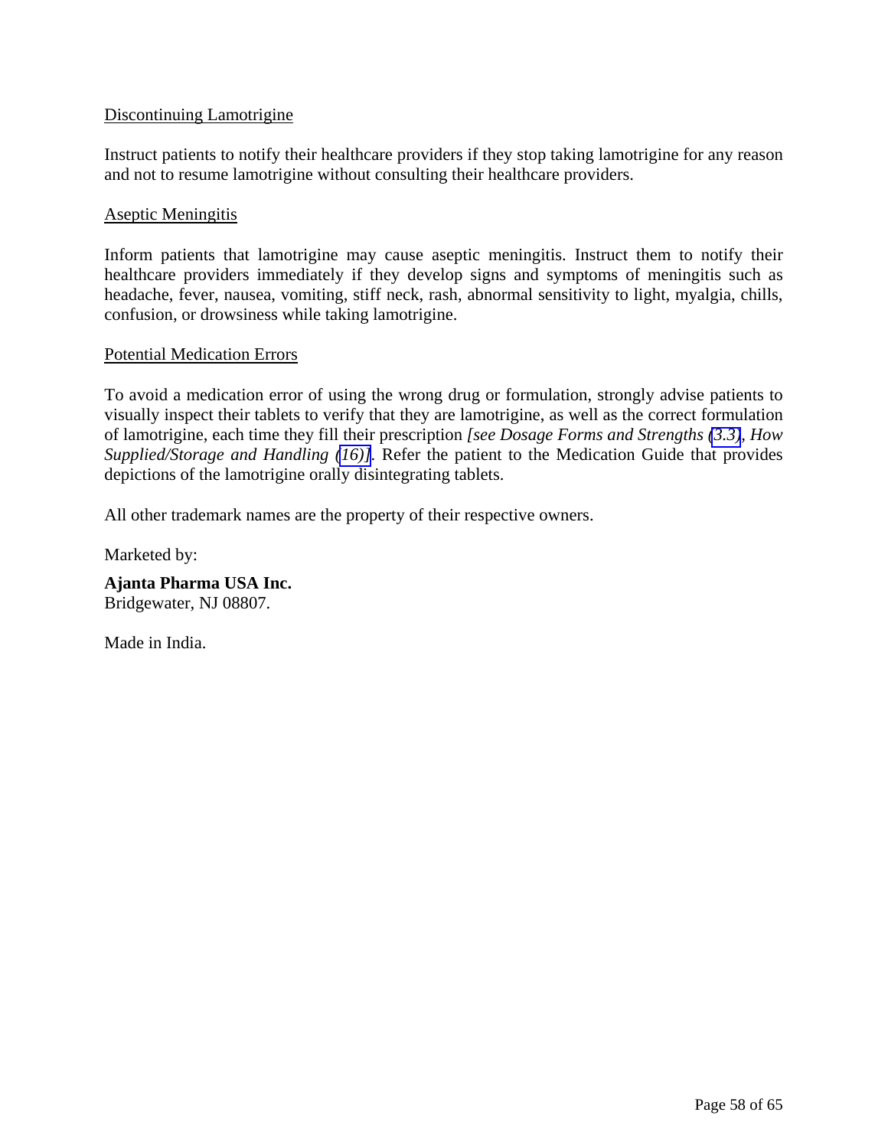# Discontinuing Lamotrigine

Instruct patients to notify their healthcare providers if they stop taking lamotrigine for any reason and not to resume lamotrigine without consulting their healthcare providers.

# Aseptic Meningitis

Inform patients that lamotrigine may cause aseptic meningitis. Instruct them to notify their healthcare providers immediately if they develop signs and symptoms of meningitis such as headache, fever, nausea, vomiting, stiff neck, rash, abnormal sensitivity to light, myalgia, chills, confusion, or drowsiness while taking lamotrigine.

# Potential Medication Errors

To avoid a medication error of using the wrong drug or formulation, strongly advise patients to visually inspect their tablets to verify that they are lamotrigine, as well as the correct formulation of lamotrigine, each time they fill their prescription *[see Dosage Forms and Strengths [\(3.3\)](#page-13-3), How Supplied/Storage and Handling [\(16\)\]](#page-54-2).* Refer the patient to the Medication Guide that provides depictions of the lamotrigine orally disintegrating tablets.

All other trademark names are the property of their respective owners.

Marketed by:

**Ajanta Pharma USA Inc.**  Bridgewater, NJ 08807.

Made in India.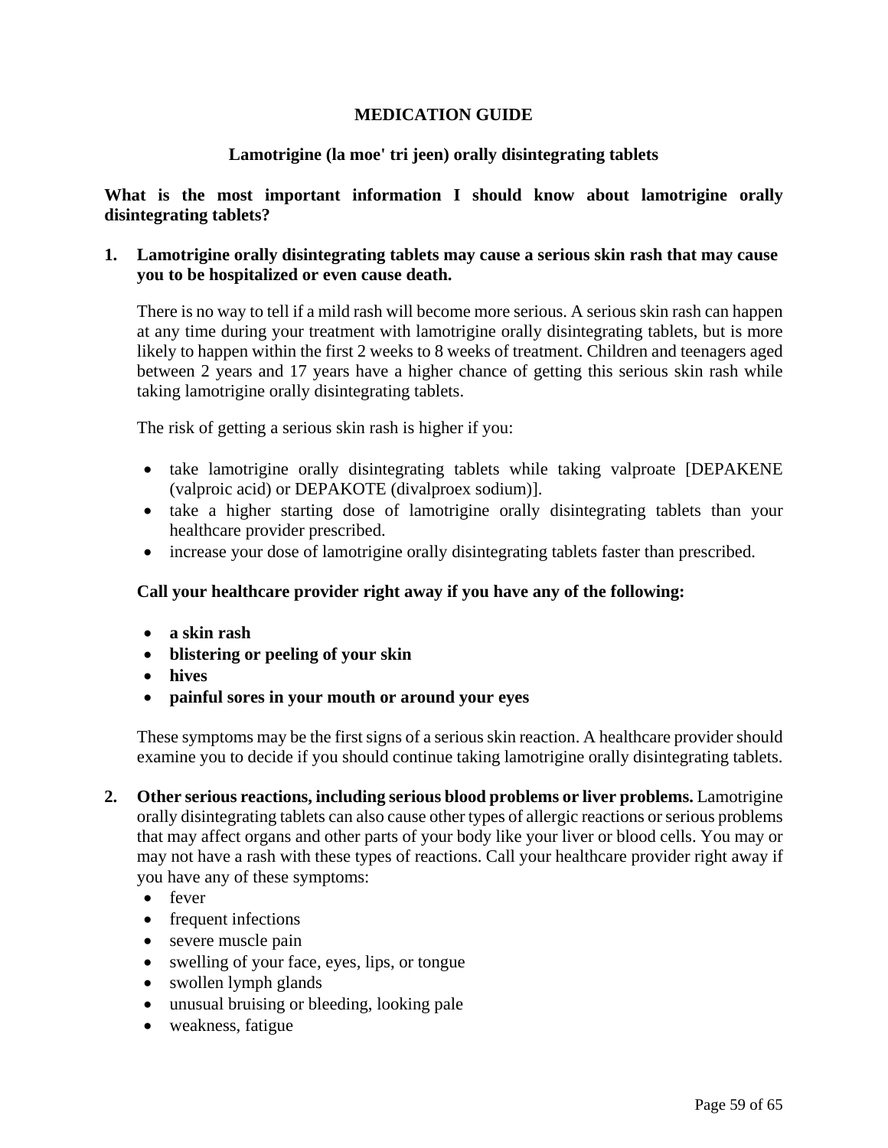# **MEDICATION GUIDE**

# **Lamotrigine (la moe' tri jeen) orally disintegrating tablets**

<span id="page-58-1"></span><span id="page-58-0"></span>**What is the most important information I should know about lamotrigine orally disintegrating tablets?** 

# **1. Lamotrigine orally disintegrating tablets may cause a serious skin rash that may cause you to be hospitalized or even cause death.**

There is no way to tell if a mild rash will become more serious. A serious skin rash can happen at any time during your treatment with lamotrigine orally disintegrating tablets, but is more likely to happen within the first 2 weeks to 8 weeks of treatment. Children and teenagers aged between 2 years and 17 years have a higher chance of getting this serious skin rash while taking lamotrigine orally disintegrating tablets.

The risk of getting a serious skin rash is higher if you:

- take lamotrigine orally disintegrating tablets while taking valproate [DEPAKENE (valproic acid) or DEPAKOTE (divalproex sodium)].
- take a higher starting dose of lamotrigine orally disintegrating tablets than your healthcare provider prescribed.
- increase your dose of lamotrigine orally disintegrating tablets faster than prescribed.

# **Call your healthcare provider right away if you have any of the following:**

- **a skin rash**
- **blistering or peeling of your skin**
- **hives**
- **painful sores in your mouth or around your eyes**

These symptoms may be the first signs of a serious skin reaction. A healthcare provider should examine you to decide if you should continue taking lamotrigine orally disintegrating tablets.

- **2. Other serious reactions, including serious blood problems or liver problems.** Lamotrigine orally disintegrating tablets can also cause other types of allergic reactions or serious problems that may affect organs and other parts of your body like your liver or blood cells. You may or may not have a rash with these types of reactions. Call your healthcare provider right away if you have any of these symptoms:
	- fever
	- frequent infections
	- severe muscle pain
	- swelling of your face, eyes, lips, or tongue
	- swollen lymph glands
	- unusual bruising or bleeding, looking pale
	- weakness, fatigue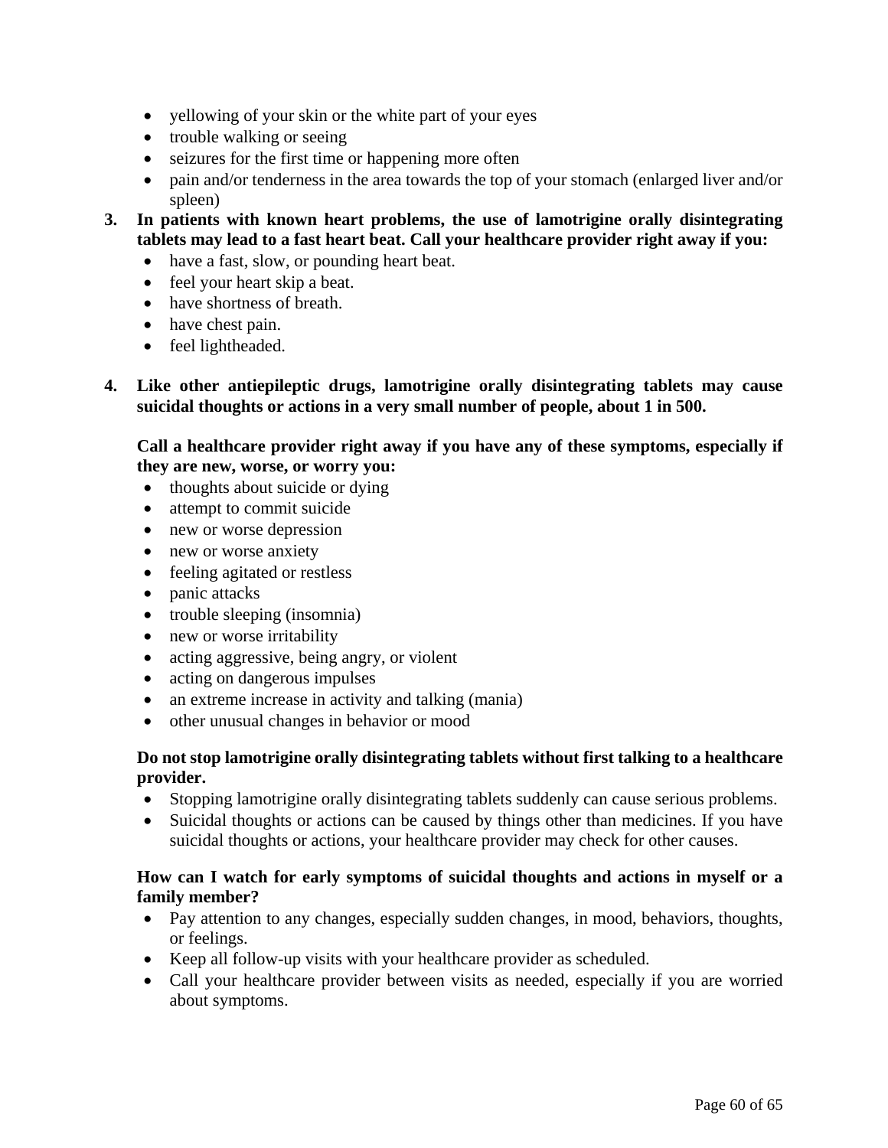- yellowing of your skin or the white part of your eyes
- trouble walking or seeing
- seizures for the first time or happening more often
- pain and/or tenderness in the area towards the top of your stomach (enlarged liver and/or spleen)
- **3. In patients with known heart problems, the use of lamotrigine orally disintegrating tablets may lead to a fast heart beat. Call your healthcare provider right away if you:**
	- have a fast, slow, or pounding heart beat.
	- feel your heart skip a beat.
	- have shortness of breath.
	- have chest pain.
	- feel lightheaded.
- **4. Like other antiepileptic drugs, lamotrigine orally disintegrating tablets may cause suicidal thoughts or actions in a very small number of people, about 1 in 500.**

**Call a healthcare provider right away if you have any of these symptoms, especially if they are new, worse, or worry you:** 

- $\bullet$  thoughts about suicide or dying
- attempt to commit suicide
- new or worse depression
- new or worse anxiety
- feeling agitated or restless
- panic attacks
- trouble sleeping (insomnia)
- new or worse irritability
- acting aggressive, being angry, or violent
- acting on dangerous impulses
- an extreme increase in activity and talking (mania)
- other unusual changes in behavior or mood

# **Do not stop lamotrigine orally disintegrating tablets without first talking to a healthcare provider.**

- Stopping lamotrigine orally disintegrating tablets suddenly can cause serious problems.
- Suicidal thoughts or actions can be caused by things other than medicines. If you have suicidal thoughts or actions, your healthcare provider may check for other causes.

# **How can I watch for early symptoms of suicidal thoughts and actions in myself or a family member?**

- Pay attention to any changes, especially sudden changes, in mood, behaviors, thoughts, or feelings.
- Keep all follow-up visits with your healthcare provider as scheduled.
- Call your healthcare provider between visits as needed, especially if you are worried about symptoms.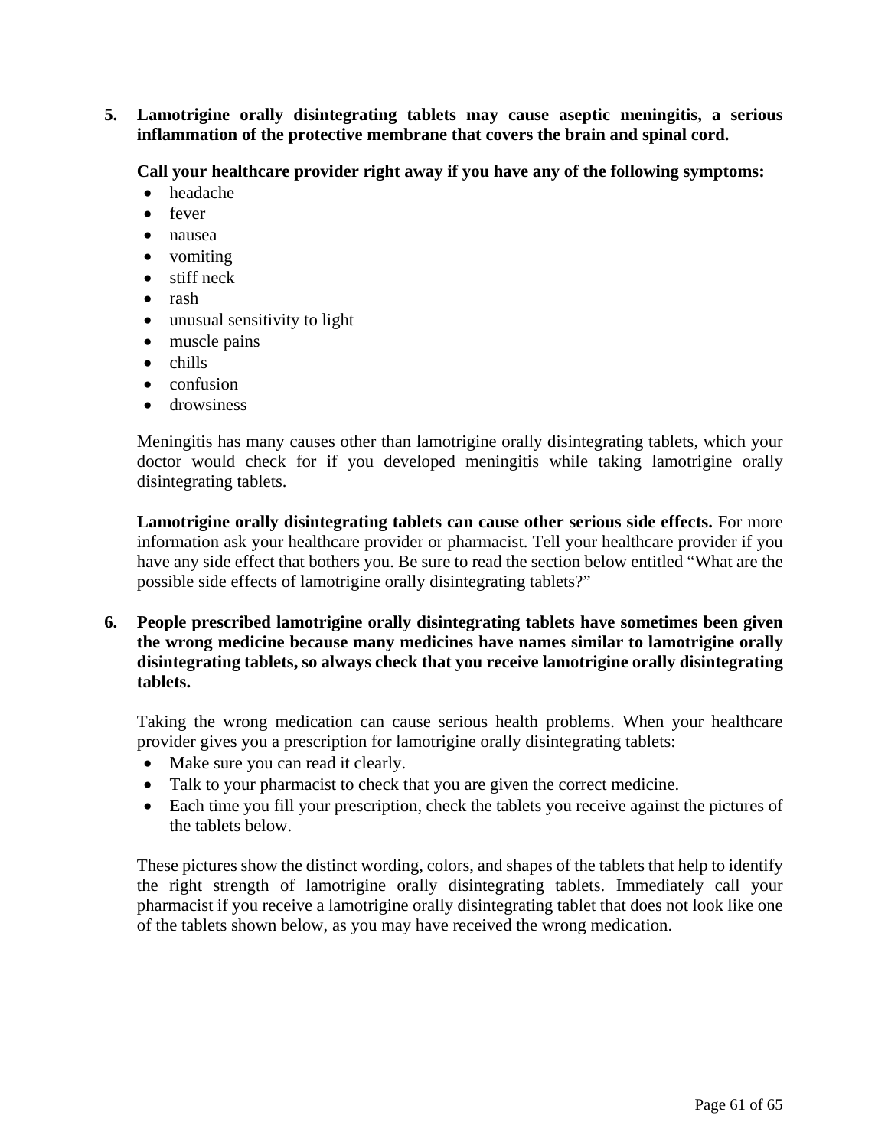**5. Lamotrigine orally disintegrating tablets may cause aseptic meningitis, a serious inflammation of the protective membrane that covers the brain and spinal cord.**

**Call your healthcare provider right away if you have any of the following symptoms:** 

- headache
- fever
- nausea
- vomiting
- stiff neck
- rash
- unusual sensitivity to light
- muscle pains
- $\bullet$  chills
- confusion
- **•** drowsiness

Meningitis has many causes other than lamotrigine orally disintegrating tablets, which your doctor would check for if you developed meningitis while taking lamotrigine orally disintegrating tablets.

**Lamotrigine orally disintegrating tablets can cause other serious side effects.** For more information ask your healthcare provider or pharmacist. Tell your healthcare provider if you have any side effect that bothers you. Be sure to read the section below entitled "What are the possible side effects of lamotrigine orally disintegrating tablets?"

**6. People prescribed lamotrigine orally disintegrating tablets have sometimes been given the wrong medicine because many medicines have names similar to lamotrigine orally disintegrating tablets, so always check that you receive lamotrigine orally disintegrating tablets.** 

Taking the wrong medication can cause serious health problems. When your healthcare provider gives you a prescription for lamotrigine orally disintegrating tablets:

- Make sure you can read it clearly.
- Talk to your pharmacist to check that you are given the correct medicine.
- Each time you fill your prescription, check the tablets you receive against the pictures of the tablets below.

These pictures show the distinct wording, colors, and shapes of the tablets that help to identify the right strength of lamotrigine orally disintegrating tablets. Immediately call your pharmacist if you receive a lamotrigine orally disintegrating tablet that does not look like one of the tablets shown below, as you may have received the wrong medication.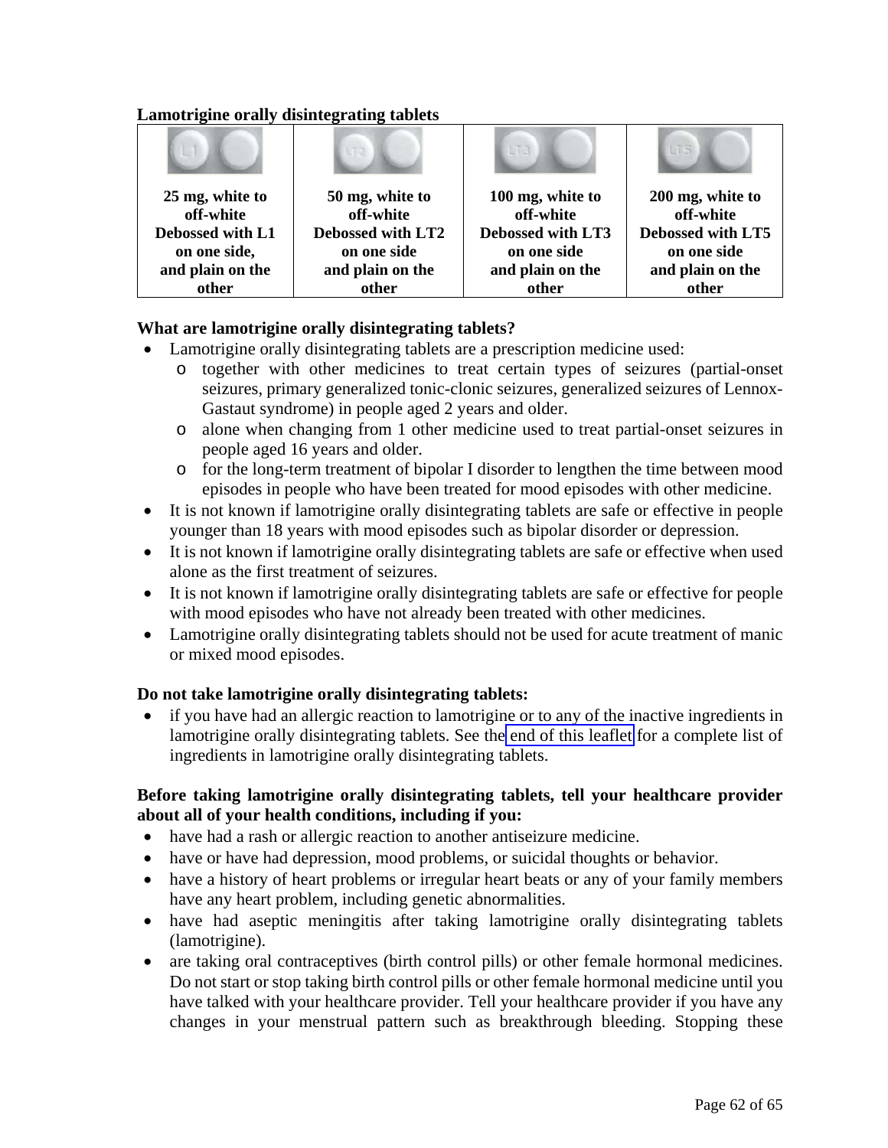# **Lamotrigine orally disintegrating tablets**

| 25 mg, white to<br>off-white | 50 mg, white to<br>off-white | 100 mg, white to<br>off-white | 200 mg, white to<br>off-white |
|------------------------------|------------------------------|-------------------------------|-------------------------------|
| Debossed with L1             | Debossed with LT2            | Debossed with LT3             | Debossed with LT5             |
| on one side,                 | on one side                  | on one side                   | on one side                   |
| and plain on the             | and plain on the             | and plain on the              | and plain on the              |
| other                        | other                        | other                         | other                         |

# **What are lamotrigine orally disintegrating tablets?**

- Lamotrigine orally disintegrating tablets are a prescription medicine used:
	- o together with other medicines to treat certain types of seizures (partial-onset seizures, primary generalized tonic-clonic seizures, generalized seizures of Lennox-Gastaut syndrome) in people aged 2 years and older.
	- o alone when changing from 1 other medicine used to treat partial-onset seizures in people aged 16 years and older.
	- o for the long-term treatment of bipolar I disorder to lengthen the time between mood episodes in people who have been treated for mood episodes with other medicine.
- It is not known if lamotrigine orally disintegrating tablets are safe or effective in people younger than 18 years with mood episodes such as bipolar disorder or depression.
- It is not known if lamotrigine orally disintegrating tablets are safe or effective when used alone as the first treatment of seizures.
- It is not known if lamotrigine orally disintegrating tablets are safe or effective for people with mood episodes who have not already been treated with other medicines.
- Lamotrigine orally disintegrating tablets should not be used for acute treatment of manic or mixed mood episodes.

# **Do not take lamotrigine orally disintegrating tablets:**

• if you have had an allergic reaction to lamotrigine or to any of the inactive ingredients in lamotrigine orally disintegrating tablets. See the [end of this leaflet](#page-64-0) for a complete list of ingredients in lamotrigine orally disintegrating tablets.

# **Before taking lamotrigine orally disintegrating tablets, tell your healthcare provider about all of your health conditions, including if you:**

- have had a rash or allergic reaction to another antiseizure medicine.
- have or have had depression, mood problems, or suicidal thoughts or behavior.
- have a history of heart problems or irregular heart beats or any of your family members have any heart problem, including genetic abnormalities.
- have had aseptic meningitis after taking lamotrigine orally disintegrating tablets (lamotrigine).
- are taking oral contraceptives (birth control pills) or other female hormonal medicines. Do not start or stop taking birth control pills or other female hormonal medicine until you have talked with your healthcare provider. Tell your healthcare provider if you have any changes in your menstrual pattern such as breakthrough bleeding. Stopping these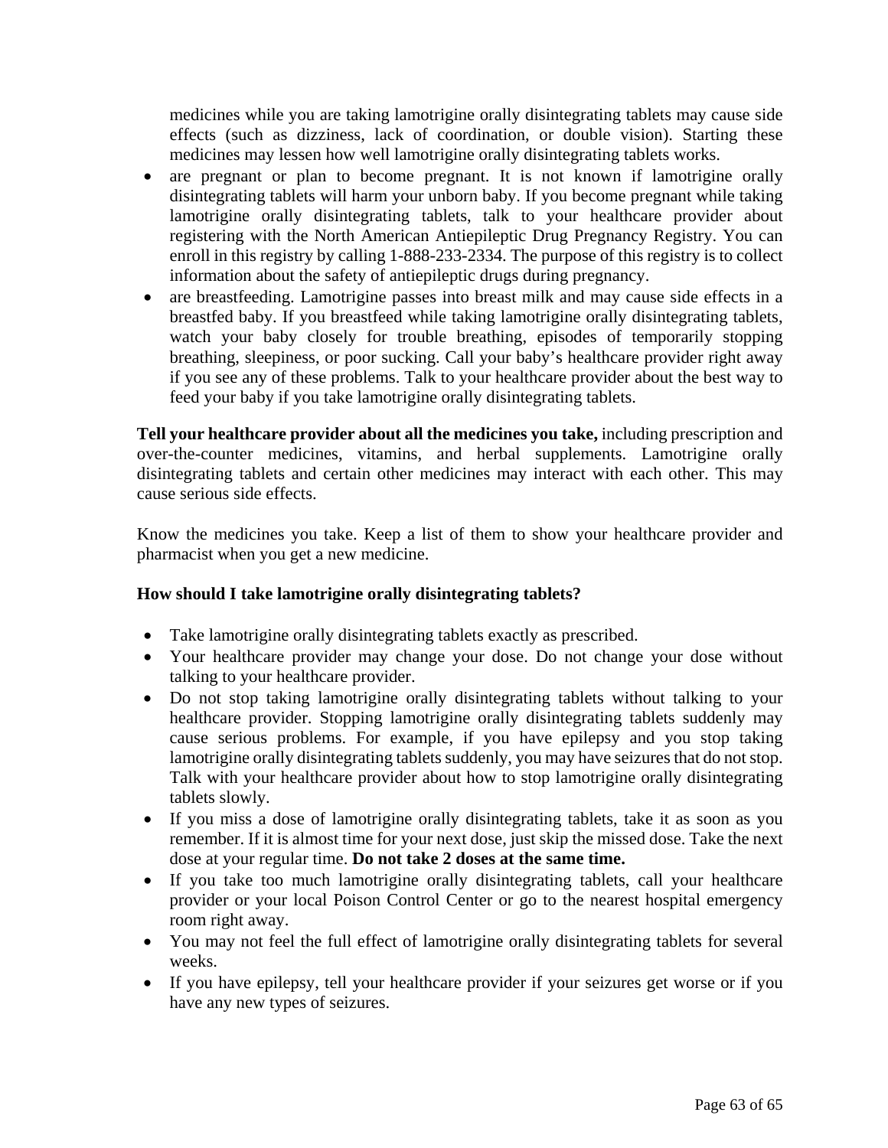medicines while you are taking lamotrigine orally disintegrating tablets may cause side effects (such as dizziness, lack of coordination, or double vision). Starting these medicines may lessen how well lamotrigine orally disintegrating tablets works.

- are pregnant or plan to become pregnant. It is not known if lamotrigine orally disintegrating tablets will harm your unborn baby. If you become pregnant while taking lamotrigine orally disintegrating tablets, talk to your healthcare provider about registering with the North American Antiepileptic Drug Pregnancy Registry. You can enroll in this registry by calling 1-888-233-2334. The purpose of this registry is to collect information about the safety of antiepileptic drugs during pregnancy.
- are breastfeeding. Lamotrigine passes into breast milk and may cause side effects in a breastfed baby. If you breastfeed while taking lamotrigine orally disintegrating tablets, watch your baby closely for trouble breathing, episodes of temporarily stopping breathing, sleepiness, or poor sucking. Call your baby's healthcare provider right away if you see any of these problems. Talk to your healthcare provider about the best way to feed your baby if you take lamotrigine orally disintegrating tablets.

**Tell your healthcare provider about all the medicines you take,** including prescription and over-the-counter medicines, vitamins, and herbal supplements. Lamotrigine orally disintegrating tablets and certain other medicines may interact with each other. This may cause serious side effects.

Know the medicines you take. Keep a list of them to show your healthcare provider and pharmacist when you get a new medicine.

# **How should I take lamotrigine orally disintegrating tablets?**

- Take lamotrigine orally disintegrating tablets exactly as prescribed.
- Your healthcare provider may change your dose. Do not change your dose without talking to your healthcare provider.
- Do not stop taking lamotrigine orally disintegrating tablets without talking to your healthcare provider. Stopping lamotrigine orally disintegrating tablets suddenly may cause serious problems. For example, if you have epilepsy and you stop taking lamotrigine orally disintegrating tablets suddenly, you may have seizures that do not stop. Talk with your healthcare provider about how to stop lamotrigine orally disintegrating tablets slowly.
- If you miss a dose of lamotrigine orally disintegrating tablets, take it as soon as you remember. If it is almost time for your next dose, just skip the missed dose. Take the next dose at your regular time. **Do not take 2 doses at the same time.**
- If you take too much lamotrigine orally disintegrating tablets, call your healthcare provider or your local Poison Control Center or go to the nearest hospital emergency room right away.
- You may not feel the full effect of lamotrigine orally disintegrating tablets for several weeks.
- If you have epilepsy, tell your healthcare provider if your seizures get worse or if you have any new types of seizures.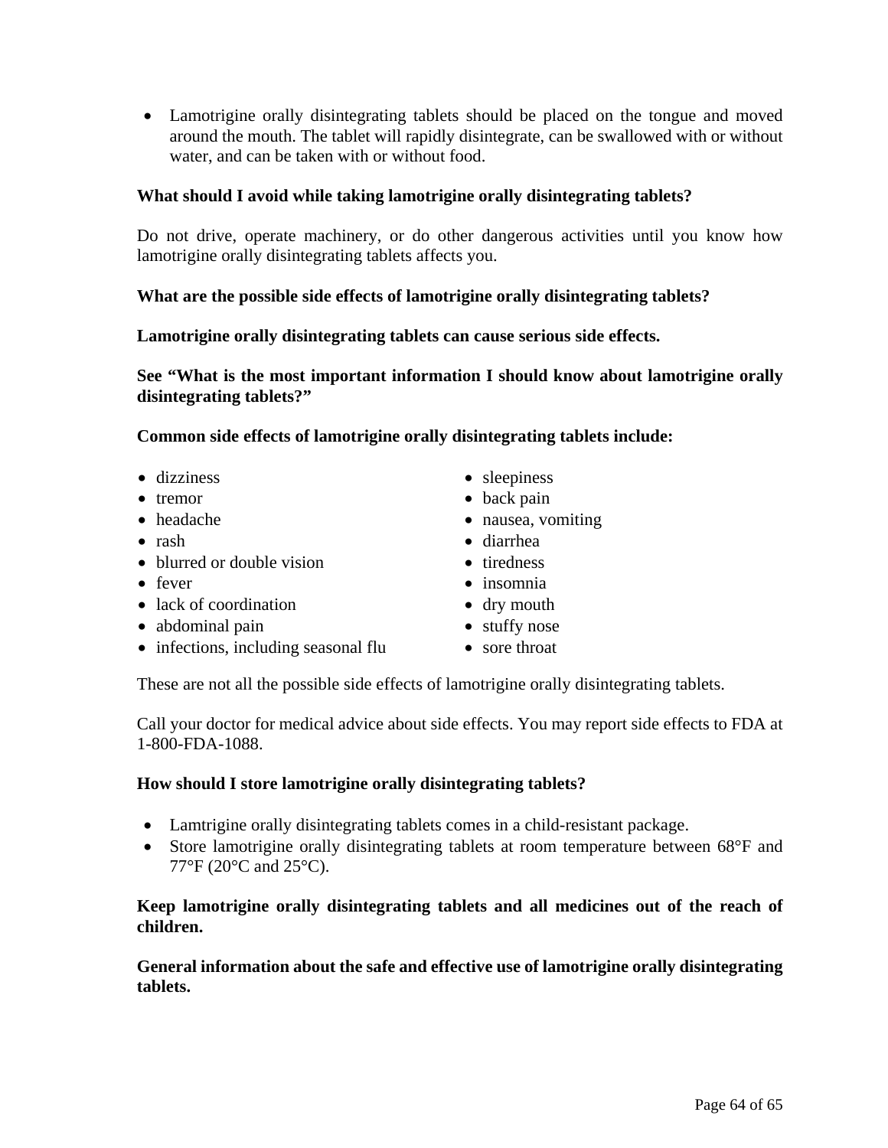Lamotrigine orally disintegrating tablets should be placed on the tongue and moved around the mouth. The tablet will rapidly disintegrate, can be swallowed with or without water, and can be taken with or without food.

# **What should I avoid while taking lamotrigine orally disintegrating tablets?**

Do not drive, operate machinery, or do other dangerous activities until you know how lamotrigine orally disintegrating tablets affects you.

# **What are the possible side effects of lamotrigine orally disintegrating tablets?**

# **Lamotrigine orally disintegrating tablets can cause serious side effects.**

**See "What is the most important information I should know about lamotrigine orally disintegrating tablets?"** 

**Common side effects of lamotrigine orally disintegrating tablets include:** 

- 
- 
- 
- 
- blurred or double vision tiredness
- 
- lack of coordination dry mouth
- abdominal pain **stuffy nose**
- infections, including seasonal flu sore throat
- dizziness sleepiness
- tremor back pain
- headache **nausea**, vomiting
- rash diarrhea
	-
- fever insomnia
	-
	-
	-

These are not all the possible side effects of lamotrigine orally disintegrating tablets.

Call your doctor for medical advice about side effects. You may report side effects to FDA at 1-800-FDA-1088.

# **How should I store lamotrigine orally disintegrating tablets?**

- Lamtrigine orally disintegrating tablets comes in a child-resistant package.
- Store lamotrigine orally disintegrating tablets at room temperature between 68°F and 77°F (20°C and 25°C).

# **Keep lamotrigine orally disintegrating tablets and all medicines out of the reach of children.**

**General information about the safe and effective use of lamotrigine orally disintegrating tablets.**